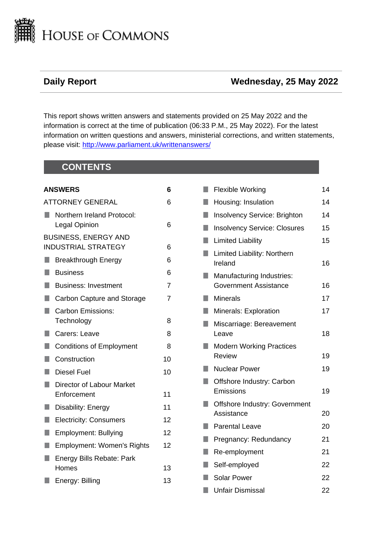

# **Daily Report Wednesday, 25 May 2022**

This report shows written answers and statements provided on 25 May 2022 and the information is correct at the time of publication (06:33 P.M., 25 May 2022). For the latest information on written questions and answers, ministerial corrections, and written statements, please visit: [http://www.parliament.uk/writtenanswers/](http://www.parliament.uk/writtenanswers)

# **CONTENTS**

| <b>ANSWERS</b><br>6 |                                                           |    |
|---------------------|-----------------------------------------------------------|----|
|                     | <b>ATTORNEY GENERAL</b>                                   | 6  |
|                     | Northern Ireland Protocol:<br>Legal Opinion               | 6  |
|                     | <b>BUSINESS, ENERGY AND</b><br><b>INDUSTRIAL STRATEGY</b> | 6  |
| l I                 | <b>Breakthrough Energy</b>                                | 6  |
| H.                  | <b>Business</b>                                           | 6  |
| H.                  | <b>Business: Investment</b>                               | 7  |
| п                   | Carbon Capture and Storage                                | 7  |
| ۰                   | <b>Carbon Emissions:</b><br>Technology                    | 8  |
| H.                  | Carers: Leave                                             | 8  |
| U                   | <b>Conditions of Employment</b>                           | 8  |
| п                   | Construction                                              | 10 |
| П                   | <b>Diesel Fuel</b>                                        | 10 |
| H.                  | Director of Labour Market<br>Enforcement                  | 11 |
| п                   | Disability: Energy                                        | 11 |
| п                   | <b>Electricity: Consumers</b>                             | 12 |
| H.                  | <b>Employment: Bullying</b>                               | 12 |
| п                   | <b>Employment: Women's Rights</b>                         | 12 |
|                     | Energy Bills Rebate: Park<br>Homes                        | 13 |
|                     | Energy: Billing                                           | 13 |
|                     |                                                           |    |

| п  | <b>Flexible Working</b>                          | 14 |
|----|--------------------------------------------------|----|
| H. | Housing: Insulation                              | 14 |
| п  | <b>Insolvency Service: Brighton</b>              | 14 |
| п  | <b>Insolvency Service: Closures</b>              | 15 |
|    | <b>Limited Liability</b>                         | 15 |
| U  | Limited Liability: Northern<br>Ireland           | 16 |
|    | Manufacturing Industries:                        |    |
|    | <b>Government Assistance</b>                     | 16 |
|    | <b>Minerals</b>                                  | 17 |
|    | <b>Minerals: Exploration</b>                     | 17 |
|    | Miscarriage: Bereavement<br>Leave                | 18 |
|    | <b>Modern Working Practices</b><br><b>Review</b> | 19 |
|    | <b>Nuclear Power</b>                             | 19 |
|    | Offshore Industry: Carbon<br>Emissions           | 19 |
|    |                                                  |    |
|    | Offshore Industry: Government                    |    |
|    | Assistance                                       | 20 |
| H  | <b>Parental Leave</b>                            | 20 |
|    | Pregnancy: Redundancy                            | 21 |
| H  | Re-employment                                    | 21 |
|    | Self-employed                                    | 22 |
| U  | <b>Solar Power</b>                               | 22 |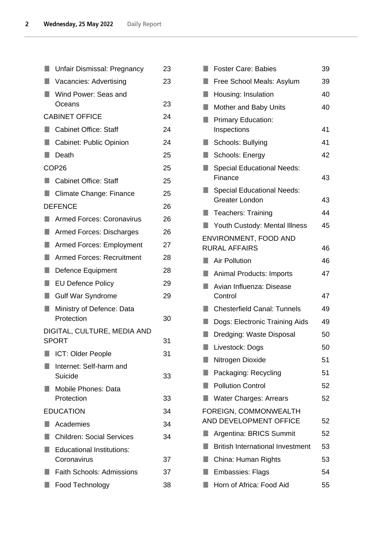| П  | Unfair Dismissal: Pregnancy             |    |  |  |  |
|----|-----------------------------------------|----|--|--|--|
| ٠  | Vacancies: Advertising                  |    |  |  |  |
| L. | Wind Power: Seas and                    |    |  |  |  |
|    | Oceans                                  | 23 |  |  |  |
|    | <b>CABINET OFFICE</b>                   |    |  |  |  |
|    | <b>Cabinet Office: Staff</b>            | 24 |  |  |  |
| п  | <b>Cabinet: Public Opinion</b>          | 24 |  |  |  |
| a. | Death                                   | 25 |  |  |  |
|    | COP <sub>26</sub>                       | 25 |  |  |  |
| u  | <b>Cabinet Office: Staff</b>            | 25 |  |  |  |
| q  | Climate Change: Finance                 | 25 |  |  |  |
|    | <b>DEFENCE</b>                          | 26 |  |  |  |
| п  | <b>Armed Forces: Coronavirus</b>        | 26 |  |  |  |
| ш  | <b>Armed Forces: Discharges</b>         | 26 |  |  |  |
| u  | <b>Armed Forces: Employment</b>         | 27 |  |  |  |
| ш  | <b>Armed Forces: Recruitment</b>        |    |  |  |  |
|    | Defence Equipment                       |    |  |  |  |
| L. | <b>EU Defence Policy</b>                |    |  |  |  |
| ш  | <b>Gulf War Syndrome</b>                | 29 |  |  |  |
| ٠  | Ministry of Defence: Data<br>Protection |    |  |  |  |
|    | DIGITAL, CULTURE, MEDIA AND             |    |  |  |  |
|    | <b>SPORT</b>                            | 31 |  |  |  |
|    | <b>I</b> ICT: Older People              | 31 |  |  |  |
|    | Internet: Self-harm and                 |    |  |  |  |
|    | Suicide                                 | 33 |  |  |  |
|    | Mobile Phones: Data<br>Protection       | 33 |  |  |  |
|    | <b>EDUCATION</b>                        | 34 |  |  |  |
|    | Academies                               | 34 |  |  |  |
|    | <b>Children: Social Services</b>        | 34 |  |  |  |
|    | <b>Educational Institutions:</b>        |    |  |  |  |
|    | Coronavirus                             | 37 |  |  |  |
|    | <b>Faith Schools: Admissions</b>        |    |  |  |  |
|    | Food Technology                         | 38 |  |  |  |

| п  | <b>Foster Care: Babies</b>                                 | 39 |  |  |
|----|------------------------------------------------------------|----|--|--|
|    | Free School Meals: Asylum                                  |    |  |  |
|    | Housing: Insulation                                        |    |  |  |
| H. | Mother and Baby Units                                      | 40 |  |  |
|    | <b>Primary Education:</b>                                  |    |  |  |
|    | Inspections                                                | 41 |  |  |
|    | Schools: Bullying                                          | 41 |  |  |
| Q  | Schools: Energy                                            | 42 |  |  |
|    | <b>Special Educational Needs:</b><br>Finance               | 43 |  |  |
|    | <b>Special Educational Needs:</b><br><b>Greater London</b> | 43 |  |  |
| ٠  | <b>Teachers: Training</b>                                  | 44 |  |  |
|    | Youth Custody: Mental Illness                              | 45 |  |  |
|    | ENVIRONMENT, FOOD AND                                      |    |  |  |
|    | <b>RURAL AFFAIRS</b>                                       | 46 |  |  |
| u. | <b>Air Pollution</b>                                       | 46 |  |  |
|    | <b>Animal Products: Imports</b>                            | 47 |  |  |
|    | Avian Influenza: Disease<br>Control                        | 47 |  |  |
|    | <b>Chesterfield Canal: Tunnels</b>                         | 49 |  |  |
|    | Dogs: Electronic Training Aids                             | 49 |  |  |
|    | Dredging: Waste Disposal                                   | 50 |  |  |
| r. | Livestock: Dogs                                            | 50 |  |  |
|    | Nitrogen Dioxide                                           | 51 |  |  |
|    | Packaging: Recycling                                       | 51 |  |  |
|    | <b>Pollution Control</b>                                   | 52 |  |  |
|    | <b>Water Charges: Arrears</b>                              | 52 |  |  |
|    | FOREIGN, COMMONWEALTH<br>AND DEVELOPMENT OFFICE            | 52 |  |  |
| ш  | Argentina: BRICS Summit                                    | 52 |  |  |
|    | <b>British International Investment</b>                    | 53 |  |  |
|    | China: Human Rights                                        | 53 |  |  |
| ٠  | <b>Embassies: Flags</b>                                    | 54 |  |  |
|    | Horn of Africa: Food Aid                                   | 55 |  |  |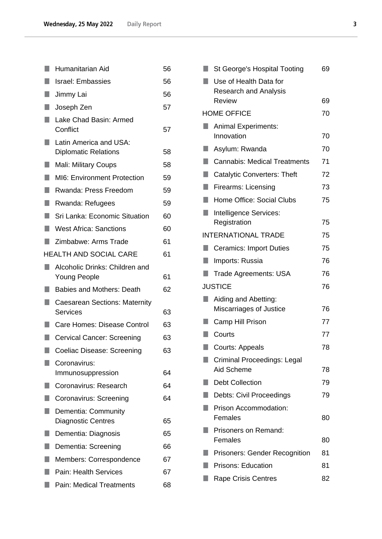| п  | Humanitarian Aid                                        | 56 |  |  |
|----|---------------------------------------------------------|----|--|--|
| ٠  | <b>Israel: Embassies</b>                                | 56 |  |  |
| ٠  | Jimmy Lai                                               |    |  |  |
| ш  | Joseph Zen                                              |    |  |  |
|    | Lake Chad Basin: Armed<br>Conflict                      | 57 |  |  |
| ٠  | Latin America and USA:<br><b>Diplomatic Relations</b>   | 58 |  |  |
| H  | Mali: Military Coups                                    |    |  |  |
| ×. | <b>MI6: Environment Protection</b>                      | 59 |  |  |
| ٠  | Rwanda: Press Freedom                                   | 59 |  |  |
| ٠  | Rwanda: Refugees                                        | 59 |  |  |
| u  | Sri Lanka: Economic Situation                           | 60 |  |  |
| ٠  | <b>West Africa: Sanctions</b>                           | 60 |  |  |
|    | Zimbabwe: Arms Trade                                    | 61 |  |  |
|    | <b>HEALTH AND SOCIAL CARE</b>                           | 61 |  |  |
| ×. | Alcoholic Drinks: Children and<br>Young People          | 61 |  |  |
|    | <b>Babies and Mothers: Death</b>                        | 62 |  |  |
| ٠  | <b>Caesarean Sections: Maternity</b><br><b>Services</b> | 63 |  |  |
|    | Care Homes: Disease Control                             |    |  |  |
| ٠  | <b>Cervical Cancer: Screening</b>                       | 63 |  |  |
|    | Coeliac Disease: Screening                              | 63 |  |  |
|    | Coronavirus:<br>Immunosuppression                       | 64 |  |  |
|    | Coronavirus: Research                                   | 64 |  |  |
|    | Coronavirus: Screening                                  | 64 |  |  |
|    | Dementia: Community<br><b>Diagnostic Centres</b>        | 65 |  |  |
|    | Dementia: Diagnosis                                     | 65 |  |  |
|    | Dementia: Screening                                     | 66 |  |  |
|    | Members: Correspondence                                 | 67 |  |  |
|    | <b>Pain: Health Services</b>                            | 67 |  |  |
|    | Pain: Medical Treatments                                | 68 |  |  |

|    | St George's Hospital Tooting                           |    |  |
|----|--------------------------------------------------------|----|--|
|    | Use of Health Data for<br><b>Research and Analysis</b> |    |  |
|    | <b>Review</b>                                          | 69 |  |
|    | <b>HOME OFFICE</b>                                     | 70 |  |
| M. | <b>Animal Experiments:</b><br>Innovation               | 70 |  |
| ш  | Asylum: Rwanda                                         | 70 |  |
| П  | <b>Cannabis: Medical Treatments</b>                    | 71 |  |
| П  | <b>Catalytic Converters: Theft</b>                     | 72 |  |
| n  | Firearms: Licensing                                    | 73 |  |
| П  | <b>Home Office: Social Clubs</b>                       | 75 |  |
| ٦  | Intelligence Services:                                 |    |  |
|    | Registration                                           | 75 |  |
|    | <b>INTERNATIONAL TRADE</b>                             | 75 |  |
| ш  | <b>Ceramics: Import Duties</b>                         | 75 |  |
| H. | Imports: Russia                                        | 76 |  |
| H  | Trade Agreements: USA                                  | 76 |  |
|    | <b>JUSTICE</b>                                         | 76 |  |
|    | Aiding and Abetting:<br>Miscarriages of Justice        | 76 |  |
|    | Camp Hill Prison                                       | 77 |  |
| n  | Courts                                                 | 77 |  |
| ۰  | <b>Courts: Appeals</b>                                 | 78 |  |
|    | Criminal Proceedings: Legal                            |    |  |
|    | Aid Scheme                                             | 78 |  |
|    | <b>Debt Collection</b>                                 | 79 |  |
|    | Debts: Civil Proceedings                               | 79 |  |
|    | Prison Accommodation:<br>Females                       | 80 |  |
|    | Prisoners on Remand:<br>Females                        | 80 |  |
|    | <b>Prisoners: Gender Recognition</b>                   | 81 |  |
|    | <b>Prisons: Education</b>                              | 81 |  |
|    | <b>Rape Crisis Centres</b>                             | 82 |  |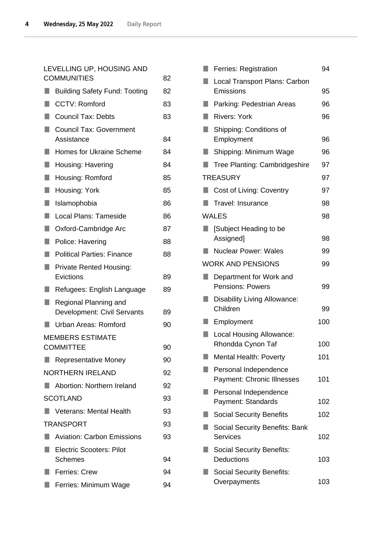# [LEVELLING UP, HOUSING AND](#page-81-1)  [COMMUNITIES](#page-81-1) 82

|    | <b>Building Safety Fund: Tooting</b>                 | 82 |
|----|------------------------------------------------------|----|
|    | <b>CCTV: Romford</b>                                 | 83 |
|    | <b>Council Tax: Debts</b>                            | 83 |
| ٠  | <b>Council Tax: Government</b>                       |    |
|    | Assistance                                           | 84 |
| n  | <b>Homes for Ukraine Scheme</b>                      | 84 |
| п  | Housing: Havering                                    | 84 |
| H  | Housing: Romford                                     | 85 |
| п  | Housing: York                                        | 85 |
| H. | Islamophobia                                         | 86 |
| H  | Local Plans: Tameside                                | 86 |
| п  | Oxford-Cambridge Arc                                 | 87 |
|    | Police: Havering                                     | 88 |
| H  | <b>Political Parties: Finance</b>                    | 88 |
| ×. | <b>Private Rented Housing:</b><br>Evictions          | 89 |
|    | Refugees: English Language                           | 89 |
| H  | Regional Planning and<br>Development: Civil Servants | 89 |
|    | Urban Areas: Romford                                 | 90 |
|    | <b>MEMBERS ESTIMATE</b>                              |    |
|    | <b>COMMITTEE</b>                                     | 90 |
|    | <b>Representative Money</b>                          | 90 |
|    | <b>NORTHERN IRELAND</b>                              | 92 |
|    | Abortion: Northern Ireland                           | 92 |
|    | <b>SCOTLAND</b>                                      | 93 |
|    | <b>Veterans: Mental Health</b>                       | 93 |
|    | <b>TRANSPORT</b>                                     | 93 |
|    | <b>Aviation: Carbon Emissions</b>                    | 93 |
|    | <b>Electric Scooters: Pilot</b><br>Schemes           | 94 |
|    | <b>Ferries: Crew</b>                                 | 94 |
|    | Ferries: Minimum Wage                                | 94 |
|    |                                                      |    |

| <b>Ferries: Registration</b>                               | 94  |  |  |
|------------------------------------------------------------|-----|--|--|
| Local Transport Plans: Carbon<br>Emissions                 | 95  |  |  |
| Parking: Pedestrian Areas                                  | 96  |  |  |
| <b>Rivers: York</b>                                        | 96  |  |  |
| Shipping: Conditions of<br>Employment                      | 96  |  |  |
| Shipping: Minimum Wage                                     |     |  |  |
| Tree Planting: Cambridgeshire                              |     |  |  |
| <b>TREASURY</b>                                            | 97  |  |  |
| Cost of Living: Coventry                                   | 97  |  |  |
| Travel: Insurance                                          | 98  |  |  |
| <b>WALES</b>                                               | 98  |  |  |
| [Subject Heading to be<br>Assigned]                        | 98  |  |  |
| <b>Nuclear Power: Wales</b>                                | 99  |  |  |
| <b>WORK AND PENSIONS</b>                                   | 99  |  |  |
| Department for Work and<br><b>Pensions: Powers</b><br>99   |     |  |  |
| Disability Living Allowance:<br>Children                   |     |  |  |
| Employment                                                 | 100 |  |  |
| <b>Local Housing Allowance:</b><br>Rhondda Cynon Taf       | 100 |  |  |
| Mental Health: Poverty                                     | 101 |  |  |
| Personal Independence<br><b>Payment: Chronic Illnesses</b> | 101 |  |  |
| Personal Independence<br>Payment: Standards                | 102 |  |  |
| <b>Social Security Benefits</b>                            | 102 |  |  |
| <b>Social Security Benefits: Bank</b><br><b>Services</b>   | 102 |  |  |
| <b>Social Security Benefits:</b><br><b>Deductions</b>      | 103 |  |  |
| <b>Social Security Benefits:</b><br>Overpayments           | 103 |  |  |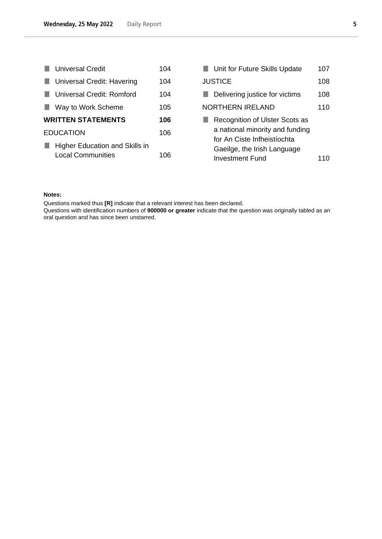|                                | <b>Universal Credit</b>    | 104 | <b>Unit for Future Skills Update</b> | 107 |
|--------------------------------|----------------------------|-----|--------------------------------------|-----|
|                                | Universal Credit: Havering | 104 | <b>JUSTICE</b>                       | 108 |
|                                | Universal Credit: Romford  | 104 | Delivering justice for victims       | 108 |
|                                | Way to Work Scheme         | 105 | <b>NORTHERN IRELAND</b>              | 110 |
|                                | <b>WRITTEN STATEMENTS</b>  | 106 | Recognition of Ulster Scots as       |     |
| <b>EDUCATION</b>               |                            | 106 | a national minority and funding      |     |
| Higher Education and Skills in |                            |     | for An Ciste Infheistíochta          |     |
|                                |                            | 106 | Gaeilge, the Irish Language          |     |
|                                | <b>Local Communities</b>   |     | Investment Fund                      | 110 |

### **Notes:**

Questions marked thus **[R]** indicate that a relevant interest has been declared.

Questions with identification numbers of **900000 or greater** indicate that the question was originally tabled as an oral question and has since been unstarred.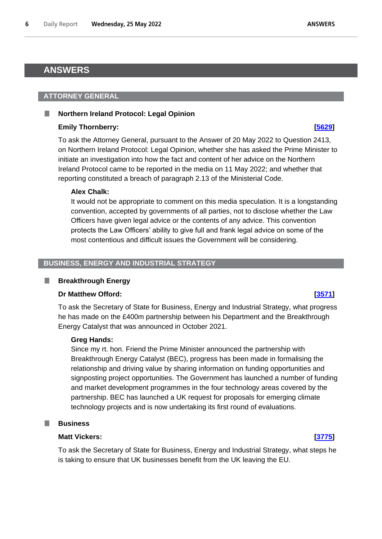# <span id="page-5-0"></span>**ANSWERS**

#### <span id="page-5-1"></span>**ATTORNEY GENERAL**

#### <span id="page-5-2"></span>**Northern Ireland Protocol: Legal Opinion**

#### **Emily Thornberry: [\[5629\]](http://www.parliament.uk/business/publications/written-questions-answers-statements/written-question/Commons/2022-05-20/5629)**

To ask the Attorney General, pursuant to the Answer of 20 May 2022 to Question 2413, on Northern Ireland Protocol: Legal Opinion, whether she has asked the Prime Minister to initiate an investigation into how the fact and content of her advice on the Northern Ireland Protocol came to be reported in the media on 11 May 2022; and whether that reporting constituted a breach of paragraph 2.13 of the Ministerial Code.

#### **Alex Chalk:**

It would not be appropriate to comment on this media speculation. It is a longstanding convention, accepted by governments of all parties, not to disclose whether the Law Officers have given legal advice or the contents of any advice. This convention protects the Law Officers' ability to give full and frank legal advice on some of the most contentious and difficult issues the Government will be considering.

#### <span id="page-5-3"></span>**BUSINESS, ENERGY AND INDUSTRIAL STRATEGY**

#### <span id="page-5-4"></span>. **Breakthrough Energy**

#### **Dr Matthew Offord: [\[3571\]](http://www.parliament.uk/business/publications/written-questions-answers-statements/written-question/Commons/2022-05-17/3571)**

To ask the Secretary of State for Business, Energy and Industrial Strategy, what progress he has made on the £400m partnership between his Department and the Breakthrough Energy Catalyst that was announced in October 2021.

#### **Greg Hands:**

Since my rt. hon. Friend the Prime Minister announced the partnership with Breakthrough Energy Catalyst (BEC), progress has been made in formalising the relationship and driving value by sharing information on funding opportunities and signposting project opportunities. The Government has launched a number of funding and market development programmes in the four technology areas covered by the partnership. BEC has launched a UK request for proposals for emerging climate technology projects and is now undertaking its first round of evaluations.

#### <span id="page-5-5"></span>T. **Business**

#### **Matt Vickers: [\[3775\]](http://www.parliament.uk/business/publications/written-questions-answers-statements/written-question/Commons/2022-05-17/3775)**

To ask the Secretary of State for Business, Energy and Industrial Strategy, what steps he is taking to ensure that UK businesses benefit from the UK leaving the EU.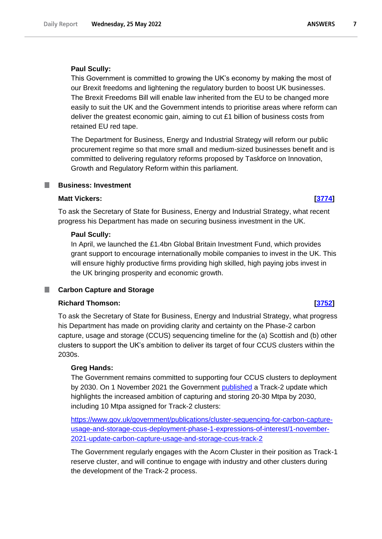## **Paul Scully:**

This Government is committed to growing the UK's economy by making the most of our Brexit freedoms and lightening the regulatory burden to boost UK businesses. The Brexit Freedoms Bill will enable law inherited from the EU to be changed more easily to suit the UK and the Government intends to prioritise areas where reform can deliver the greatest economic gain, aiming to cut £1 billion of business costs from retained EU red tape.

The Department for Business, Energy and Industrial Strategy will reform our public procurement regime so that more small and medium-sized businesses benefit and is committed to delivering regulatory reforms proposed by Taskforce on Innovation, Growth and Regulatory Reform within this parliament.

## <span id="page-6-0"></span>**Business: Investment**

## **Matt Vickers: [\[3774\]](http://www.parliament.uk/business/publications/written-questions-answers-statements/written-question/Commons/2022-05-17/3774)**

To ask the Secretary of State for Business, Energy and Industrial Strategy, what recent progress his Department has made on securing business investment in the UK.

## **Paul Scully:**

In April, we launched the £1.4bn Global Britain Investment Fund, which provides grant support to encourage internationally mobile companies to invest in the UK. This will ensure highly productive firms providing high skilled, high paying jobs invest in the UK bringing prosperity and economic growth.

#### <span id="page-6-1"></span>n. **Carbon Capture and Storage**

## **Richard Thomson: [\[3752\]](http://www.parliament.uk/business/publications/written-questions-answers-statements/written-question/Commons/2022-05-17/3752)**

To ask the Secretary of State for Business, Energy and Industrial Strategy, what progress his Department has made on providing clarity and certainty on the Phase-2 carbon capture, usage and storage (CCUS) sequencing timeline for the (a) Scottish and (b) other clusters to support the UK's ambition to deliver its target of four CCUS clusters within the 2030s.

## **Greg Hands:**

The Government remains committed to supporting four CCUS clusters to deployment by 2030. On 1 November 2021 the Government published a Track-2 update which highlights the increased ambition of capturing and storing 20-30 Mtpa by 2030, including 10 Mtpa assigned for Track-2 clusters:

[https://www.gov.uk/government/publications/cluster-sequencing-for-carbon-capture](https://www.gov.uk/government/publications/cluster-sequencing-for-carbon-capture-usage-and-storage-ccus-deployment-phase-1-expressions-of-interest/1-november-2021-update-carbon-capture-usage-and-storage-ccus-track-2)[usage-and-storage-ccus-deployment-phase-1-expressions-of-interest/1-november-](https://www.gov.uk/government/publications/cluster-sequencing-for-carbon-capture-usage-and-storage-ccus-deployment-phase-1-expressions-of-interest/1-november-2021-update-carbon-capture-usage-and-storage-ccus-track-2)[2021-update-carbon-capture-usage-and-storage-ccus-track-2](https://www.gov.uk/government/publications/cluster-sequencing-for-carbon-capture-usage-and-storage-ccus-deployment-phase-1-expressions-of-interest/1-november-2021-update-carbon-capture-usage-and-storage-ccus-track-2)

The Government regularly engages with the Acorn Cluster in their position as Track-1 reserve cluster, and will continue to engage with industry and other clusters during the development of the Track-2 process.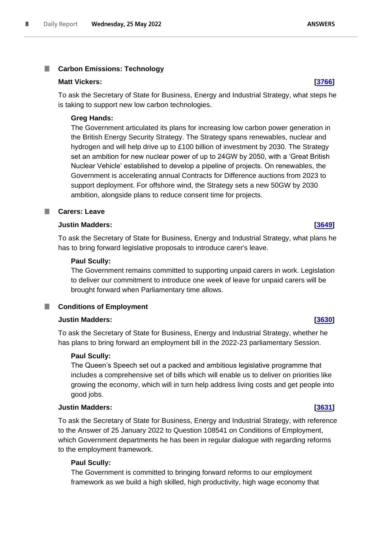# <span id="page-7-0"></span>**Carbon Emissions: Technology**

### **Matt Vickers: [\[3766\]](http://www.parliament.uk/business/publications/written-questions-answers-statements/written-question/Commons/2022-05-17/3766)**

To ask the Secretary of State for Business, Energy and Industrial Strategy, what steps he is taking to support new low carbon technologies.

## **Greg Hands:**

The Government articulated its plans for increasing low carbon power generation in the British Energy Security Strategy. The Strategy spans renewables, nuclear and hydrogen and will help drive up to £100 billion of investment by 2030. The Strategy set an ambition for new nuclear power of up to 24GW by 2050, with a 'Great British Nuclear Vehicle' established to develop a pipeline of projects. On renewables, the Government is accelerating annual Contracts for Difference auctions from 2023 to support deployment. For offshore wind, the Strategy sets a new 50GW by 2030 ambition, alongside plans to reduce consent time for projects.

## <span id="page-7-1"></span>**Carers: Leave**

## **Justin Madders: [\[3649\]](http://www.parliament.uk/business/publications/written-questions-answers-statements/written-question/Commons/2022-05-17/3649)**

To ask the Secretary of State for Business, Energy and Industrial Strategy, what plans he has to bring forward legislative proposals to introduce carer's leave.

### **Paul Scully:**

The Government remains committed to supporting unpaid carers in work. Legislation to deliver our commitment to introduce one week of leave for unpaid carers will be brought forward when Parliamentary time allows.

#### <span id="page-7-2"></span>**Conditions of Employment** ш

## **Justin Madders: [\[3630\]](http://www.parliament.uk/business/publications/written-questions-answers-statements/written-question/Commons/2022-05-17/3630)**

To ask the Secretary of State for Business, Energy and Industrial Strategy, whether he has plans to bring forward an employment bill in the 2022-23 parliamentary Session.

## **Paul Scully:**

The Queen's Speech set out a packed and ambitious legislative programme that includes a comprehensive set of bills which will enable us to deliver on priorities like growing the economy, which will in turn help address living costs and get people into good jobs.

## **Justin Madders: [\[3631\]](http://www.parliament.uk/business/publications/written-questions-answers-statements/written-question/Commons/2022-05-17/3631)**

To ask the Secretary of State for Business, Energy and Industrial Strategy, with reference to the Answer of 25 January 2022 to Question 108541 on Conditions of Employment, which Government departments he has been in regular dialogue with regarding reforms to the employment framework.

## **Paul Scully:**

The Government is committed to bringing forward reforms to our employment framework as we build a high skilled, high productivity, high wage economy that

# **ANSWERS**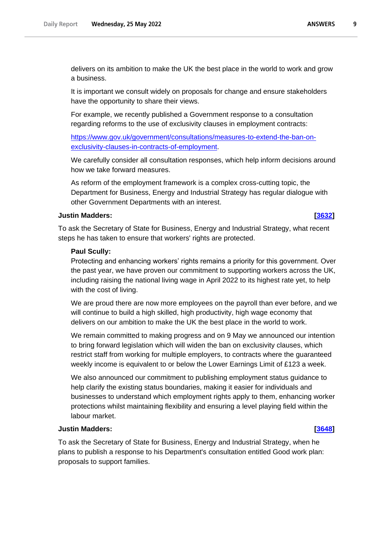$\mathbf{9}$ 

delivers on its ambition to make the UK the best place in the world to work and grow a business.

It is important we consult widely on proposals for change and ensure stakeholders have the opportunity to share their views.

For example, we recently published a Government response to a consultation regarding reforms to the use of exclusivity clauses in employment contracts:

[https://www.gov.uk/government/consultations/measures-to-extend-the-ban-on](https://www.gov.uk/government/consultations/measures-to-extend-the-ban-on-exclusivity-clauses-in-contracts-of-employment)[exclusivity-clauses-in-contracts-of-employment.](https://www.gov.uk/government/consultations/measures-to-extend-the-ban-on-exclusivity-clauses-in-contracts-of-employment)

We carefully consider all consultation responses, which help inform decisions around how we take forward measures.

As reform of the employment framework is a complex cross-cutting topic, the Department for Business, Energy and Industrial Strategy has regular dialogue with other Government Departments with an interest.

## **Justin Madders: [\[3632\]](http://www.parliament.uk/business/publications/written-questions-answers-statements/written-question/Commons/2022-05-17/3632)**

To ask the Secretary of State for Business, Energy and Industrial Strategy, what recent steps he has taken to ensure that workers' rights are protected.

## **Paul Scully:**

Protecting and enhancing workers' rights remains a priority for this government. Over the past year, we have proven our commitment to supporting workers across the UK, including raising the national living wage in April 2022 to its highest rate yet, to help with the cost of living.

We are proud there are now more employees on the payroll than ever before, and we will continue to build a high skilled, high productivity, high wage economy that delivers on our ambition to make the UK the best place in the world to work.

We remain committed to making progress and on 9 May we announced our intention to bring forward legislation which will widen the ban on exclusivity clauses, which restrict staff from working for multiple employers, to contracts where the guaranteed weekly income is equivalent to or below the Lower Earnings Limit of £123 a week.

We also announced our commitment to publishing employment status guidance to help clarify the existing status boundaries, making it easier for individuals and businesses to understand which employment rights apply to them, enhancing worker protections whilst maintaining flexibility and ensuring a level playing field within the labour market.

## **Justin Madders: [\[3648\]](http://www.parliament.uk/business/publications/written-questions-answers-statements/written-question/Commons/2022-05-17/3648)**

To ask the Secretary of State for Business, Energy and Industrial Strategy, when he plans to publish a response to his Department's consultation entitled Good work plan: proposals to support families.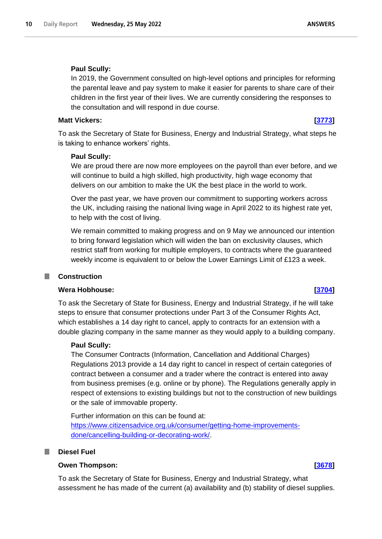### **Paul Scully:**

In 2019, the Government consulted on high-level options and principles for reforming the parental leave and pay system to make it easier for parents to share care of their children in the first year of their lives. We are currently considering the responses to the consultation and will respond in due course.

#### **Matt Vickers: [\[3773\]](http://www.parliament.uk/business/publications/written-questions-answers-statements/written-question/Commons/2022-05-17/3773)**

To ask the Secretary of State for Business, Energy and Industrial Strategy, what steps he is taking to enhance workers' rights.

### **Paul Scully:**

We are proud there are now more employees on the payroll than ever before, and we will continue to build a high skilled, high productivity, high wage economy that delivers on our ambition to make the UK the best place in the world to work.

Over the past year, we have proven our commitment to supporting workers across the UK, including raising the national living wage in April 2022 to its highest rate yet, to help with the cost of living.

We remain committed to making progress and on 9 May we announced our intention to bring forward legislation which will widen the ban on exclusivity clauses, which restrict staff from working for multiple employers, to contracts where the guaranteed weekly income is equivalent to or below the Lower Earnings Limit of £123 a week.

## <span id="page-9-0"></span>**Construction**

## **Wera Hobhouse: [\[3704\]](http://www.parliament.uk/business/publications/written-questions-answers-statements/written-question/Commons/2022-05-17/3704)**

To ask the Secretary of State for Business, Energy and Industrial Strategy, if he will take steps to ensure that consumer protections under Part 3 of the Consumer Rights Act, which establishes a 14 day right to cancel, apply to contracts for an extension with a double glazing company in the same manner as they would apply to a building company.

#### **Paul Scully:**

The Consumer Contracts (Information, Cancellation and Additional Charges) Regulations 2013 provide a 14 day right to cancel in respect of certain categories of contract between a consumer and a trader where the contract is entered into away from business premises (e.g. online or by phone). The Regulations generally apply in respect of extensions to existing buildings but not to the construction of new buildings or the sale of immovable property.

Further information on this can be found at: [https://www.citizensadvice.org.uk/consumer/getting-home-improvements](https://www.citizensadvice.org.uk/consumer/getting-home-improvements-done/cancelling-building-or-decorating-work/)[done/cancelling-building-or-decorating-work/.](https://www.citizensadvice.org.uk/consumer/getting-home-improvements-done/cancelling-building-or-decorating-work/)

### <span id="page-9-1"></span>**Diesel Fuel**

# **Owen Thompson: [\[3678\]](http://www.parliament.uk/business/publications/written-questions-answers-statements/written-question/Commons/2022-05-17/3678)**

To ask the Secretary of State for Business, Energy and Industrial Strategy, what assessment he has made of the current (a) availability and (b) stability of diesel supplies.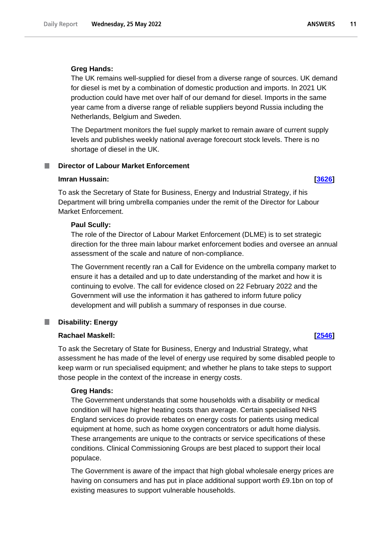### **Greg Hands:**

The UK remains well-supplied for diesel from a diverse range of sources. UK demand for diesel is met by a combination of domestic production and imports. In 2021 UK production could have met over half of our demand for diesel. Imports in the same year came from a diverse range of reliable suppliers beyond Russia including the Netherlands, Belgium and Sweden.

The Department monitors the fuel supply market to remain aware of current supply levels and publishes weekly national average forecourt stock levels. There is no shortage of diesel in the UK.

# <span id="page-10-0"></span>**Director of Labour Market Enforcement**

### **Imran Hussain: [\[3626\]](http://www.parliament.uk/business/publications/written-questions-answers-statements/written-question/Commons/2022-05-17/3626)**

To ask the Secretary of State for Business, Energy and Industrial Strategy, if his Department will bring umbrella companies under the remit of the Director for Labour Market Enforcement.

#### **Paul Scully:**

The role of the Director of Labour Market Enforcement (DLME) is to set strategic direction for the three main labour market enforcement bodies and oversee an annual assessment of the scale and nature of non-compliance.

The Government recently ran a Call for Evidence on the umbrella company market to ensure it has a detailed and up to date understanding of the market and how it is continuing to evolve. The call for evidence closed on 22 February 2022 and the Government will use the information it has gathered to inform future policy development and will publish a summary of responses in due course.

#### <span id="page-10-1"></span>**Disability: Energy** T.

### **Rachael Maskell: [\[2546\]](http://www.parliament.uk/business/publications/written-questions-answers-statements/written-question/Commons/2022-05-16/2546)**

To ask the Secretary of State for Business, Energy and Industrial Strategy, what assessment he has made of the level of energy use required by some disabled people to keep warm or run specialised equipment; and whether he plans to take steps to support those people in the context of the increase in energy costs.

#### **Greg Hands:**

The Government understands that some households with a disability or medical condition will have higher heating costs than average. Certain specialised NHS England services do provide rebates on energy costs for patients using medical equipment at home, such as home oxygen concentrators or adult home dialysis. These arrangements are unique to the contracts or service specifications of these conditions. Clinical Commissioning Groups are best placed to support their local populace.

The Government is aware of the impact that high global wholesale energy prices are having on consumers and has put in place additional support worth £9.1bn on top of existing measures to support vulnerable households.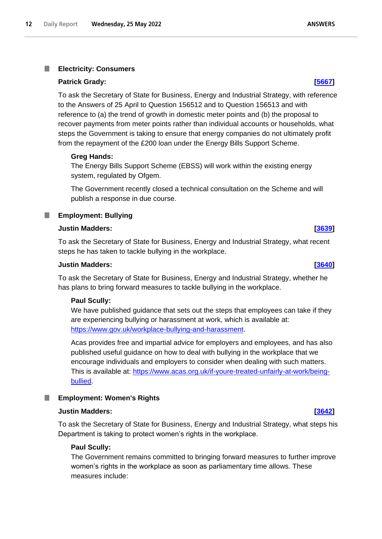#### <span id="page-11-0"></span>T. **Electricity: Consumers**

### **Patrick Grady: [\[5667\]](http://www.parliament.uk/business/publications/written-questions-answers-statements/written-question/Commons/2022-05-20/5667)**

To ask the Secretary of State for Business, Energy and Industrial Strategy, with reference to the Answers of 25 April to Question 156512 and to Question 156513 and with reference to (a) the trend of growth in domestic meter points and (b) the proposal to recover payments from meter points rather than individual accounts or households, what steps the Government is taking to ensure that energy companies do not ultimately profit from the repayment of the £200 loan under the Energy Bills Support Scheme.

## **Greg Hands:**

The Energy Bills Support Scheme (EBSS) will work within the existing energy system, regulated by Ofgem.

The Government recently closed a technical consultation on the Scheme and will publish a response in due course.

## <span id="page-11-1"></span>**Employment: Bullying**

## **Justin Madders: [\[3639\]](http://www.parliament.uk/business/publications/written-questions-answers-statements/written-question/Commons/2022-05-17/3639)**

To ask the Secretary of State for Business, Energy and Industrial Strategy, what recent steps he has taken to tackle bullying in the workplace.

## **Justin Madders: [\[3640\]](http://www.parliament.uk/business/publications/written-questions-answers-statements/written-question/Commons/2022-05-17/3640)**

To ask the Secretary of State for Business, Energy and Industrial Strategy, whether he has plans to bring forward measures to tackle bullying in the workplace.

#### **Paul Scully:**

We have published guidance that sets out the steps that employees can take if they are experiencing bullying or harassment at work, which is available at: https://www.gov.uk/workplace-bullying-and-harassment.

Acas provides free and impartial advice for employers and employees, and has also published useful guidance on how to deal with bullying in the workplace that we encourage individuals and employers to consider when dealing with such matters. This is available at: [https://www.acas.org.uk/if-youre-treated-unfairly-at-work/being](https://www.acas.org.uk/if-youre-treated-unfairly-at-work/being-bullied)[bullied.](https://www.acas.org.uk/if-youre-treated-unfairly-at-work/being-bullied)

## <span id="page-11-2"></span>**Employment: Women's Rights**

#### **Justin Madders: [\[3642\]](http://www.parliament.uk/business/publications/written-questions-answers-statements/written-question/Commons/2022-05-17/3642)**

To ask the Secretary of State for Business, Energy and Industrial Strategy, what steps his Department is taking to protect women's rights in the workplace.

## **Paul Scully:**

The Government remains committed to bringing forward measures to further improve women's rights in the workplace as soon as parliamentary time allows. These measures include: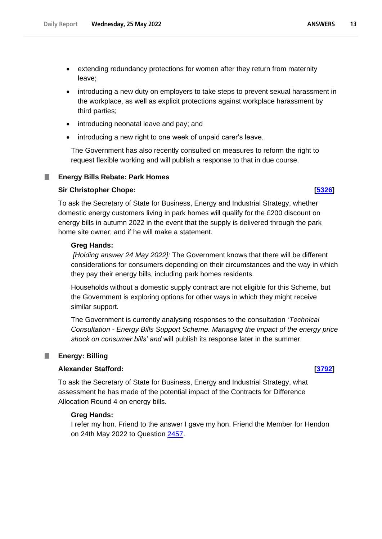- introducing a new duty on employers to take steps to prevent sexual harassment in the workplace, as well as explicit protections against workplace harassment by third parties;
- introducing neonatal leave and pay; and
- introducing a new right to one week of unpaid carer's leave.

The Government has also recently consulted on measures to reform the right to request flexible working and will publish a response to that in due course.

## **Energy Bills Rebate: Park Homes**

## **Sir Christopher Chope: [\[5326\]](http://www.parliament.uk/business/publications/written-questions-answers-statements/written-question/Commons/2022-05-19/5326)**

<span id="page-12-0"></span>ш

To ask the Secretary of State for Business, Energy and Industrial Strategy, whether domestic energy customers living in park homes will qualify for the £200 discount on energy bills in autumn 2022 in the event that the supply is delivered through the park home site owner; and if he will make a statement.

### **Greg Hands:**

*[Holding answer 24 May 2022]:* The Government knows that there will be different considerations for consumers depending on their circumstances and the way in which they pay their energy bills, including park homes residents.

Households without a domestic supply contract are not eligible for this Scheme, but the Government is exploring options for other ways in which they might receive similar support.

The Government is currently analysing responses to the consultation *'Technical Consultation - Energy Bills Support Scheme. Managing the impact of the energy price shock on consumer bills' and* will publish its response later in the summer.

## <span id="page-12-1"></span>**Energy: Billing**

## **Alexander Stafford: [\[3792\]](http://www.parliament.uk/business/publications/written-questions-answers-statements/written-question/Commons/2022-05-17/3792)**

To ask the Secretary of State for Business, Energy and Industrial Strategy, what assessment he has made of the potential impact of the Contracts for Difference Allocation Round 4 on energy bills.

## **Greg Hands:**

I refer my hon. Friend to the answer I gave my hon. Friend the Member for Hendon on 24th May 2022 to Question 2457.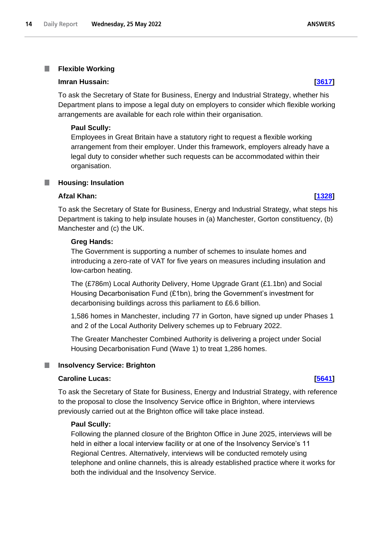#### <span id="page-13-0"></span>T. **Flexible Working**

### **Imran Hussain: [\[3617\]](http://www.parliament.uk/business/publications/written-questions-answers-statements/written-question/Commons/2022-05-17/3617)**

To ask the Secretary of State for Business, Energy and Industrial Strategy, whether his Department plans to impose a legal duty on employers to consider which flexible working arrangements are available for each role within their organisation.

## **Paul Scully:**

Employees in Great Britain have a statutory right to request a flexible working arrangement from their employer. Under this framework, employers already have a legal duty to consider whether such requests can be accommodated within their organisation.

# <span id="page-13-1"></span>**Housing: Insulation**

## **Afzal Khan: [\[1328\]](http://www.parliament.uk/business/publications/written-questions-answers-statements/written-question/Commons/2022-05-12/1328)**

To ask the Secretary of State for Business, Energy and Industrial Strategy, what steps his Department is taking to help insulate houses in (a) Manchester, Gorton constituency, (b) Manchester and (c) the UK.

## **Greg Hands:**

The Government is supporting a number of schemes to insulate homes and introducing a zero-rate of VAT for five years on measures including insulation and low-carbon heating.

The (£786m) Local Authority Delivery, Home Upgrade Grant (£1.1bn) and Social Housing Decarbonisation Fund (£1bn), bring the Government's investment for decarbonising buildings across this parliament to £6.6 billion.

1,586 homes in Manchester, including 77 in Gorton, have signed up under Phases 1 and 2 of the Local Authority Delivery schemes up to February 2022.

The Greater Manchester Combined Authority is delivering a project under Social Housing Decarbonisation Fund (Wave 1) to treat 1,286 homes.

#### <span id="page-13-2"></span>ш **Insolvency Service: Brighton**

## **Caroline Lucas: [\[5641\]](http://www.parliament.uk/business/publications/written-questions-answers-statements/written-question/Commons/2022-05-20/5641)**

To ask the Secretary of State for Business, Energy and Industrial Strategy, with reference to the proposal to close the Insolvency Service office in Brighton, where interviews previously carried out at the Brighton office will take place instead.

## **Paul Scully:**

Following the planned closure of the Brighton Office in June 2025, interviews will be held in either a local interview facility or at one of the Insolvency Service's 11 Regional Centres. Alternatively, interviews will be conducted remotely using telephone and online channels, this is already established practice where it works for both the individual and the Insolvency Service.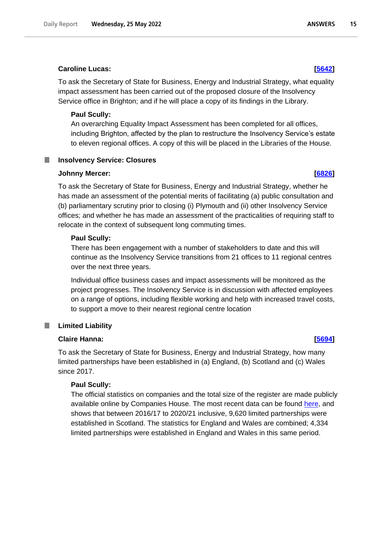### **Caroline Lucas: [\[5642\]](http://www.parliament.uk/business/publications/written-questions-answers-statements/written-question/Commons/2022-05-20/5642)**

To ask the Secretary of State for Business, Energy and Industrial Strategy, what equality impact assessment has been carried out of the proposed closure of the Insolvency Service office in Brighton; and if he will place a copy of its findings in the Library.

### **Paul Scully:**

An overarching Equality Impact Assessment has been completed for all offices, including Brighton, affected by the plan to restructure the Insolvency Service's estate to eleven regional offices. A copy of this will be placed in the Libraries of the House.

#### <span id="page-14-0"></span>**Insolvency Service: Closures** ш

### **Johnny Mercer: [\[6826\]](http://www.parliament.uk/business/publications/written-questions-answers-statements/written-question/Commons/2022-05-23/6826)**

To ask the Secretary of State for Business, Energy and Industrial Strategy, whether he has made an assessment of the potential merits of facilitating (a) public consultation and (b) parliamentary scrutiny prior to closing (i) Plymouth and (ii) other Insolvency Service offices; and whether he has made an assessment of the practicalities of requiring staff to relocate in the context of subsequent long commuting times.

### **Paul Scully:**

There has been engagement with a number of stakeholders to date and this will continue as the Insolvency Service transitions from 21 offices to 11 regional centres over the next three years.

Individual office business cases and impact assessments will be monitored as the project progresses. The Insolvency Service is in discussion with affected employees on a range of options, including flexible working and help with increased travel costs, to support a move to their nearest regional centre location

#### <span id="page-14-1"></span>T. **Limited Liability**

### **Claire Hanna: [\[5694\]](http://www.parliament.uk/business/publications/written-questions-answers-statements/written-question/Commons/2022-05-20/5694)**

To ask the Secretary of State for Business, Energy and Industrial Strategy, how many limited partnerships have been established in (a) England, (b) Scotland and (c) Wales since 2017.

## **Paul Scully:**

The official statistics on companies and the total size of the register are made publicly available online by Companies House. The most recent data can be found here, and shows that between 2016/17 to 2020/21 inclusive, 9,620 limited partnerships were established in Scotland. The statistics for England and Wales are combined; 4,334 limited partnerships were established in England and Wales in this same period.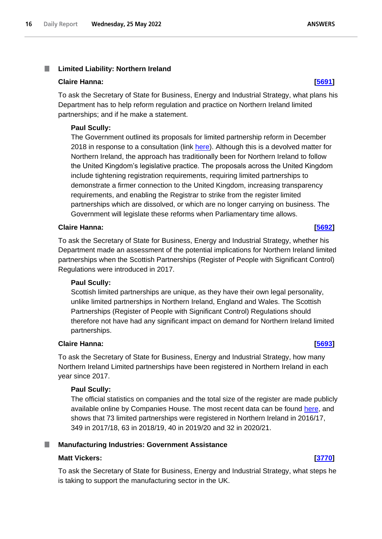## <span id="page-15-0"></span>**Claire Hanna: [\[5691\]](http://www.parliament.uk/business/publications/written-questions-answers-statements/written-question/Commons/2022-05-20/5691)**

To ask the Secretary of State for Business, Energy and Industrial Strategy, what plans his Department has to help reform regulation and practice on Northern Ireland limited partnerships; and if he make a statement.

## **Paul Scully:**

The Government outlined its proposals for limited partnership reform in December 2018 in response to a consultation (link [here\)](https://assets.publishing.service.gov.uk/government/uploads/system/uploads/attachment_data/file/762849/government-response-limited-partnerships.pdf). Although this is a devolved matter for Northern Ireland, the approach has traditionally been for Northern Ireland to follow the United Kingdom's legislative practice. The proposals across the United Kingdom include tightening registration requirements, requiring limited partnerships to demonstrate a firmer connection to the United Kingdom, increasing transparency requirements, and enabling the Registrar to strike from the register limited partnerships which are dissolved, or which are no longer carrying on business. The Government will legislate these reforms when Parliamentary time allows.

## **Claire Hanna: [\[5692\]](http://www.parliament.uk/business/publications/written-questions-answers-statements/written-question/Commons/2022-05-20/5692)**

To ask the Secretary of State for Business, Energy and Industrial Strategy, whether his Department made an assessment of the potential implications for Northern Ireland limited partnerships when the Scottish Partnerships (Register of People with Significant Control) Regulations were introduced in 2017.

## **Paul Scully:**

Scottish limited partnerships are unique, as they have their own legal personality, unlike limited partnerships in Northern Ireland, England and Wales. The Scottish Partnerships (Register of People with Significant Control) Regulations should therefore not have had any significant impact on demand for Northern Ireland limited partnerships.

## **Claire Hanna: [\[5693\]](http://www.parliament.uk/business/publications/written-questions-answers-statements/written-question/Commons/2022-05-20/5693)**

To ask the Secretary of State for Business, Energy and Industrial Strategy, how many Northern Ireland Limited partnerships have been registered in Northern Ireland in each year since 2017.

## **Paul Scully:**

The official statistics on companies and the total size of the register are made publicly available online by Companies House. The most recent data can be found here, and shows that 73 limited partnerships were registered in Northern Ireland in 2016/17, 349 in 2017/18, 63 in 2018/19, 40 in 2019/20 and 32 in 2020/21.

# <span id="page-15-1"></span>**Manufacturing Industries: Government Assistance**

## **Matt Vickers: [\[3770\]](http://www.parliament.uk/business/publications/written-questions-answers-statements/written-question/Commons/2022-05-17/3770)**

To ask the Secretary of State for Business, Energy and Industrial Strategy, what steps he is taking to support the manufacturing sector in the UK.

**ANSWERS**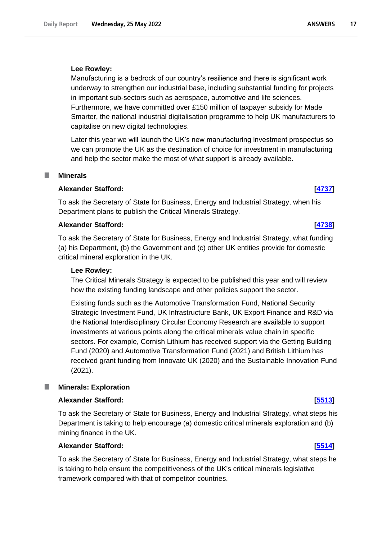Manufacturing is a bedrock of our country's resilience and there is significant work underway to strengthen our industrial base, including substantial funding for projects in important sub-sectors such as aerospace, automotive and life sciences. Furthermore, we have committed over £150 million of taxpayer subsidy for Made Smarter, the national industrial digitalisation programme to help UK manufacturers to capitalise on new digital technologies.

Later this year we will launch the UK's new manufacturing investment prospectus so we can promote the UK as the destination of choice for investment in manufacturing and help the sector make the most of what support is already available.

#### <span id="page-16-0"></span>**Minerals**

## **Alexander Stafford: [\[4737\]](http://www.parliament.uk/business/publications/written-questions-answers-statements/written-question/Commons/2022-05-18/4737)**

To ask the Secretary of State for Business, Energy and Industrial Strategy, when his Department plans to publish the Critical Minerals Strategy.

#### **Alexander Stafford: [\[4738\]](http://www.parliament.uk/business/publications/written-questions-answers-statements/written-question/Commons/2022-05-18/4738)**

To ask the Secretary of State for Business, Energy and Industrial Strategy, what funding (a) his Department, (b) the Government and (c) other UK entities provide for domestic critical mineral exploration in the UK.

#### **Lee Rowley:**

The Critical Minerals Strategy is expected to be published this year and will review how the existing funding landscape and other policies support the sector.

Existing funds such as the Automotive Transformation Fund, National Security Strategic Investment Fund, UK Infrastructure Bank, UK Export Finance and R&D via the National Interdisciplinary Circular Economy Research are available to support investments at various points along the critical minerals value chain in specific sectors. For example, Cornish Lithium has received support via the Getting Building Fund (2020) and Automotive Transformation Fund (2021) and British Lithium has received grant funding from Innovate UK (2020) and the Sustainable Innovation Fund (2021).

#### <span id="page-16-1"></span>ш **Minerals: Exploration**

#### **Alexander Stafford: [\[5513\]](http://www.parliament.uk/business/publications/written-questions-answers-statements/written-question/Commons/2022-05-19/5513)**

To ask the Secretary of State for Business, Energy and Industrial Strategy, what steps his Department is taking to help encourage (a) domestic critical minerals exploration and (b) mining finance in the UK.

## **Alexander Stafford: [\[5514\]](http://www.parliament.uk/business/publications/written-questions-answers-statements/written-question/Commons/2022-05-19/5514)**

To ask the Secretary of State for Business, Energy and Industrial Strategy, what steps he is taking to help ensure the competitiveness of the UK's critical minerals legislative framework compared with that of competitor countries.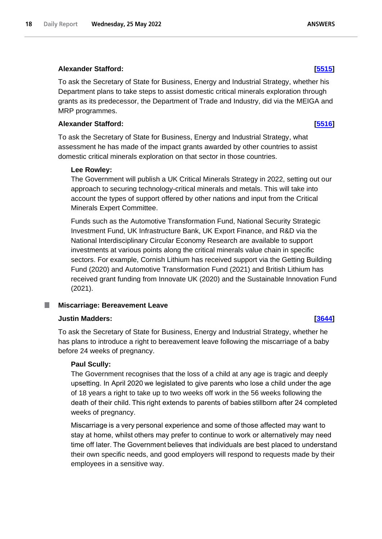To ask the Secretary of State for Business, Energy and Industrial Strategy, whether his Department plans to take steps to assist domestic critical minerals exploration through grants as its predecessor, the Department of Trade and Industry, did via the MEIGA and MRP programmes.

## **Alexander Stafford: [\[5516\]](http://www.parliament.uk/business/publications/written-questions-answers-statements/written-question/Commons/2022-05-19/5516)**

To ask the Secretary of State for Business, Energy and Industrial Strategy, what assessment he has made of the impact grants awarded by other countries to assist domestic critical minerals exploration on that sector in those countries.

## **Lee Rowley:**

The Government will publish a UK Critical Minerals Strategy in 2022, setting out our approach to securing technology-critical minerals and metals. This will take into account the types of support offered by other nations and input from the Critical Minerals Expert Committee.

Funds such as the Automotive Transformation Fund, National Security Strategic Investment Fund, UK Infrastructure Bank, UK Export Finance, and R&D via the National Interdisciplinary Circular Economy Research are available to support investments at various points along the critical minerals value chain in specific sectors. For example, Cornish Lithium has received support via the Getting Building Fund (2020) and Automotive Transformation Fund (2021) and British Lithium has received grant funding from Innovate UK (2020) and the Sustainable Innovation Fund (2021).

# <span id="page-17-0"></span>**Miscarriage: Bereavement Leave**

# **Justin Madders: [\[3644\]](http://www.parliament.uk/business/publications/written-questions-answers-statements/written-question/Commons/2022-05-17/3644)**

To ask the Secretary of State for Business, Energy and Industrial Strategy, whether he has plans to introduce a right to bereavement leave following the miscarriage of a baby before 24 weeks of pregnancy.

# **Paul Scully:**

The Government recognises that the loss of a child at any age is tragic and deeply upsetting. In April 2020 we legislated to give parents who lose a child under the age of 18 years a right to take up to two weeks off work in the 56 weeks following the death of their child. This right extends to parents of babies stillborn after 24 completed weeks of pregnancy.

Miscarriage is a very personal experience and some of those affected may want to stay at home, whilst others may prefer to continue to work or alternatively may need time off later. The Government believes that individuals are best placed to understand their own specific needs, and good employers will respond to requests made by their employees in a sensitive way.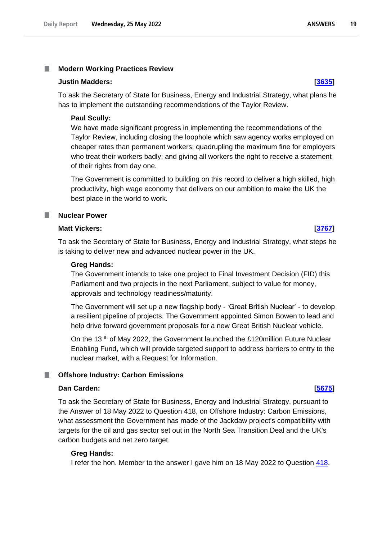#### <span id="page-18-0"></span>T. **Modern Working Practices Review**

#### **Justin Madders: [\[3635\]](http://www.parliament.uk/business/publications/written-questions-answers-statements/written-question/Commons/2022-05-17/3635)**

To ask the Secretary of State for Business, Energy and Industrial Strategy, what plans he has to implement the outstanding recommendations of the Taylor Review.

### **Paul Scully:**

We have made significant progress in implementing the recommendations of the Taylor Review, including closing the loophole which saw agency works employed on cheaper rates than permanent workers; quadrupling the maximum fine for employers who treat their workers badly; and giving all workers the right to receive a statement of their rights from day one.

The Government is committed to building on this record to deliver a high skilled, high productivity, high wage economy that delivers on our ambition to make the UK the best place in the world to work.

### <span id="page-18-1"></span>**Nuclear Power**

### **Matt Vickers: [\[3767\]](http://www.parliament.uk/business/publications/written-questions-answers-statements/written-question/Commons/2022-05-17/3767)**

To ask the Secretary of State for Business, Energy and Industrial Strategy, what steps he is taking to deliver new and advanced nuclear power in the UK.

#### **Greg Hands:**

The Government intends to take one project to Final Investment Decision (FID) this Parliament and two projects in the next Parliament, subject to value for money, approvals and technology readiness/maturity.

The Government will set up a new flagship body - 'Great British Nuclear' - to develop a resilient pipeline of projects. The Government appointed Simon Bowen to lead and help drive forward government proposals for a new Great British Nuclear vehicle.

On the 13<sup>th</sup> of May 2022, the Government launched the £120million Future Nuclear Enabling Fund, which will provide targeted support to address barriers to entry to the nuclear market, with a Request for Information.

#### <span id="page-18-2"></span>ш **Offshore Industry: Carbon Emissions**

## **Dan Carden: [\[5675\]](http://www.parliament.uk/business/publications/written-questions-answers-statements/written-question/Commons/2022-05-20/5675)**

To ask the Secretary of State for Business, Energy and Industrial Strategy, pursuant to the Answer of 18 May 2022 to Question 418, on Offshore Industry: Carbon Emissions, what assessment the Government has made of the Jackdaw project's compatibility with targets for the oil and gas sector set out in the North Sea Transition Deal and the UK's carbon budgets and net zero target.

#### **Greg Hands:**

I refer the hon. Member to the answer I gave him on 18 May 2022 to Question 418.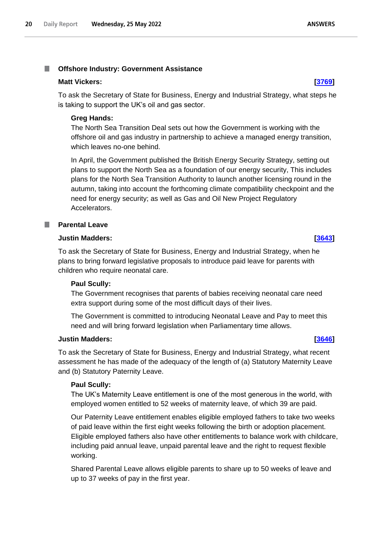#### <span id="page-19-0"></span>T. **Offshore Industry: Government Assistance**

## **Matt Vickers: [\[3769\]](http://www.parliament.uk/business/publications/written-questions-answers-statements/written-question/Commons/2022-05-17/3769)**

To ask the Secretary of State for Business, Energy and Industrial Strategy, what steps he is taking to support the UK's oil and gas sector.

# **Greg Hands:**

The North Sea Transition Deal sets out how the Government is working with the offshore oil and gas industry in partnership to achieve a managed energy transition, which leaves no-one behind.

In April, the Government published the British Energy Security Strategy, setting out plans to support the North Sea as a foundation of our energy security, This includes plans for the North Sea Transition Authority to launch another licensing round in the autumn, taking into account the forthcoming climate compatibility checkpoint and the need for energy security; as well as Gas and Oil New Project Regulatory Accelerators.

# <span id="page-19-1"></span>**Parental Leave**

# **Justin Madders: [\[3643\]](http://www.parliament.uk/business/publications/written-questions-answers-statements/written-question/Commons/2022-05-17/3643)**

To ask the Secretary of State for Business, Energy and Industrial Strategy, when he plans to bring forward legislative proposals to introduce paid leave for parents with children who require neonatal care.

# **Paul Scully:**

The Government recognises that parents of babies receiving neonatal care need extra support during some of the most difficult days of their lives.

The Government is committed to introducing Neonatal Leave and Pay to meet this need and will bring forward legislation when Parliamentary time allows.

# **Justin Madders: [\[3646\]](http://www.parliament.uk/business/publications/written-questions-answers-statements/written-question/Commons/2022-05-17/3646)**

To ask the Secretary of State for Business, Energy and Industrial Strategy, what recent assessment he has made of the adequacy of the length of (a) Statutory Maternity Leave and (b) Statutory Paternity Leave.

# **Paul Scully:**

The UK's Maternity Leave entitlement is one of the most generous in the world, with employed women entitled to 52 weeks of maternity leave, of which 39 are paid.

Our Paternity Leave entitlement enables eligible employed fathers to take two weeks of paid leave within the first eight weeks following the birth or adoption placement. Eligible employed fathers also have other entitlements to balance work with childcare, including paid annual leave, unpaid parental leave and the right to request flexible working.

Shared Parental Leave allows eligible parents to share up to 50 weeks of leave and up to 37 weeks of pay in the first year.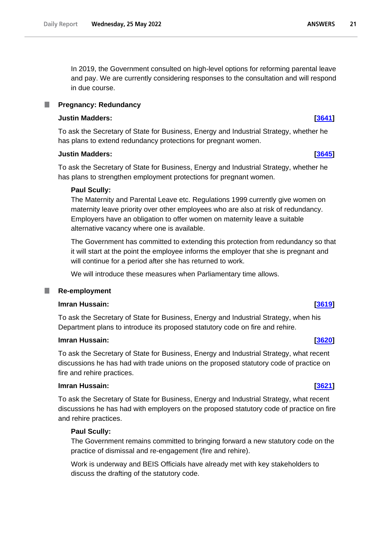In 2019, the Government consulted on high-level options for reforming parental leave and pay. We are currently considering responses to the consultation and will respond in due course.

#### <span id="page-20-0"></span>**Pregnancy: Redundancy** .

### **Justin Madders: [\[3641\]](http://www.parliament.uk/business/publications/written-questions-answers-statements/written-question/Commons/2022-05-17/3641)**

To ask the Secretary of State for Business, Energy and Industrial Strategy, whether he has plans to extend redundancy protections for pregnant women.

### **Justin Madders: [\[3645\]](http://www.parliament.uk/business/publications/written-questions-answers-statements/written-question/Commons/2022-05-17/3645)**

To ask the Secretary of State for Business, Energy and Industrial Strategy, whether he has plans to strengthen employment protections for pregnant women.

## **Paul Scully:**

The Maternity and Parental Leave etc. Regulations 1999 currently give women on maternity leave priority over other employees who are also at risk of redundancy. Employers have an obligation to offer women on maternity leave a suitable alternative vacancy where one is available.

The Government has committed to extending this protection from redundancy so that it will start at the point the employee informs the employer that she is pregnant and will continue for a period after she has returned to work.

We will introduce these measures when Parliamentary time allows.

## <span id="page-20-1"></span>**Re-employment**

### **Imran Hussain: [\[3619\]](http://www.parliament.uk/business/publications/written-questions-answers-statements/written-question/Commons/2022-05-17/3619)**

To ask the Secretary of State for Business, Energy and Industrial Strategy, when his Department plans to introduce its proposed statutory code on fire and rehire.

#### **Imran Hussain: [\[3620\]](http://www.parliament.uk/business/publications/written-questions-answers-statements/written-question/Commons/2022-05-17/3620)**

To ask the Secretary of State for Business, Energy and Industrial Strategy, what recent discussions he has had with trade unions on the proposed statutory code of practice on fire and rehire practices.

#### **Imran Hussain: [\[3621\]](http://www.parliament.uk/business/publications/written-questions-answers-statements/written-question/Commons/2022-05-17/3621)**

To ask the Secretary of State for Business, Energy and Industrial Strategy, what recent discussions he has had with employers on the proposed statutory code of practice on fire and rehire practices.

### **Paul Scully:**

The Government remains committed to bringing forward a new statutory code on the practice of dismissal and re-engagement (fire and rehire).

Work is underway and BEIS Officials have already met with key stakeholders to discuss the drafting of the statutory code.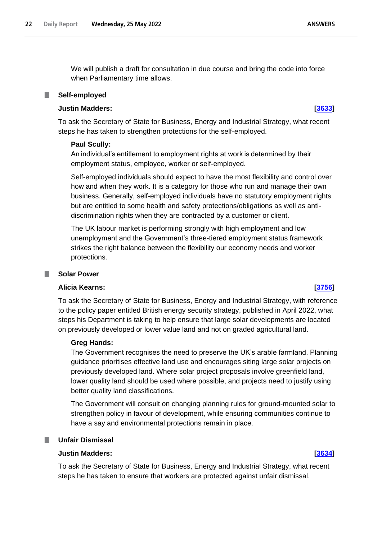We will publish a draft for consultation in due course and bring the code into force when Parliamentary time allows.

#### <span id="page-21-0"></span>**Self-employed**

## **Justin Madders: [\[3633\]](http://www.parliament.uk/business/publications/written-questions-answers-statements/written-question/Commons/2022-05-17/3633)**

To ask the Secretary of State for Business, Energy and Industrial Strategy, what recent steps he has taken to strengthen protections for the self-employed.

#### **Paul Scully:**

An individual's entitlement to employment rights at work is determined by their employment status, employee, worker or self-employed.

Self-employed individuals should expect to have the most flexibility and control over how and when they work. It is a category for those who run and manage their own business. Generally, self-employed individuals have no statutory employment rights but are entitled to some health and safety protections/obligations as well as antidiscrimination rights when they are contracted by a customer or client.

The UK labour market is performing strongly with high employment and low unemployment and the Government's three-tiered employment status framework strikes the right balance between the flexibility our economy needs and worker protections.

#### <span id="page-21-1"></span>**Solar Power**

#### **Alicia Kearns: [\[3756\]](http://www.parliament.uk/business/publications/written-questions-answers-statements/written-question/Commons/2022-05-17/3756)**

To ask the Secretary of State for Business, Energy and Industrial Strategy, with reference to the policy paper entitled British energy security strategy, published in April 2022, what steps his Department is taking to help ensure that large solar developments are located on previously developed or lower value land and not on graded agricultural land.

#### **Greg Hands:**

The Government recognises the need to preserve the UK's arable farmland. Planning guidance prioritises effective land use and encourages siting large solar projects on previously developed land. Where solar project proposals involve greenfield land, lower quality land should be used where possible, and projects need to justify using better quality land classifications.

The Government will consult on changing planning rules for ground-mounted solar to strengthen policy in favour of development, while ensuring communities continue to have a say and environmental protections remain in place.

#### <span id="page-21-2"></span>ш **Unfair Dismissal**

# **Justin Madders: [\[3634\]](http://www.parliament.uk/business/publications/written-questions-answers-statements/written-question/Commons/2022-05-17/3634)**

To ask the Secretary of State for Business, Energy and Industrial Strategy, what recent steps he has taken to ensure that workers are protected against unfair dismissal.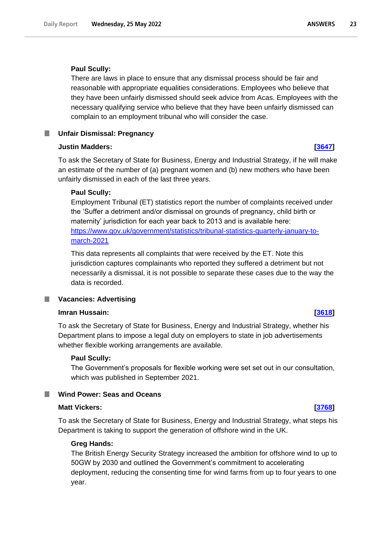### **Paul Scully:**

There are laws in place to ensure that any dismissal process should be fair and reasonable with appropriate equalities considerations. Employees who believe that they have been unfairly dismissed should seek advice from Acas. Employees with the necessary qualifying service who believe that they have been unfairly dismissed can complain to an employment tribunal who will consider the case.

#### <span id="page-22-0"></span>**Unfair Dismissal: Pregnancy** ш

### **Justin Madders: [\[3647\]](http://www.parliament.uk/business/publications/written-questions-answers-statements/written-question/Commons/2022-05-17/3647)**

To ask the Secretary of State for Business, Energy and Industrial Strategy, if he will make an estimate of the number of (a) pregnant women and (b) new mothers who have been unfairly dismissed in each of the last three years.

### **Paul Scully:**

Employment Tribunal (ET) statistics report the number of complaints received under the 'Suffer a detriment and/or dismissal on grounds of pregnancy, child birth or maternity' jurisdiction for each year back to 2013 and is available here: https://www.gov.uk/government/statistics/tribunal-statistics-quarterly-january-tomarch-2021

This data represents all complaints that were received by the ET. Note this jurisdiction captures complainants who reported they suffered a detriment but not necessarily a dismissal, it is not possible to separate these cases due to the way the data is recorded.

#### <span id="page-22-1"></span>**Vacancies: Advertising** .

#### **Imran Hussain: [\[3618\]](http://www.parliament.uk/business/publications/written-questions-answers-statements/written-question/Commons/2022-05-17/3618)**

To ask the Secretary of State for Business, Energy and Industrial Strategy, whether his Department plans to impose a legal duty on employers to state in job advertisements whether flexible working arrangements are available.

#### **Paul Scully:**

The Government's proposals for flexible working were set set out in our consultation, which was published in September 2021.

## <span id="page-22-2"></span>**Wind Power: Seas and Oceans**

#### **Matt Vickers: [\[3768\]](http://www.parliament.uk/business/publications/written-questions-answers-statements/written-question/Commons/2022-05-17/3768)**

To ask the Secretary of State for Business, Energy and Industrial Strategy, what steps his Department is taking to support the generation of offshore wind in the UK.

### **Greg Hands:**

The British Energy Security Strategy increased the ambition for offshore wind to up to 50GW by 2030 and outlined the Government's commitment to accelerating deployment, reducing the consenting time for wind farms from up to four years to one year.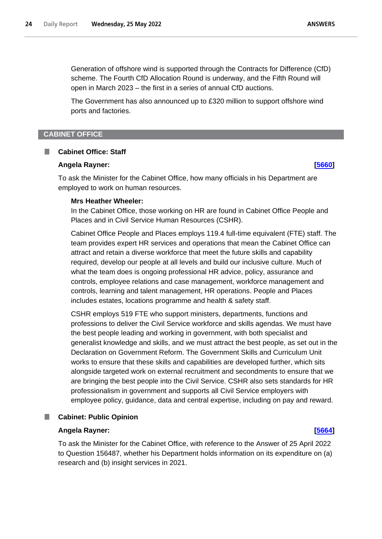Generation of offshore wind is supported through the Contracts for Difference (CfD) scheme. The Fourth CfD Allocation Round is underway, and the Fifth Round will open in March 2023 – the first in a series of annual CfD auctions.

The Government has also announced up to £320 million to support offshore wind ports and factories.

#### <span id="page-23-0"></span>**CABINET OFFICE**

#### <span id="page-23-1"></span>**Cabinet Office: Staff** L.

#### **Angela Rayner: [\[5660\]](http://www.parliament.uk/business/publications/written-questions-answers-statements/written-question/Commons/2022-05-20/5660)**

To ask the Minister for the Cabinet Office, how many officials in his Department are employed to work on human resources.

#### **Mrs Heather Wheeler:**

In the Cabinet Office, those working on HR are found in Cabinet Office People and Places and in Civil Service Human Resources (CSHR).

Cabinet Office People and Places employs 119.4 full-time equivalent (FTE) staff. The team provides expert HR services and operations that mean the Cabinet Office can attract and retain a diverse workforce that meet the future skills and capability required, develop our people at all levels and build our inclusive culture. Much of what the team does is ongoing professional HR advice, policy, assurance and controls, employee relations and case management, workforce management and controls, learning and talent management, HR operations. People and Places includes estates, locations programme and health & safety staff.

CSHR employs 519 FTE who support ministers, departments, functions and professions to deliver the Civil Service workforce and skills agendas. We must have the best people leading and working in government, with both specialist and generalist knowledge and skills, and we must attract the best people, as set out in the Declaration on Government Reform. The Government Skills and Curriculum Unit works to ensure that these skills and capabilities are developed further, which sits alongside targeted work on external recruitment and secondments to ensure that we are bringing the best people into the Civil Service. CSHR also sets standards for HR professionalism in government and supports all Civil Service employers with employee policy, guidance, data and central expertise, including on pay and reward.

# <span id="page-23-2"></span>**Cabinet: Public Opinion**

## **Angela Rayner: [\[5664\]](http://www.parliament.uk/business/publications/written-questions-answers-statements/written-question/Commons/2022-05-20/5664)**

To ask the Minister for the Cabinet Office, with reference to the Answer of 25 April 2022 to Question 156487, whether his Department holds information on its expenditure on (a) research and (b) insight services in 2021.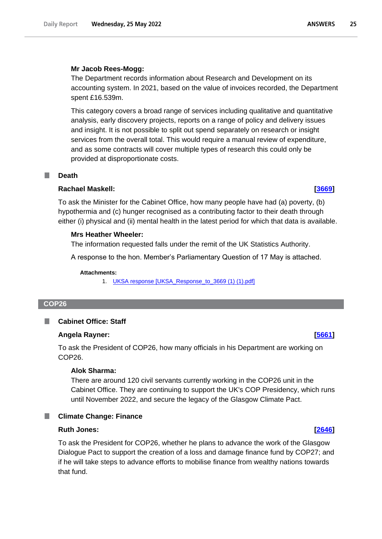#### **Mr Jacob Rees-Mogg:**

The Department records information about Research and Development on its accounting system. In 2021, based on the value of invoices recorded, the Department spent £16.539m.

This category covers a broad range of services including qualitative and quantitative analysis, early discovery projects, reports on a range of policy and delivery issues and insight. It is not possible to split out spend separately on research or insight services from the overall total. This would require a manual review of expenditure, and as some contracts will cover multiple types of research this could only be provided at disproportionate costs.

### <span id="page-24-0"></span>**Death**

### **Rachael Maskell: [\[3669\]](http://www.parliament.uk/business/publications/written-questions-answers-statements/written-question/Commons/2022-05-17/3669)**

To ask the Minister for the Cabinet Office, how many people have had (a) poverty, (b) hypothermia and (c) hunger recognised as a contributing factor to their death through either (i) physical and (ii) mental health in the latest period for which that data is available.

### **Mrs Heather Wheeler:**

The information requested falls under the remit of the UK Statistics Authority.

A response to the hon. Member's Parliamentary Question of 17 May is attached.

#### **Attachments:**

1. [UKSA response \[UKSA\\_Response\\_to\\_3669 \(1\) \(1\).pdf\]](https://qna.files.parliament.uk/qna-attachments/1463507/original/UKSA_Response_to_3669%20(1)%20(1).pdf)

#### <span id="page-24-1"></span>**COP26**

#### <span id="page-24-2"></span>**Cabinet Office: Staff** L.

#### **Angela Rayner: [\[5661\]](http://www.parliament.uk/business/publications/written-questions-answers-statements/written-question/Commons/2022-05-20/5661)**

To ask the President of COP26, how many officials in his Department are working on COP26.

#### **Alok Sharma:**

There are around 120 civil servants currently working in the COP26 unit in the Cabinet Office. They are continuing to support the UK's COP Presidency, which runs until November 2022, and secure the legacy of the Glasgow Climate Pact.

### <span id="page-24-3"></span>**Climate Change: Finance**

#### **Ruth Jones: [\[2646\]](http://www.parliament.uk/business/publications/written-questions-answers-statements/written-question/Commons/2022-05-16/2646)**

To ask the President for COP26, whether he plans to advance the work of the Glasgow Dialogue Pact to support the creation of a loss and damage finance fund by COP27; and if he will take steps to advance efforts to mobilise finance from wealthy nations towards that fund.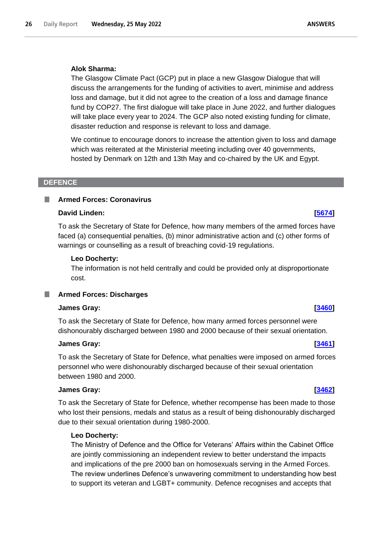## **Alok Sharma:**

The Glasgow Climate Pact (GCP) put in place a new Glasgow Dialogue that will discuss the arrangements for the funding of activities to avert, minimise and address loss and damage, but it did not agree to the creation of a loss and damage finance fund by COP27. The first dialogue will take place in June 2022, and further dialogues will take place every year to 2024. The GCP also noted existing funding for climate, disaster reduction and response is relevant to loss and damage.

We continue to encourage donors to increase the attention given to loss and damage which was reiterated at the Ministerial meeting including over 40 governments, hosted by Denmark on 12th and 13th May and co-chaired by the UK and Egypt.

### <span id="page-25-0"></span>**DEFENCE**

## <span id="page-25-1"></span>**Armed Forces: Coronavirus**

## **David Linden: [\[5674\]](http://www.parliament.uk/business/publications/written-questions-answers-statements/written-question/Commons/2022-05-20/5674)**

To ask the Secretary of State for Defence, how many members of the armed forces have faced (a) consequential penalties, (b) minor administrative action and (c) other forms of warnings or counselling as a result of breaching covid-19 regulations.

### **Leo Docherty:**

The information is not held centrally and could be provided only at disproportionate cost.

# <span id="page-25-2"></span>**Armed Forces: Discharges**

## **James Gray: [\[3460\]](http://www.parliament.uk/business/publications/written-questions-answers-statements/written-question/Commons/2022-05-17/3460)**

To ask the Secretary of State for Defence, how many armed forces personnel were dishonourably discharged between 1980 and 2000 because of their sexual orientation.

#### **James Gray: [\[3461\]](http://www.parliament.uk/business/publications/written-questions-answers-statements/written-question/Commons/2022-05-17/3461)**

To ask the Secretary of State for Defence, what penalties were imposed on armed forces personnel who were dishonourably discharged because of their sexual orientation between 1980 and 2000.

#### **James Gray: [\[3462\]](http://www.parliament.uk/business/publications/written-questions-answers-statements/written-question/Commons/2022-05-17/3462)**

To ask the Secretary of State for Defence, whether recompense has been made to those who lost their pensions, medals and status as a result of being dishonourably discharged due to their sexual orientation during 1980-2000.

## **Leo Docherty:**

The Ministry of Defence and the Office for Veterans' Affairs within the Cabinet Office are jointly commissioning an independent review to better understand the impacts and implications of the pre 2000 ban on homosexuals serving in the Armed Forces. The review underlines Defence's unwavering commitment to understanding how best to support its veteran and LGBT+ community. Defence recognises and accepts that

**ANSWERS**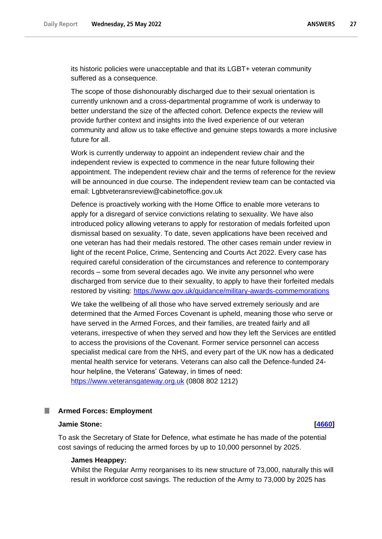its historic policies were unacceptable and that its LGBT+ veteran community suffered as a consequence.

The scope of those dishonourably discharged due to their sexual orientation is currently unknown and a cross-departmental programme of work is underway to better understand the size of the affected cohort. Defence expects the review will provide further context and insights into the lived experience of our veteran community and allow us to take effective and genuine steps towards a more inclusive future for all.

Work is currently underway to appoint an independent review chair and the independent review is expected to commence in the near future following their appointment. The independent review chair and the terms of reference for the review will be announced in due course. The independent review team can be contacted via email: Lgbtveteransreview@cabinetoffice.gov.uk

Defence is proactively working with the Home Office to enable more veterans to apply for a disregard of service convictions relating to sexuality. We have also introduced policy allowing veterans to apply for restoration of medals forfeited upon dismissal based on sexuality. To date, seven applications have been received and one veteran has had their medals restored. The other cases remain under review in light of the recent Police, Crime, Sentencing and Courts Act 2022. Every case has required careful consideration of the circumstances and reference to contemporary records – some from several decades ago. We invite any personnel who were discharged from service due to their sexuality, to apply to have their forfeited medals restored by visiting:<https://www.gov.uk/guidance/military-awards-commemorations>

We take the wellbeing of all those who have served extremely seriously and are determined that the Armed Forces Covenant is upheld, meaning those who serve or have served in the Armed Forces, and their families, are treated fairly and all veterans, irrespective of when they served and how they left the Services are entitled to access the provisions of the Covenant. Former service personnel can access specialist medical care from the NHS, and every part of the UK now has a dedicated mental health service for veterans. Veterans can also call the Defence-funded 24 hour helpline, the Veterans' Gateway, in times of need: [https://www.veteransgateway.org.uk](https://www.veteransgateway.org.uk/) (0808 802 1212)

#### <span id="page-26-0"></span>**Armed Forces: Employment**

#### **Jamie Stone: [\[4660\]](http://www.parliament.uk/business/publications/written-questions-answers-statements/written-question/Commons/2022-05-18/4660)**

To ask the Secretary of State for Defence, what estimate he has made of the potential cost savings of reducing the armed forces by up to 10,000 personnel by 2025.

#### **James Heappey:**

Whilst the Regular Army reorganises to its new structure of 73,000, naturally this will result in workforce cost savings. The reduction of the Army to 73,000 by 2025 has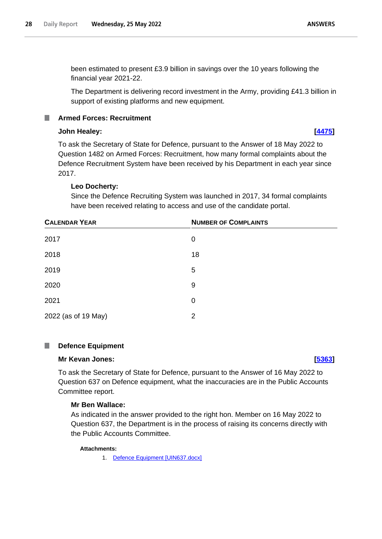been estimated to present £3.9 billion in savings over the 10 years following the financial year 2021-22.

The Department is delivering record investment in the Army, providing £41.3 billion in support of existing platforms and new equipment.

# <span id="page-27-0"></span>**Armed Forces: Recruitment**

# **John Healey: [\[4475\]](http://www.parliament.uk/business/publications/written-questions-answers-statements/written-question/Commons/2022-05-18/4475)**

To ask the Secretary of State for Defence, pursuant to the Answer of 18 May 2022 to Question 1482 on Armed Forces: Recruitment, how many formal complaints about the Defence Recruitment System have been received by his Department in each year since 2017.

## **Leo Docherty:**

Since the Defence Recruiting System was launched in 2017, 34 formal complaints have been received relating to access and use of the candidate portal.

| <b>CALENDAR YEAR</b> | <b>NUMBER OF COMPLAINTS</b> |  |
|----------------------|-----------------------------|--|
| 2017                 | 0                           |  |
| 2018                 | 18                          |  |
| 2019                 | 5                           |  |
| 2020                 | 9                           |  |
| 2021                 | 0                           |  |
| 2022 (as of 19 May)  | 2                           |  |

#### <span id="page-27-1"></span>П **Defence Equipment**

#### **Mr Kevan Jones: [\[5363\]](http://www.parliament.uk/business/publications/written-questions-answers-statements/written-question/Commons/2022-05-19/5363)**

To ask the Secretary of State for Defence, pursuant to the Answer of 16 May 2022 to Question 637 on Defence equipment, what the inaccuracies are in the Public Accounts Committee report.

## **Mr Ben Wallace:**

As indicated in the answer provided to the right hon. Member on 16 May 2022 to Question 637, the Department is in the process of raising its concerns directly with the Public Accounts Committee.

#### **Attachments:**

1. [Defence Equipment \[UIN637.docx\]](https://qna.files.parliament.uk/qna-attachments/1464450/original/UIN637.docx)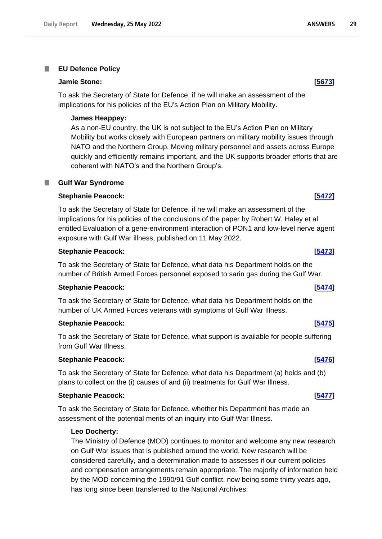#### <span id="page-28-0"></span>**EU Defence Policy** T.

#### **Jamie Stone: [\[5673\]](http://www.parliament.uk/business/publications/written-questions-answers-statements/written-question/Commons/2022-05-20/5673)**

To ask the Secretary of State for Defence, if he will make an assessment of the implications for his policies of the EU's Action Plan on Military Mobility.

#### **James Heappey:**

As a non-EU country, the UK is not subject to the EU's Action Plan on Military Mobility but works closely with European partners on military mobility issues through NATO and the Northern Group. Moving military personnel and assets across Europe quickly and efficiently remains important, and the UK supports broader efforts that are coherent with NATO's and the Northern Group's.

#### <span id="page-28-1"></span>**Gulf War Syndrome**

#### **Stephanie Peacock: [\[5472\]](http://www.parliament.uk/business/publications/written-questions-answers-statements/written-question/Commons/2022-05-19/5472)**

To ask the Secretary of State for Defence, if he will make an assessment of the implications for his policies of the conclusions of the paper by Robert W. Haley et al. entitled Evaluation of a gene-environment interaction of PON1 and low-level nerve agent exposure with Gulf War illness, published on 11 May 2022.

### **Stephanie Peacock: [\[5473\]](http://www.parliament.uk/business/publications/written-questions-answers-statements/written-question/Commons/2022-05-19/5473)**

To ask the Secretary of State for Defence, what data his Department holds on the number of British Armed Forces personnel exposed to sarin gas during the Gulf War.

#### **Stephanie Peacock: [\[5474\]](http://www.parliament.uk/business/publications/written-questions-answers-statements/written-question/Commons/2022-05-19/5474)**

To ask the Secretary of State for Defence, what data his Department holds on the number of UK Armed Forces veterans with symptoms of Gulf War Illness.

#### **Stephanie Peacock: [\[5475\]](http://www.parliament.uk/business/publications/written-questions-answers-statements/written-question/Commons/2022-05-19/5475)**

To ask the Secretary of State for Defence, what support is available for people suffering from Gulf War Illness.

#### **Stephanie Peacock: [\[5476\]](http://www.parliament.uk/business/publications/written-questions-answers-statements/written-question/Commons/2022-05-19/5476)**

To ask the Secretary of State for Defence, what data his Department (a) holds and (b) plans to collect on the (i) causes of and (ii) treatments for Gulf War Illness.

### **Stephanie Peacock: [\[5477\]](http://www.parliament.uk/business/publications/written-questions-answers-statements/written-question/Commons/2022-05-19/5477)**

To ask the Secretary of State for Defence, whether his Department has made an assessment of the potential merits of an inquiry into Gulf War Illness.

## **Leo Docherty:**

The Ministry of Defence (MOD) continues to monitor and welcome any new research on Gulf War issues that is published around the world. New research will be considered carefully, and a determination made to assesses if our current policies and compensation arrangements remain appropriate. The majority of information held by the MOD concerning the 1990/91 Gulf conflict, now being some thirty years ago, has long since been transferred to the National Archives: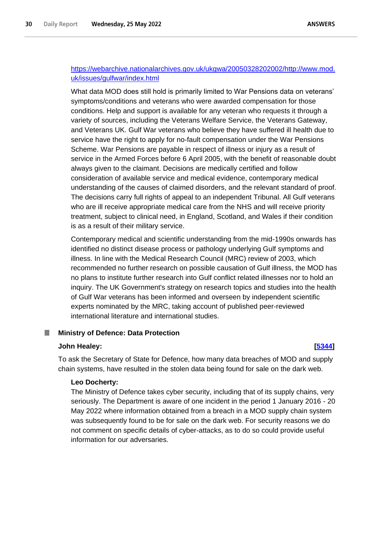# https://webarchive.nationalarchives.gov.uk/ukgwa/20050328202002/http://www.mod. uk/issues/gulfwar/index.html

What data MOD does still hold is primarily limited to War Pensions data on veterans' symptoms/conditions and veterans who were awarded compensation for those conditions. Help and support is available for any veteran who requests it through a variety of sources, including the Veterans Welfare Service, the Veterans Gateway, and Veterans UK. Gulf War veterans who believe they have suffered ill health due to service have the right to apply for no-fault compensation under the War Pensions Scheme. War Pensions are payable in respect of illness or injury as a result of service in the Armed Forces before 6 April 2005, with the benefit of reasonable doubt always given to the claimant. Decisions are medically certified and follow consideration of available service and medical evidence, contemporary medical understanding of the causes of claimed disorders, and the relevant standard of proof. The decisions carry full rights of appeal to an independent Tribunal. All Gulf veterans who are ill receive appropriate medical care from the NHS and will receive priority treatment, subject to clinical need, in England, Scotland, and Wales if their condition is as a result of their military service.

Contemporary medical and scientific understanding from the mid-1990s onwards has identified no distinct disease process or pathology underlying Gulf symptoms and illness. In line with the Medical Research Council (MRC) review of 2003, which recommended no further research on possible causation of Gulf illness, the MOD has no plans to institute further research into Gulf conflict related illnesses nor to hold an inquiry. The UK Government's strategy on research topics and studies into the health of Gulf War veterans has been informed and overseen by independent scientific experts nominated by the MRC, taking account of published peer-reviewed international literature and international studies.

#### <span id="page-29-0"></span>П **Ministry of Defence: Data Protection**

#### **John Healey: [\[5344\]](http://www.parliament.uk/business/publications/written-questions-answers-statements/written-question/Commons/2022-05-19/5344)**

To ask the Secretary of State for Defence, how many data breaches of MOD and supply chain systems, have resulted in the stolen data being found for sale on the dark web.

#### **Leo Docherty:**

The Ministry of Defence takes cyber security, including that of its supply chains, very seriously. The Department is aware of one incident in the period 1 January 2016 - 20 May 2022 where information obtained from a breach in a MOD supply chain system was subsequently found to be for sale on the dark web. For security reasons we do not comment on specific details of cyber-attacks, as to do so could provide useful information for our adversaries.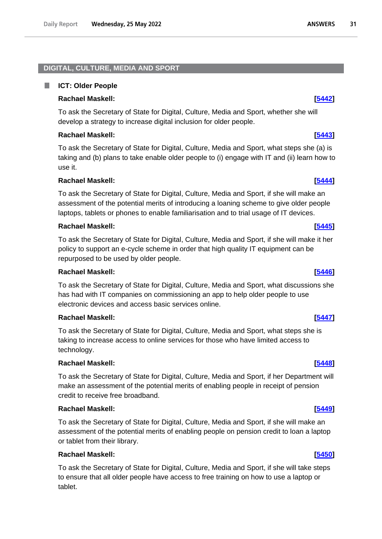# <span id="page-30-0"></span>**DIGITAL, CULTURE, MEDIA AND SPORT**

#### <span id="page-30-1"></span>. **ICT: Older People**

# **Rachael Maskell: [\[5442\]](http://www.parliament.uk/business/publications/written-questions-answers-statements/written-question/Commons/2022-05-19/5442)**

To ask the Secretary of State for Digital, Culture, Media and Sport, whether she will develop a strategy to increase digital inclusion for older people.

# **Rachael Maskell: [\[5443\]](http://www.parliament.uk/business/publications/written-questions-answers-statements/written-question/Commons/2022-05-19/5443)**

To ask the Secretary of State for Digital, Culture, Media and Sport, what steps she (a) is taking and (b) plans to take enable older people to (i) engage with IT and (ii) learn how to use it.

# **Rachael Maskell: [\[5444\]](http://www.parliament.uk/business/publications/written-questions-answers-statements/written-question/Commons/2022-05-19/5444)**

To ask the Secretary of State for Digital, Culture, Media and Sport, if she will make an assessment of the potential merits of introducing a loaning scheme to give older people laptops, tablets or phones to enable familiarisation and to trial usage of IT devices.

# **Rachael Maskell: [\[5445\]](http://www.parliament.uk/business/publications/written-questions-answers-statements/written-question/Commons/2022-05-19/5445)**

To ask the Secretary of State for Digital, Culture, Media and Sport, if she will make it her policy to support an e-cycle scheme in order that high quality IT equipment can be repurposed to be used by older people.

# **Rachael Maskell: [\[5446\]](http://www.parliament.uk/business/publications/written-questions-answers-statements/written-question/Commons/2022-05-19/5446)**

To ask the Secretary of State for Digital, Culture, Media and Sport, what discussions she has had with IT companies on commissioning an app to help older people to use electronic devices and access basic services online.

# **Rachael Maskell: [\[5447\]](http://www.parliament.uk/business/publications/written-questions-answers-statements/written-question/Commons/2022-05-19/5447)**

To ask the Secretary of State for Digital, Culture, Media and Sport, what steps she is taking to increase access to online services for those who have limited access to technology.

# **Rachael Maskell: [\[5448\]](http://www.parliament.uk/business/publications/written-questions-answers-statements/written-question/Commons/2022-05-19/5448)**

To ask the Secretary of State for Digital, Culture, Media and Sport, if her Department will make an assessment of the potential merits of enabling people in receipt of pension credit to receive free broadband.

# **Rachael Maskell: [\[5449\]](http://www.parliament.uk/business/publications/written-questions-answers-statements/written-question/Commons/2022-05-19/5449)**

To ask the Secretary of State for Digital, Culture, Media and Sport, if she will make an assessment of the potential merits of enabling people on pension credit to loan a laptop or tablet from their library.

# **Rachael Maskell: [\[5450\]](http://www.parliament.uk/business/publications/written-questions-answers-statements/written-question/Commons/2022-05-19/5450)**

To ask the Secretary of State for Digital, Culture, Media and Sport, if she will take steps to ensure that all older people have access to free training on how to use a laptop or tablet.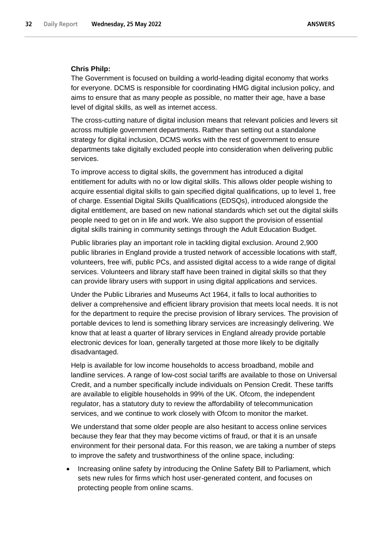## **Chris Philp:**

The Government is focused on building a world-leading digital economy that works for everyone. DCMS is responsible for coordinating HMG digital inclusion policy, and aims to ensure that as many people as possible, no matter their age, have a base level of digital skills, as well as internet access.

The cross-cutting nature of digital inclusion means that relevant policies and levers sit across multiple government departments. Rather than setting out a standalone strategy for digital inclusion, DCMS works with the rest of government to ensure departments take digitally excluded people into consideration when delivering public services.

To improve access to digital skills, the government has introduced a digital entitlement for adults with no or low digital skills. This allows older people wishing to acquire essential digital skills to gain specified digital qualifications, up to level 1, free of charge. Essential Digital Skills Qualifications (EDSQs), introduced alongside the digital entitlement, are based on new national standards which set out the digital skills people need to get on in life and work. We also support the provision of essential digital skills training in community settings through the Adult Education Budget.

Public libraries play an important role in tackling digital exclusion. Around 2,900 public libraries in England provide a trusted network of accessible locations with staff, volunteers, free wifi, public PCs, and assisted digital access to a wide range of digital services. Volunteers and library staff have been trained in digital skills so that they can provide library users with support in using digital applications and services.

Under the Public Libraries and Museums Act 1964, it falls to local authorities to deliver a comprehensive and efficient library provision that meets local needs. It is not for the department to require the precise provision of library services. The provision of portable devices to lend is something library services are increasingly delivering. We know that at least a quarter of library services in England already provide portable electronic devices for loan, generally targeted at those more likely to be digitally disadvantaged.

Help is available for low income households to access broadband, mobile and landline services. A range of low-cost social tariffs are available to those on Universal Credit, and a number specifically include individuals on Pension Credit. These tariffs are available to eligible households in 99% of the UK. Ofcom, the independent regulator, has a statutory duty to review the affordability of telecommunication services, and we continue to work closely with Ofcom to monitor the market.

We understand that some older people are also hesitant to access online services because they fear that they may become victims of fraud, or that it is an unsafe environment for their personal data. For this reason, we are taking a number of steps to improve the safety and trustworthiness of the online space, including:

• Increasing online safety by introducing the Online Safety Bill to Parliament, which sets new rules for firms which host user-generated content, and focuses on protecting people from online scams.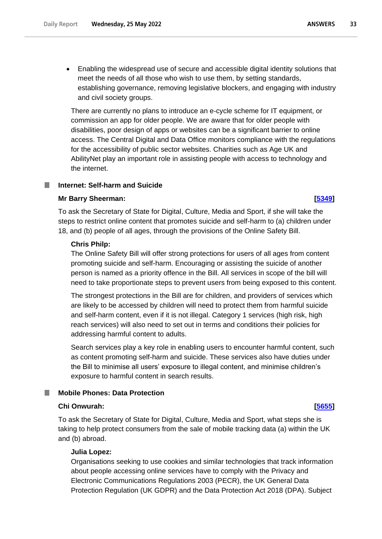• Enabling the widespread use of secure and accessible digital identity solutions that meet the needs of all those who wish to use them, by setting standards, establishing governance, removing legislative blockers, and engaging with industry and civil society groups.

There are currently no plans to introduce an e-cycle scheme for IT equipment, or commission an app for older people. We are aware that for older people with disabilities, poor design of apps or websites can be a significant barrier to online access. The Central Digital and Data Office monitors compliance with the regulations for the accessibility of public sector websites. Charities such as Age UK and AbilityNet play an important role in assisting people with access to technology and the internet.

## <span id="page-32-0"></span>**Internet: Self-harm and Suicide**

#### **Mr Barry Sheerman: [\[5349\]](http://www.parliament.uk/business/publications/written-questions-answers-statements/written-question/Commons/2022-05-19/5349)**

To ask the Secretary of State for Digital, Culture, Media and Sport, if she will take the steps to restrict online content that promotes suicide and self-harm to (a) children under 18, and (b) people of all ages, through the provisions of the Online Safety Bill.

#### **Chris Philp:**

The Online Safety Bill will offer strong protections for users of all ages from content promoting suicide and self-harm. Encouraging or assisting the suicide of another person is named as a priority offence in the Bill. All services in scope of the bill will need to take proportionate steps to prevent users from being exposed to this content.

The strongest protections in the Bill are for children, and providers of services which are likely to be accessed by children will need to protect them from harmful suicide and self-harm content, even if it is not illegal. Category 1 services (high risk, high reach services) will also need to set out in terms and conditions their policies for addressing harmful content to adults.

Search services play a key role in enabling users to encounter harmful content, such as content promoting self-harm and suicide. These services also have duties under the Bill to minimise all users' exposure to illegal content, and minimise children's exposure to harmful content in search results.

#### <span id="page-32-1"></span>**Mobile Phones: Data Protection**

### **Chi Onwurah: [\[5655\]](http://www.parliament.uk/business/publications/written-questions-answers-statements/written-question/Commons/2022-05-20/5655)**

To ask the Secretary of State for Digital, Culture, Media and Sport, what steps she is taking to help protect consumers from the sale of mobile tracking data (a) within the UK and (b) abroad.

### **Julia Lopez:**

Organisations seeking to use cookies and similar technologies that track information about people accessing online services have to comply with the Privacy and Electronic Communications Regulations 2003 (PECR), the UK General Data Protection Regulation (UK GDPR) and the Data Protection Act 2018 (DPA). Subject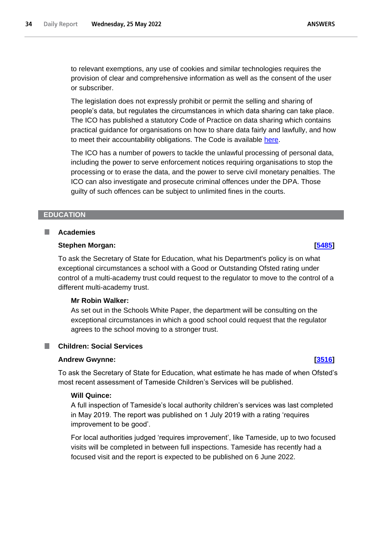to relevant exemptions, any use of cookies and similar technologies requires the provision of clear and comprehensive information as well as the consent of the user or subscriber.

The legislation does not expressly prohibit or permit the selling and sharing of people's data, but regulates the circumstances in which data sharing can take place. The ICO has published a statutory Code of Practice on data sharing which contains practical guidance for organisations on how to share data fairly and lawfully, and how to meet their accountability obligations. The Code is available [here.](https://ico.org.uk/for-organisations/guide-to-data-protection/ico-codes-of-practice/data-sharing-a-code-of-practice/)

The ICO has a number of powers to tackle the unlawful processing of personal data, including the power to serve enforcement notices requiring organisations to stop the processing or to erase the data, and the power to serve civil monetary penalties. The ICO can also investigate and prosecute criminal offences under the DPA. Those guilty of such offences can be subject to unlimited fines in the courts.

### <span id="page-33-0"></span>**EDUCATION**

### <span id="page-33-1"></span>**Academies**

### **Stephen Morgan: [\[5485\]](http://www.parliament.uk/business/publications/written-questions-answers-statements/written-question/Commons/2022-05-19/5485)**

To ask the Secretary of State for Education, what his Department's policy is on what exceptional circumstances a school with a Good or Outstanding Ofsted rating under control of a multi-academy trust could request to the regulator to move to the control of a different multi-academy trust.

### **Mr Robin Walker:**

As set out in the Schools White Paper, the department will be consulting on the exceptional circumstances in which a good school could request that the regulator agrees to the school moving to a stronger trust.

### <span id="page-33-2"></span>**Children: Social Services**

### **Andrew Gwynne: [\[3516\]](http://www.parliament.uk/business/publications/written-questions-answers-statements/written-question/Commons/2022-05-17/3516)**

To ask the Secretary of State for Education, what estimate he has made of when Ofsted's most recent assessment of Tameside Children's Services will be published.

## **Will Quince:**

A full inspection of Tameside's local authority children's services was last completed in May 2019. The report was published on 1 July 2019 with a rating 'requires improvement to be good'.

For local authorities judged 'requires improvement', like Tameside, up to two focused visits will be completed in between full inspections. Tameside has recently had a focused visit and the report is expected to be published on 6 June 2022.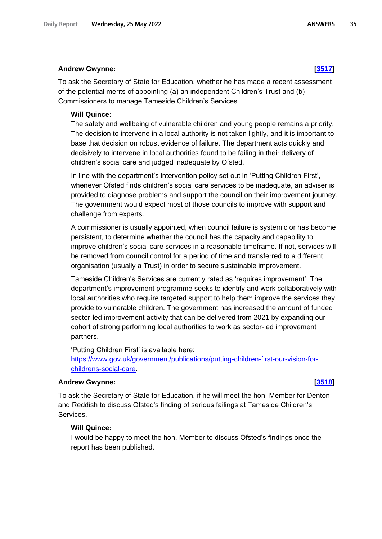#### **Andrew Gwynne: [\[3517\]](http://www.parliament.uk/business/publications/written-questions-answers-statements/written-question/Commons/2022-05-17/3517)**

To ask the Secretary of State for Education, whether he has made a recent assessment of the potential merits of appointing (a) an independent Children's Trust and (b) Commissioners to manage Tameside Children's Services.

#### **Will Quince:**

The safety and wellbeing of vulnerable children and young people remains a priority. The decision to intervene in a local authority is not taken lightly, and it is important to base that decision on robust evidence of failure. The department acts quickly and decisively to intervene in local authorities found to be failing in their delivery of children's social care and judged inadequate by Ofsted.

In line with the department's intervention policy set out in 'Putting Children First', whenever Ofsted finds children's social care services to be inadequate, an adviser is provided to diagnose problems and support the council on their improvement journey. The government would expect most of those councils to improve with support and challenge from experts.

A commissioner is usually appointed, when council failure is systemic or has become persistent, to determine whether the council has the capacity and capability to improve children's social care services in a reasonable timeframe. If not, services will be removed from council control for a period of time and transferred to a different organisation (usually a Trust) in order to secure sustainable improvement.

Tameside Children's Services are currently rated as 'requires improvement'. The department's improvement programme seeks to identify and work collaboratively with local authorities who require targeted support to help them improve the services they provide to vulnerable children. The government has increased the amount of funded sector-led improvement activity that can be delivered from 2021 by expanding our cohort of strong performing local authorities to work as sector-led improvement partners.

'Putting Children First' is available here: [https://www.gov.uk/government/publications/putting-children-first-our-vision-for](https://www.gov.uk/government/publications/putting-children-first-our-vision-for-childrens-social-care)[childrens-social-care.](https://www.gov.uk/government/publications/putting-children-first-our-vision-for-childrens-social-care)

### **Andrew Gwynne: [\[3518\]](http://www.parliament.uk/business/publications/written-questions-answers-statements/written-question/Commons/2022-05-17/3518)**

To ask the Secretary of State for Education, if he will meet the hon. Member for Denton and Reddish to discuss Ofsted's finding of serious failings at Tameside Children's Services.

## **Will Quince:**

I would be happy to meet the hon. Member to discuss Ofsted's findings once the report has been published.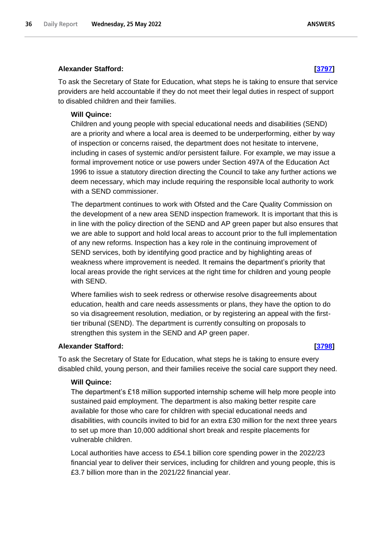# **Alexander Stafford: [\[3797\]](http://www.parliament.uk/business/publications/written-questions-answers-statements/written-question/Commons/2022-05-17/3797)**

To ask the Secretary of State for Education, what steps he is taking to ensure that service providers are held accountable if they do not meet their legal duties in respect of support to disabled children and their families.

## **Will Quince:**

Children and young people with special educational needs and disabilities (SEND) are a priority and where a local area is deemed to be underperforming, either by way of inspection or concerns raised, the department does not hesitate to intervene, including in cases of systemic and/or persistent failure. For example, we may issue a formal improvement notice or use powers under Section 497A of the Education Act 1996 to issue a statutory direction directing the Council to take any further actions we deem necessary, which may include requiring the responsible local authority to work with a SEND commissioner.

The department continues to work with Ofsted and the Care Quality Commission on the development of a new area SEND inspection framework. It is important that this is in line with the policy direction of the SEND and AP green paper but also ensures that we are able to support and hold local areas to account prior to the full implementation of any new reforms. Inspection has a key role in the continuing improvement of SEND services, both by identifying good practice and by highlighting areas of weakness where improvement is needed. It remains the department's priority that local areas provide the right services at the right time for children and young people with SEND.

Where families wish to seek redress or otherwise resolve disagreements about education, health and care needs assessments or plans, they have the option to do so via disagreement resolution, mediation, or by registering an appeal with the firsttier tribunal (SEND). The department is currently consulting on proposals to strengthen this system in the SEND and AP green paper.

## **Alexander Stafford: [\[3798\]](http://www.parliament.uk/business/publications/written-questions-answers-statements/written-question/Commons/2022-05-17/3798)**

To ask the Secretary of State for Education, what steps he is taking to ensure every disabled child, young person, and their families receive the social care support they need.

#### **Will Quince:**

The department's £18 million supported internship scheme will help more people into sustained paid employment. The department is also making better respite care available for those who care for children with special educational needs and disabilities, with councils invited to bid for an extra £30 million for the next three years to set up more than 10,000 additional short break and respite placements for vulnerable children.

Local authorities have access to £54.1 billion core spending power in the 2022/23 financial year to deliver their services, including for children and young people, this is £3.7 billion more than in the 2021/22 financial year.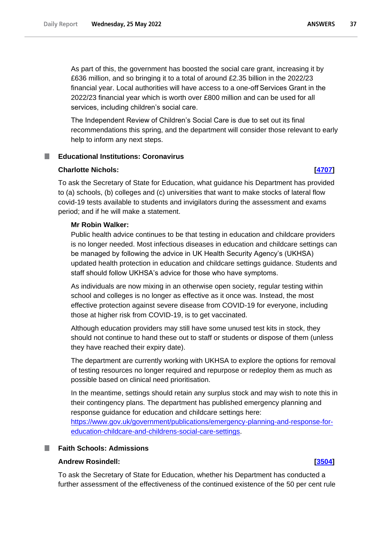As part of this, the government has boosted the social care grant, increasing it by £636 million, and so bringing it to a total of around £2.35 billion in the 2022/23 financial year. Local authorities will have access to a one-off Services Grant in the 2022/23 financial year which is worth over £800 million and can be used for all services, including children's social care.

The Independent Review of Children's Social Care is due to set out its final recommendations this spring, and the department will consider those relevant to early help to inform any next steps.

# **Educational Institutions: Coronavirus**

# **Charlotte Nichols: [\[4707\]](http://www.parliament.uk/business/publications/written-questions-answers-statements/written-question/Commons/2022-05-18/4707)**

To ask the Secretary of State for Education, what guidance his Department has provided to (a) schools, (b) colleges and (c) universities that want to make stocks of lateral flow covid-19 tests available to students and invigilators during the assessment and exams period; and if he will make a statement.

# **Mr Robin Walker:**

Public health advice continues to be that testing in education and childcare providers is no longer needed. Most infectious diseases in education and childcare settings can be managed by following the advice in UK Health Security Agency's (UKHSA) updated health protection in education and childcare settings guidance. Students and staff should follow UKHSA's advice for those who have symptoms.

As individuals are now mixing in an otherwise open society, regular testing within school and colleges is no longer as effective as it once was. Instead, the most effective protection against severe disease from COVID-19 for everyone, including those at higher risk from COVID-19, is to get vaccinated.

Although education providers may still have some unused test kits in stock, they should not continue to hand these out to staff or students or dispose of them (unless they have reached their expiry date).

The department are currently working with UKHSA to explore the options for removal of testing resources no longer required and repurpose or redeploy them as much as possible based on clinical need prioritisation.

In the meantime, settings should retain any surplus stock and may wish to note this in their contingency plans. The department has published emergency planning and response guidance for education and childcare settings here:

[https://www.gov.uk/government/publications/emergency-planning-and-response-for](https://www.gov.uk/government/publications/emergency-planning-and-response-for-education-childcare-and-childrens-social-care-settings)[education-childcare-and-childrens-social-care-settings.](https://www.gov.uk/government/publications/emergency-planning-and-response-for-education-childcare-and-childrens-social-care-settings)

# **Faith Schools: Admissions**

### **Andrew Rosindell: [\[3504\]](http://www.parliament.uk/business/publications/written-questions-answers-statements/written-question/Commons/2022-05-17/3504)**

To ask the Secretary of State for Education, whether his Department has conducted a further assessment of the effectiveness of the continued existence of the 50 per cent rule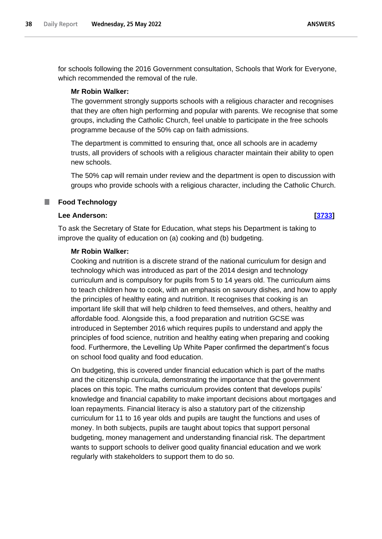for schools following the 2016 Government consultation, Schools that Work for Everyone, which recommended the removal of the rule.

# **Mr Robin Walker:**

The government strongly supports schools with a religious character and recognises that they are often high performing and popular with parents. We recognise that some groups, including the Catholic Church, feel unable to participate in the free schools programme because of the 50% cap on faith admissions.

The department is committed to ensuring that, once all schools are in academy trusts, all providers of schools with a religious character maintain their ability to open new schools.

The 50% cap will remain under review and the department is open to discussion with groups who provide schools with a religious character, including the Catholic Church.

### **Food Technology** .

## **Lee Anderson: [\[3733\]](http://www.parliament.uk/business/publications/written-questions-answers-statements/written-question/Commons/2022-05-17/3733)**

To ask the Secretary of State for Education, what steps his Department is taking to improve the quality of education on (a) cooking and (b) budgeting.

## **Mr Robin Walker:**

Cooking and nutrition is a discrete strand of the national curriculum for design and technology which was introduced as part of the 2014 design and technology curriculum and is compulsory for pupils from 5 to 14 years old. The curriculum aims to teach children how to cook, with an emphasis on savoury dishes, and how to apply the principles of healthy eating and nutrition. It recognises that cooking is an important life skill that will help children to feed themselves, and others, healthy and affordable food. Alongside this, a food preparation and nutrition GCSE was introduced in September 2016 which requires pupils to understand and apply the principles of food science, nutrition and healthy eating when preparing and cooking food. Furthermore, the Levelling Up White Paper confirmed the department's focus on school food quality and food education.

On budgeting, this is covered under financial education which is part of the maths and the citizenship curricula, demonstrating the importance that the government places on this topic. The maths curriculum provides content that develops pupils' knowledge and financial capability to make important decisions about mortgages and loan repayments. Financial literacy is also a statutory part of the citizenship curriculum for 11 to 16 year olds and pupils are taught the functions and uses of money. In both subjects, pupils are taught about topics that support personal budgeting, money management and understanding financial risk. The department wants to support schools to deliver good quality financial education and we work regularly with stakeholders to support them to do so.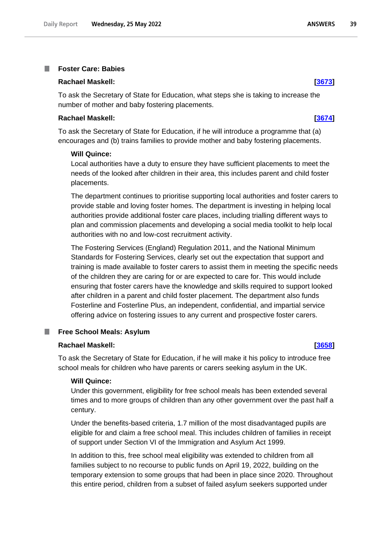### **Foster Care: Babies** T.

### **Rachael Maskell: [\[3673\]](http://www.parliament.uk/business/publications/written-questions-answers-statements/written-question/Commons/2022-05-17/3673)**

To ask the Secretary of State for Education, what steps she is taking to increase the number of mother and baby fostering placements.

### **Rachael Maskell: [\[3674\]](http://www.parliament.uk/business/publications/written-questions-answers-statements/written-question/Commons/2022-05-17/3674)**

To ask the Secretary of State for Education, if he will introduce a programme that (a) encourages and (b) trains families to provide mother and baby fostering placements.

### **Will Quince:**

Local authorities have a duty to ensure they have sufficient placements to meet the needs of the looked after children in their area, this includes parent and child foster placements.

The department continues to prioritise supporting local authorities and foster carers to provide stable and loving foster homes. The department is investing in helping local authorities provide additional foster care places, including trialling different ways to plan and commission placements and developing a social media toolkit to help local authorities with no and low-cost recruitment activity.

The Fostering Services (England) Regulation 2011, and the National Minimum Standards for Fostering Services, clearly set out the expectation that support and training is made available to foster carers to assist them in meeting the specific needs of the children they are caring for or are expected to care for. This would include ensuring that foster carers have the knowledge and skills required to support looked after children in a parent and child foster placement. The department also funds Fosterline and Fosterline Plus, an independent, confidential, and impartial service offering advice on fostering issues to any current and prospective foster carers.

### **Free School Meals: Asylum** m.

### **Rachael Maskell: [\[3658\]](http://www.parliament.uk/business/publications/written-questions-answers-statements/written-question/Commons/2022-05-17/3658)**

To ask the Secretary of State for Education, if he will make it his policy to introduce free school meals for children who have parents or carers seeking asylum in the UK.

# **Will Quince:**

Under this government, eligibility for free school meals has been extended several times and to more groups of children than any other government over the past half a century.

Under the benefits-based criteria, 1.7 million of the most disadvantaged pupils are eligible for and claim a free school meal. This includes children of families in receipt of support under Section VI of the Immigration and Asylum Act 1999.

In addition to this, free school meal eligibility was extended to children from all families subject to no recourse to public funds on April 19, 2022, building on the temporary extension to some groups that had been in place since 2020. Throughout this entire period, children from a subset of failed asylum seekers supported under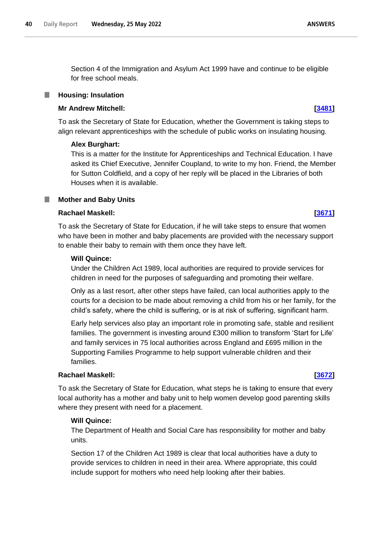Section 4 of the Immigration and Asylum Act 1999 have and continue to be eligible for free school meals.

# **Housing: Insulation**

# **Mr Andrew Mitchell: [\[3481\]](http://www.parliament.uk/business/publications/written-questions-answers-statements/written-question/Commons/2022-05-17/3481)**

To ask the Secretary of State for Education, whether the Government is taking steps to align relevant apprenticeships with the schedule of public works on insulating housing.

# **Alex Burghart:**

This is a matter for the Institute for Apprenticeships and Technical Education. I have asked its Chief Executive, Jennifer Coupland, to write to my hon. Friend, the Member for Sutton Coldfield, and a copy of her reply will be placed in the Libraries of both Houses when it is available.

# **Mother and Baby Units**

# **Rachael Maskell: [\[3671\]](http://www.parliament.uk/business/publications/written-questions-answers-statements/written-question/Commons/2022-05-17/3671)**

To ask the Secretary of State for Education, if he will take steps to ensure that women who have been in mother and baby placements are provided with the necessary support to enable their baby to remain with them once they have left.

# **Will Quince:**

Under the Children Act 1989, local authorities are required to provide services for children in need for the purposes of safeguarding and promoting their welfare.

Only as a last resort, after other steps have failed, can local authorities apply to the courts for a decision to be made about removing a child from his or her family, for the child's safety, where the child is suffering, or is at risk of suffering, significant harm.

Early help services also play an important role in promoting safe, stable and resilient families. The government is investing around £300 million to transform 'Start for Life' and family services in 75 local authorities across England and £695 million in the Supporting Families Programme to help support vulnerable children and their families.

# **Rachael Maskell: [\[3672\]](http://www.parliament.uk/business/publications/written-questions-answers-statements/written-question/Commons/2022-05-17/3672)**

To ask the Secretary of State for Education, what steps he is taking to ensure that every local authority has a mother and baby unit to help women develop good parenting skills where they present with need for a placement.

# **Will Quince:**

The Department of Health and Social Care has responsibility for mother and baby units.

Section 17 of the Children Act 1989 is clear that local authorities have a duty to provide services to children in need in their area. Where appropriate, this could include support for mothers who need help looking after their babies.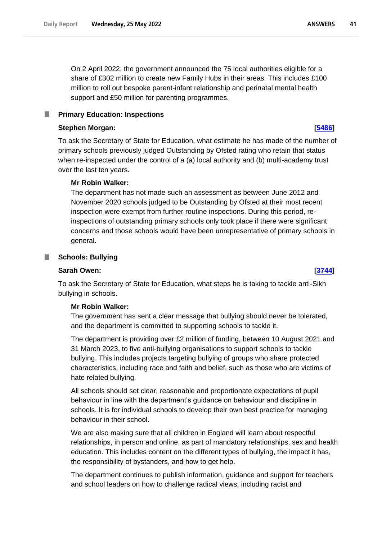On 2 April 2022, the government announced the 75 local authorities eligible for a share of £302 million to create new Family Hubs in their areas. This includes £100 million to roll out bespoke parent-infant relationship and perinatal mental health support and £50 million for parenting programmes.

# **Primary Education: Inspections**

# **Stephen Morgan: [\[5486\]](http://www.parliament.uk/business/publications/written-questions-answers-statements/written-question/Commons/2022-05-19/5486)**

To ask the Secretary of State for Education, what estimate he has made of the number of primary schools previously judged Outstanding by Ofsted rating who retain that status when re-inspected under the control of a (a) local authority and (b) multi-academy trust over the last ten years.

# **Mr Robin Walker:**

The department has not made such an assessment as between June 2012 and November 2020 schools judged to be Outstanding by Ofsted at their most recent inspection were exempt from further routine inspections. During this period, reinspections of outstanding primary schools only took place if there were significant concerns and those schools would have been unrepresentative of primary schools in general.

# **Schools: Bullying**

# **Sarah Owen: [\[3744\]](http://www.parliament.uk/business/publications/written-questions-answers-statements/written-question/Commons/2022-05-17/3744)**

To ask the Secretary of State for Education, what steps he is taking to tackle anti-Sikh bullying in schools.

# **Mr Robin Walker:**

The government has sent a clear message that bullying should never be tolerated, and the department is committed to supporting schools to tackle it.

The department is providing over £2 million of funding, between 10 August 2021 and 31 March 2023, to five anti-bullying organisations to support schools to tackle bullying. This includes projects targeting bullying of groups who share protected characteristics, including race and faith and belief, such as those who are victims of hate related bullying.

All schools should set clear, reasonable and proportionate expectations of pupil behaviour in line with the department's guidance on behaviour and discipline in schools. It is for individual schools to develop their own best practice for managing behaviour in their school.

We are also making sure that all children in England will learn about respectful relationships, in person and online, as part of mandatory relationships, sex and health education. This includes content on the different types of bullying, the impact it has, the responsibility of bystanders, and how to get help.

The department continues to publish information, guidance and support for teachers and school leaders on how to challenge radical views, including racist and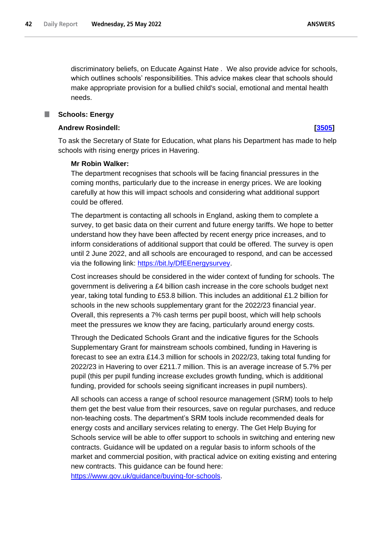discriminatory beliefs, on Educate Against Hate *.* We also provide advice for schools, which outlines schools' responsibilities. This advice makes clear that schools should make appropriate provision for a bullied child's social, emotional and mental health needs.

## **Schools: Energy**

### **Andrew Rosindell: [\[3505\]](http://www.parliament.uk/business/publications/written-questions-answers-statements/written-question/Commons/2022-05-17/3505)**

To ask the Secretary of State for Education, what plans his Department has made to help schools with rising energy prices in Havering.

### **Mr Robin Walker:**

The department recognises that schools will be facing financial pressures in the coming months, particularly due to the increase in energy prices. We are looking carefully at how this will impact schools and considering what additional support could be offered.

The department is contacting all schools in England, asking them to complete a survey, to get basic data on their current and future energy tariffs. We hope to better understand how they have been affected by recent energy price increases, and to inform considerations of additional support that could be offered. The survey is open until 2 June 2022, and all schools are encouraged to respond, and can be accessed via the following link: [https://bit.ly/DfEEnergysurvey.](https://bit.ly/DfEEnergysurvey)

Cost increases should be considered in the wider context of funding for schools. The government is delivering a £4 billion cash increase in the core schools budget next year, taking total funding to £53.8 billion. This includes an additional £1.2 billion for schools in the new schools supplementary grant for the 2022/23 financial year. Overall, this represents a 7% cash terms per pupil boost, which will help schools meet the pressures we know they are facing, particularly around energy costs.

Through the Dedicated Schools Grant and the indicative figures for the Schools Supplementary Grant for mainstream schools combined, funding in Havering is forecast to see an extra £14.3 million for schools in 2022/23, taking total funding for 2022/23 in Havering to over £211.7 million. This is an average increase of 5.7% per pupil (this per pupil funding increase excludes growth funding, which is additional funding, provided for schools seeing significant increases in pupil numbers).

All schools can access a range of school resource management (SRM) tools to help them get the best value from their resources, save on regular purchases, and reduce non-teaching costs. The department's SRM tools include recommended deals for energy costs and ancillary services relating to energy. The Get Help Buying for Schools service will be able to offer support to schools in switching and entering new contracts. Guidance will be updated on a regular basis to inform schools of the market and commercial position, with practical advice on exiting existing and entering new contracts. This guidance can be found here:

[https://www.gov.uk/guidance/buying-for-schools.](https://www.gov.uk/guidance/buying-for-schools)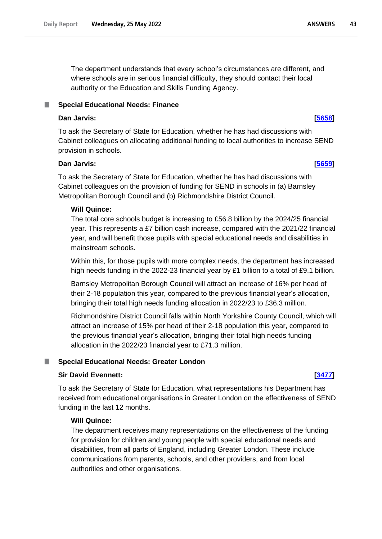The department understands that every school's circumstances are different, and where schools are in serious financial difficulty, they should contact their local authority or the Education and Skills Funding Agency.

# **Special Educational Needs: Finance**

# **Dan Jarvis: [\[5658\]](http://www.parliament.uk/business/publications/written-questions-answers-statements/written-question/Commons/2022-05-20/5658)**

To ask the Secretary of State for Education, whether he has had discussions with Cabinet colleagues on allocating additional funding to local authorities to increase SEND provision in schools.

# **Dan Jarvis: [\[5659\]](http://www.parliament.uk/business/publications/written-questions-answers-statements/written-question/Commons/2022-05-20/5659)**

To ask the Secretary of State for Education, whether he has had discussions with Cabinet colleagues on the provision of funding for SEND in schools in (a) Barnsley Metropolitan Borough Council and (b) Richmondshire District Council.

# **Will Quince:**

The total core schools budget is increasing to £56.8 billion by the 2024/25 financial year. This represents a £7 billion cash increase, compared with the 2021/22 financial year, and will benefit those pupils with special educational needs and disabilities in mainstream schools.

Within this, for those pupils with more complex needs, the department has increased high needs funding in the 2022-23 financial year by £1 billion to a total of £9.1 billion.

Barnsley Metropolitan Borough Council will attract an increase of 16% per head of their 2-18 population this year, compared to the previous financial year's allocation, bringing their total high needs funding allocation in 2022/23 to £36.3 million.

Richmondshire District Council falls within North Yorkshire County Council, which will attract an increase of 15% per head of their 2-18 population this year, compared to the previous financial year's allocation, bringing their total high needs funding allocation in the 2022/23 financial year to £71.3 million.

# **Special Educational Needs: Greater London**

# **Sir David Evennett: [\[3477\]](http://www.parliament.uk/business/publications/written-questions-answers-statements/written-question/Commons/2022-05-17/3477)**

To ask the Secretary of State for Education, what representations his Department has received from educational organisations in Greater London on the effectiveness of SEND funding in the last 12 months.

# **Will Quince:**

The department receives many representations on the effectiveness of the funding for provision for children and young people with special educational needs and disabilities, from all parts of England, including Greater London. These include communications from parents, schools, and other providers, and from local authorities and other organisations.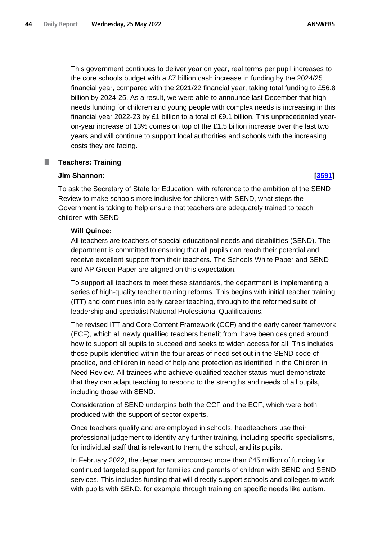This government continues to deliver year on year, real terms per pupil increases to the core schools budget with a £7 billion cash increase in funding by the 2024/25 financial year, compared with the 2021/22 financial year, taking total funding to £56.8 billion by 2024-25. As a result, we were able to announce last December that high needs funding for children and young people with complex needs is increasing in this financial year 2022-23 by £1 billion to a total of £9.1 billion. This unprecedented yearon-year increase of 13% comes on top of the £1.5 billion increase over the last two years and will continue to support local authorities and schools with the increasing costs they are facing.

### П **Teachers: Training**

# **Jim Shannon: [\[3591\]](http://www.parliament.uk/business/publications/written-questions-answers-statements/written-question/Commons/2022-05-17/3591)**

To ask the Secretary of State for Education, with reference to the ambition of the SEND Review to make schools more inclusive for children with SEND, what steps the Government is taking to help ensure that teachers are adequately trained to teach children with SEND.

# **Will Quince:**

All teachers are teachers of special educational needs and disabilities (SEND). The department is committed to ensuring that all pupils can reach their potential and receive excellent support from their teachers. The Schools White Paper and SEND and AP Green Paper are aligned on this expectation.

To support all teachers to meet these standards, the department is implementing a series of high-quality teacher training reforms. This begins with initial teacher training (ITT) and continues into early career teaching, through to the reformed suite of leadership and specialist National Professional Qualifications.

The revised ITT and Core Content Framework (CCF) and the early career framework (ECF), which all newly qualified teachers benefit from, have been designed around how to support all pupils to succeed and seeks to widen access for all. This includes those pupils identified within the four areas of need set out in the SEND code of practice, and children in need of help and protection as identified in the Children in Need Review. All trainees who achieve qualified teacher status must demonstrate that they can adapt teaching to respond to the strengths and needs of all pupils, including those with SEND.

Consideration of SEND underpins both the CCF and the ECF, which were both produced with the support of sector experts.

Once teachers qualify and are employed in schools, headteachers use their professional judgement to identify any further training, including specific specialisms, for individual staff that is relevant to them, the school, and its pupils.

In February 2022, the department announced more than £45 million of funding for continued targeted support for families and parents of children with SEND and SEND services. This includes funding that will directly support schools and colleges to work with pupils with SEND, for example through training on specific needs like autism.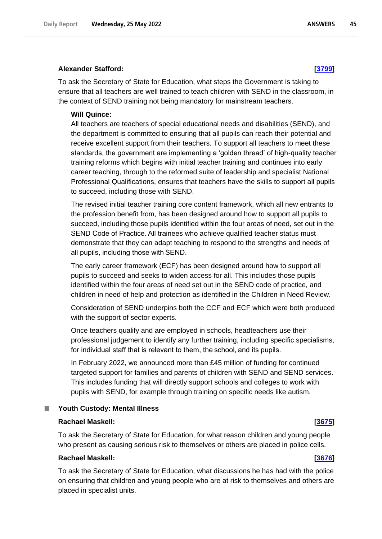## **Alexander Stafford: [\[3799\]](http://www.parliament.uk/business/publications/written-questions-answers-statements/written-question/Commons/2022-05-17/3799)**

To ask the Secretary of State for Education, what steps the Government is taking to ensure that all teachers are well trained to teach children with SEND in the classroom, in the context of SEND training not being mandatory for mainstream teachers.

### **Will Quince:**

All teachers are teachers of special educational needs and disabilities (SEND), and the department is committed to ensuring that all pupils can reach their potential and receive excellent support from their teachers. To support all teachers to meet these standards, the government are implementing a 'golden thread' of high-quality teacher training reforms which begins with initial teacher training and continues into early career teaching, through to the reformed suite of leadership and specialist National Professional Qualifications, ensures that teachers have the skills to support all pupils to succeed, including those with SEND.

The revised initial teacher training core content framework, which all new entrants to the profession benefit from, has been designed around how to support all pupils to succeed, including those pupils identified within the four areas of need, set out in the SEND Code of Practice. All trainees who achieve qualified teacher status must demonstrate that they can adapt teaching to respond to the strengths and needs of all pupils, including those with SEND.

The early career framework (ECF) has been designed around how to support all pupils to succeed and seeks to widen access for all. This includes those pupils identified within the four areas of need set out in the SEND code of practice, and children in need of help and protection as identified in the Children in Need Review.

Consideration of SEND underpins both the CCF and ECF which were both produced with the support of sector experts.

Once teachers qualify and are employed in schools, headteachers use their professional judgement to identify any further training, including specific specialisms, for individual staff that is relevant to them, the school, and its pupils.

In February 2022, we announced more than £45 million of funding for continued targeted support for families and parents of children with SEND and SEND services. This includes funding that will directly support schools and colleges to work with pupils with SEND, for example through training on specific needs like autism.

### **Youth Custody: Mental Illness** П

### **Rachael Maskell: [\[3675\]](http://www.parliament.uk/business/publications/written-questions-answers-statements/written-question/Commons/2022-05-17/3675)**

To ask the Secretary of State for Education, for what reason children and young people who present as causing serious risk to themselves or others are placed in police cells.

## **Rachael Maskell: [\[3676\]](http://www.parliament.uk/business/publications/written-questions-answers-statements/written-question/Commons/2022-05-17/3676)**

To ask the Secretary of State for Education, what discussions he has had with the police on ensuring that children and young people who are at risk to themselves and others are placed in specialist units.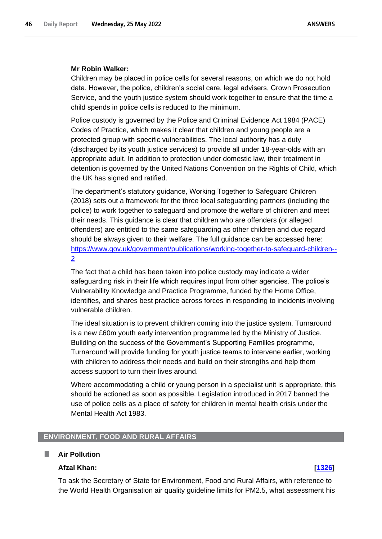# **Mr Robin Walker:**

Children may be placed in police cells for several reasons, on which we do not hold data. However, the police, children's social care, legal advisers, Crown Prosecution Service, and the youth justice system should work together to ensure that the time a child spends in police cells is reduced to the minimum.

Police custody is governed by the Police and Criminal Evidence Act 1984 (PACE) Codes of Practice, which makes it clear that children and young people are a protected group with specific vulnerabilities. The local authority has a duty (discharged by its youth justice services) to provide all under 18-year-olds with an appropriate adult. In addition to protection under domestic law, their treatment in detention is governed by the United Nations Convention on the Rights of Child, which the UK has signed and ratified.

The department's statutory guidance, Working Together to Safeguard Children (2018) sets out a framework for the three local safeguarding partners (including the police) to work together to safeguard and promote the welfare of children and meet their needs. This guidance is clear that children who are offenders (or alleged offenders) are entitled to the same safeguarding as other children and due regard should be always given to their welfare. The full guidance can be accessed here: [https://www.gov.uk/government/publications/working-together-to-safeguard-children--](https://www.gov.uk/government/publications/working-together-to-safeguard-children--2) [2](https://www.gov.uk/government/publications/working-together-to-safeguard-children--2)

The fact that a child has been taken into police custody may indicate a wider safeguarding risk in their life which requires input from other agencies. The police's Vulnerability Knowledge and Practice Programme, funded by the Home Office, identifies, and shares best practice across forces in responding to incidents involving vulnerable children.

The ideal situation is to prevent children coming into the justice system. Turnaround is a new £60m youth early intervention programme led by the Ministry of Justice. Building on the success of the Government's Supporting Families programme, Turnaround will provide funding for youth justice teams to intervene earlier, working with children to address their needs and build on their strengths and help them access support to turn their lives around.

Where accommodating a child or young person in a specialist unit is appropriate, this should be actioned as soon as possible. Legislation introduced in 2017 banned the use of police cells as a place of safety for children in mental health crisis under the Mental Health Act 1983.

# **ENVIRONMENT, FOOD AND RURAL AFFAIRS**

### ш **Air Pollution**

# **Afzal Khan: [\[1326\]](http://www.parliament.uk/business/publications/written-questions-answers-statements/written-question/Commons/2022-05-12/1326)**

To ask the Secretary of State for Environment, Food and Rural Affairs, with reference to the World Health Organisation air quality guideline limits for PM2.5, what assessment his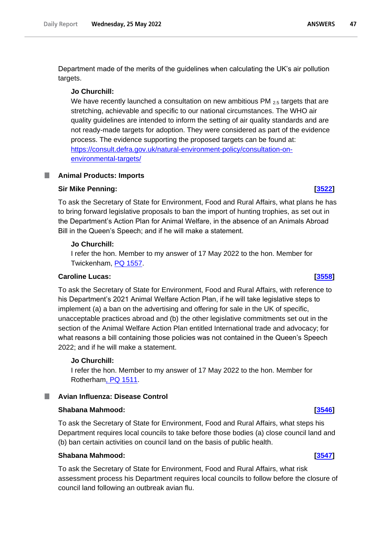Department made of the merits of the guidelines when calculating the UK's air pollution targets.

# **Jo Churchill:**

We have recently launched a consultation on new ambitious PM  $_{2.5}$  targets that are stretching, achievable and specific to our national circumstances. The WHO air quality guidelines are intended to inform the setting of air quality standards and are not ready-made targets for adoption. They were considered as part of the evidence process. The evidence supporting the proposed targets can be found at: https://consult.defra.gov.uk/natural-environment-policy/consultation-onenvironmental-targets/

# **Animal Products: Imports**

# **Sir Mike Penning: [\[3522\]](http://www.parliament.uk/business/publications/written-questions-answers-statements/written-question/Commons/2022-05-17/3522)**

To ask the Secretary of State for Environment, Food and Rural Affairs, what plans he has to bring forward legislative proposals to ban the import of hunting trophies, as set out in the Department's Action Plan for Animal Welfare, in the absence of an Animals Abroad Bill in the Queen's Speech; and if he will make a statement.

# **Jo Churchill:**

I refer the hon. Member to my answer of 17 May 2022 to the hon. Member for Twickenham, PQ 1557.

# **Caroline Lucas: [\[3558\]](http://www.parliament.uk/business/publications/written-questions-answers-statements/written-question/Commons/2022-05-17/3558)**

To ask the Secretary of State for Environment, Food and Rural Affairs, with reference to his Department's 2021 Animal Welfare Action Plan, if he will take legislative steps to implement (a) a ban on the advertising and offering for sale in the UK of specific, unacceptable practices abroad and (b) the other legislative commitments set out in the section of the Animal Welfare Action Plan entitled International trade and advocacy; for what reasons a bill containing those policies was not contained in the Queen's Speech 2022; and if he will make a statement.

# **Jo Churchill:**

I refer the hon. Member to my answer of 17 May 2022 to the hon. Member for Rotherha[m, PQ 1511.](https://questions-statements.parliament.uk/written-questions/detail/2022-05-13/1511)

### n. **Avian Influenza: Disease Control**

### **Shabana Mahmood: [\[3546\]](http://www.parliament.uk/business/publications/written-questions-answers-statements/written-question/Commons/2022-05-17/3546)**

To ask the Secretary of State for Environment, Food and Rural Affairs, what steps his Department requires local councils to take before those bodies (a) close council land and (b) ban certain activities on council land on the basis of public health.

# **Shabana Mahmood: [\[3547\]](http://www.parliament.uk/business/publications/written-questions-answers-statements/written-question/Commons/2022-05-17/3547)**

To ask the Secretary of State for Environment, Food and Rural Affairs, what risk assessment process his Department requires local councils to follow before the closure of council land following an outbreak avian flu.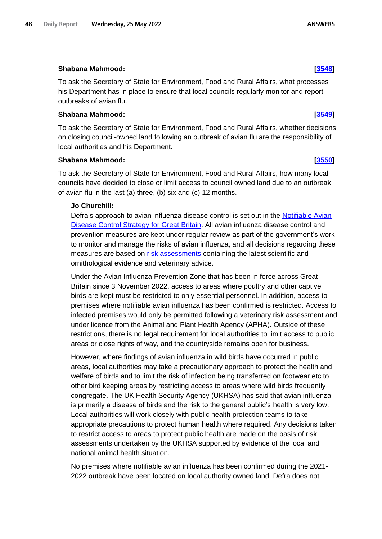Wednesday, 25 May 2022

48

**Daily Report** 

# **Shabana Mahmood: [\[3548\]](http://www.parliament.uk/business/publications/written-questions-answers-statements/written-question/Commons/2022-05-17/3548)**

To ask the Secretary of State for Environment, Food and Rural Affairs, what processes his Department has in place to ensure that local councils regularly monitor and report outbreaks of avian flu.

# **Shabana Mahmood: [\[3549\]](http://www.parliament.uk/business/publications/written-questions-answers-statements/written-question/Commons/2022-05-17/3549)**

To ask the Secretary of State for Environment, Food and Rural Affairs, whether decisions on closing council-owned land following an outbreak of avian flu are the responsibility of local authorities and his Department.

# **Shabana Mahmood: [\[3550\]](http://www.parliament.uk/business/publications/written-questions-answers-statements/written-question/Commons/2022-05-17/3550)**

To ask the Secretary of State for Environment, Food and Rural Affairs, how many local councils have decided to close or limit access to council owned land due to an outbreak of avian flu in the last (a) three, (b) six and (c) 12 months.

# **Jo Churchill:**

Defra's approach to avian influenza disease control is set out in the Notifiable Avian [Disease Control Strategy for Great Britain.](https://www.gov.uk/government/publications/notifiable-avian-disease-control-strategy) All avian influenza disease control and prevention measures are kept under regular review as part of the government's work to monitor and manage the risks of avian influenza, and all decisions regarding these measures are based on [risk assessments](https://www.gov.uk/government/publications/avian-influenza-bird-flu-in-europe) containing the latest scientific and ornithological evidence and veterinary advice.

Under the Avian Influenza Prevention Zone that has been in force across Great Britain since 3 November 2022, access to areas where poultry and other captive birds are kept must be restricted to only essential personnel. In addition, access to premises where notifiable avian influenza has been confirmed is restricted. Access to infected premises would only be permitted following a veterinary risk assessment and under licence from the Animal and Plant Health Agency (APHA). Outside of these restrictions, there is no legal requirement for local authorities to limit access to public areas or close rights of way, and the countryside remains open for business.

However, where findings of avian influenza in wild birds have occurred in public areas, local authorities may take a precautionary approach to protect the health and welfare of birds and to limit the risk of infection being transferred on footwear etc to other bird keeping areas by restricting access to areas where wild birds frequently congregate. The UK Health Security Agency (UKHSA) has said that avian influenza is primarily a disease of birds and the risk to the general public's health is very low. Local authorities will work closely with public health protection teams to take appropriate precautions to protect human health where required. Any decisions taken to restrict access to areas to protect public health are made on the basis of risk assessments undertaken by the UKHSA supported by evidence of the local and national animal health situation.

No premises where notifiable avian influenza has been confirmed during the 2021- 2022 outbreak have been located on local authority owned land. Defra does not

### **ANSWERS**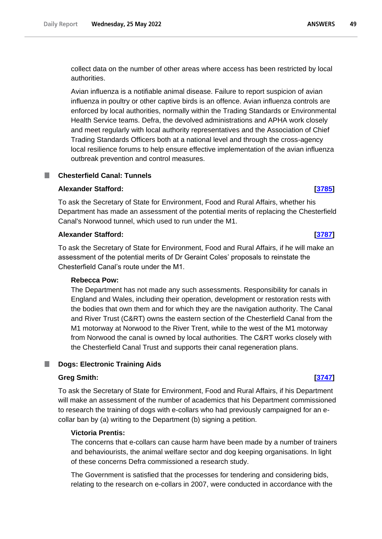collect data on the number of other areas where access has been restricted by local authorities.

Avian influenza is a notifiable animal disease. Failure to report suspicion of avian influenza in poultry or other captive birds is an offence. Avian influenza controls are enforced by local authorities, normally within the Trading Standards or Environmental Health Service teams. Defra, the devolved administrations and APHA work closely and meet regularly with local authority representatives and the Association of Chief Trading Standards Officers both at a national level and through the cross-agency local resilience forums to help ensure effective implementation of the avian influenza outbreak prevention and control measures.

# **Chesterfield Canal: Tunnels**

# **Alexander Stafford: [\[3785\]](http://www.parliament.uk/business/publications/written-questions-answers-statements/written-question/Commons/2022-05-17/3785)**

To ask the Secretary of State for Environment, Food and Rural Affairs, whether his Department has made an assessment of the potential merits of replacing the Chesterfield Canal's Norwood tunnel, which used to run under the M1.

# **Alexander Stafford: [\[3787\]](http://www.parliament.uk/business/publications/written-questions-answers-statements/written-question/Commons/2022-05-17/3787)**

To ask the Secretary of State for Environment, Food and Rural Affairs, if he will make an assessment of the potential merits of Dr Geraint Coles' proposals to reinstate the Chesterfield Canal's route under the M1.

# **Rebecca Pow:**

The Department has not made any such assessments. Responsibility for canals in England and Wales, including their operation, development or restoration rests with the bodies that own them and for which they are the navigation authority. The Canal and River Trust (C&RT) owns the eastern section of the Chesterfield Canal from the M1 motorway at Norwood to the River Trent, while to the west of the M1 motorway from Norwood the canal is owned by local authorities. The C&RT works closely with the Chesterfield Canal Trust and supports their canal regeneration plans.

# **Dogs: Electronic Training Aids**

### **Greg Smith: [\[3747\]](http://www.parliament.uk/business/publications/written-questions-answers-statements/written-question/Commons/2022-05-17/3747)**

To ask the Secretary of State for Environment, Food and Rural Affairs, if his Department will make an assessment of the number of academics that his Department commissioned to research the training of dogs with e-collars who had previously campaigned for an ecollar ban by (a) writing to the Department (b) signing a petition.

# **Victoria Prentis:**

The concerns that e-collars can cause harm have been made by a number of trainers and behaviourists, the animal welfare sector and dog keeping organisations. In light of these concerns Defra commissioned a research study.

The Government is satisfied that the processes for tendering and considering bids, relating to the research on e-collars in 2007, were conducted in accordance with the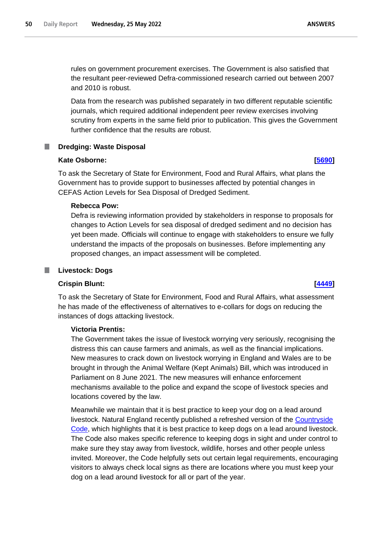rules on government procurement exercises. The Government is also satisfied that the resultant peer-reviewed Defra-commissioned research carried out between 2007 and 2010 is robust.

Data from the research was published separately in two different reputable scientific journals, which required additional independent peer review exercises involving scrutiny from experts in the same field prior to publication. This gives the Government further confidence that the results are robust.

# **Dredging: Waste Disposal**

# **Kate Osborne: [\[5690\]](http://www.parliament.uk/business/publications/written-questions-answers-statements/written-question/Commons/2022-05-20/5690)**

To ask the Secretary of State for Environment, Food and Rural Affairs, what plans the Government has to provide support to businesses affected by potential changes in CEFAS Action Levels for Sea Disposal of Dredged Sediment.

# **Rebecca Pow:**

Defra is reviewing information provided by stakeholders in response to proposals for changes to Action Levels for sea disposal of dredged sediment and no decision has yet been made. Officials will continue to engage with stakeholders to ensure we fully understand the impacts of the proposals on businesses. Before implementing any proposed changes, an impact assessment will be completed.

# **Livestock: Dogs**

### **Crispin Blunt: [\[4449\]](http://www.parliament.uk/business/publications/written-questions-answers-statements/written-question/Commons/2022-05-18/4449)**

To ask the Secretary of State for Environment, Food and Rural Affairs, what assessment he has made of the effectiveness of alternatives to e-collars for dogs on reducing the instances of dogs attacking livestock.

## **Victoria Prentis:**

The Government takes the issue of livestock worrying very seriously, recognising the distress this can cause farmers and animals, as well as the financial implications. New measures to crack down on livestock worrying in England and Wales are to be brought in through the Animal Welfare (Kept Animals) Bill, which was introduced in Parliament on 8 June 2021. The new measures will enhance enforcement mechanisms available to the police and expand the scope of livestock species and locations covered by the law.

Meanwhile we maintain that it is best practice to keep your dog on a lead around livestock. Natural England recently published a refreshed version of the [Countryside](https://www.gov.uk/government/publications/the-countryside-code/the-countryside-code-advice-for-countryside-visitors)  [Code,](https://www.gov.uk/government/publications/the-countryside-code/the-countryside-code-advice-for-countryside-visitors) which highlights that it is best practice to keep dogs on a lead around livestock. The Code also makes specific reference to keeping dogs in sight and under control to make sure they stay away from livestock, wildlife, horses and other people unless invited. Moreover, the Code helpfully sets out certain legal requirements, encouraging visitors to always check local signs as there are locations where you must keep your dog on a lead around livestock for all or part of the year.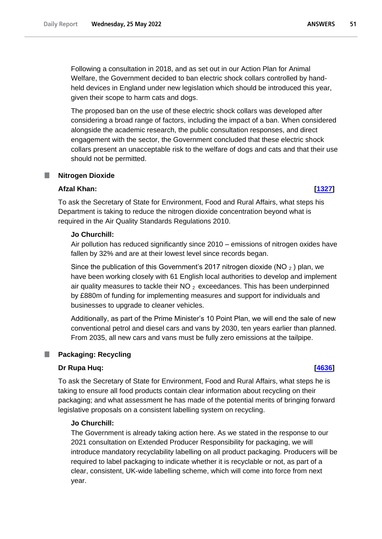Following a consultation in 2018, and as set out in our Action Plan for Animal Welfare, the Government decided to ban electric shock collars controlled by handheld devices in England under new legislation which should be introduced this year, given their scope to harm cats and dogs.

The proposed ban on the use of these electric shock collars was developed after considering a broad range of factors, including the impact of a ban. When considered alongside the academic research, the public consultation responses, and direct engagement with the sector, the Government concluded that these electric shock collars present an unacceptable risk to the welfare of dogs and cats and that their use should not be permitted.

# **Nitrogen Dioxide**

# **Afzal Khan: [\[1327\]](http://www.parliament.uk/business/publications/written-questions-answers-statements/written-question/Commons/2022-05-12/1327)**

To ask the Secretary of State for Environment, Food and Rural Affairs, what steps his Department is taking to reduce the nitrogen dioxide concentration beyond what is required in the Air Quality Standards Regulations 2010.

# **Jo Churchill:**

Air pollution has reduced significantly since 2010 – emissions of nitrogen oxides have fallen by 32% and are at their lowest level since records began.

Since the publication of this Government's 2017 nitrogen dioxide (NO  $_2$  ) plan, we have been working closely with 61 English local authorities to develop and implement air quality measures to tackle their  $NO<sub>2</sub>$  exceedances. This has been underpinned by £880m of funding for implementing measures and support for individuals and businesses to upgrade to cleaner vehicles.

Additionally, as part of the Prime Minister's 10 Point Plan, we will end the sale of new conventional petrol and diesel cars and vans by 2030, ten years earlier than planned. From 2035, all new cars and vans must be fully zero emissions at the tailpipe.

# **Packaging: Recycling**

# **Dr Rupa Huq: [\[4636\]](http://www.parliament.uk/business/publications/written-questions-answers-statements/written-question/Commons/2022-05-18/4636)**

To ask the Secretary of State for Environment, Food and Rural Affairs, what steps he is taking to ensure all food products contain clear information about recycling on their packaging; and what assessment he has made of the potential merits of bringing forward legislative proposals on a consistent labelling system on recycling.

# **Jo Churchill:**

The Government is already taking action here. As we stated in the response to our 2021 consultation on Extended Producer Responsibility for packaging, we will introduce mandatory recyclability labelling on all product packaging. Producers will be required to label packaging to indicate whether it is recyclable or not, as part of a clear, consistent, UK-wide labelling scheme, which will come into force from next year.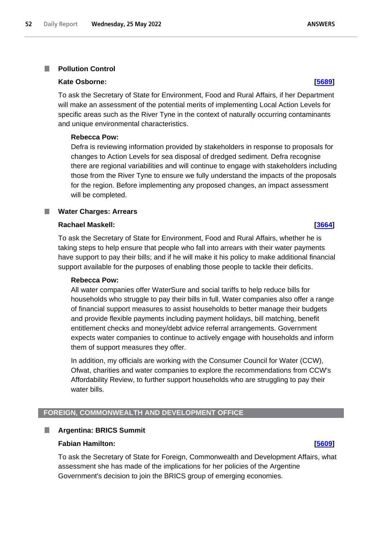# **Kate Osborne: [\[5689\]](http://www.parliament.uk/business/publications/written-questions-answers-statements/written-question/Commons/2022-05-20/5689)**

To ask the Secretary of State for Environment, Food and Rural Affairs, if her Department will make an assessment of the potential merits of implementing Local Action Levels for specific areas such as the River Tyne in the context of naturally occurring contaminants and unique environmental characteristics.

### **Rebecca Pow:**

Defra is reviewing information provided by stakeholders in response to proposals for changes to Action Levels for sea disposal of dredged sediment. Defra recognise there are regional variabilities and will continue to engage with stakeholders including those from the River Tyne to ensure we fully understand the impacts of the proposals for the region. Before implementing any proposed changes, an impact assessment will be completed.

## **Water Charges: Arrears**

### **Rachael Maskell: [\[3664\]](http://www.parliament.uk/business/publications/written-questions-answers-statements/written-question/Commons/2022-05-17/3664)**

To ask the Secretary of State for Environment, Food and Rural Affairs, whether he is taking steps to help ensure that people who fall into arrears with their water payments have support to pay their bills; and if he will make it his policy to make additional financial support available for the purposes of enabling those people to tackle their deficits.

### **Rebecca Pow:**

All water companies offer WaterSure and social tariffs to help reduce bills for households who struggle to pay their bills in full. Water companies also offer a range of financial support measures to assist households to better manage their budgets and provide flexible payments including payment holidays, bill matching, benefit entitlement checks and money/debt advice referral arrangements. Government expects water companies to continue to actively engage with households and inform them of support measures they offer.

In addition, my officials are working with the Consumer Council for Water (CCW), Ofwat, charities and water companies to explore the recommendations from CCW's Affordability Review, to further support households who are struggling to pay their water bills.

# **FOREIGN, COMMONWEALTH AND DEVELOPMENT OFFICE**

### П **Argentina: BRICS Summit**

### **Fabian Hamilton: [\[5609\]](http://www.parliament.uk/business/publications/written-questions-answers-statements/written-question/Commons/2022-05-20/5609)**

To ask the Secretary of State for Foreign, Commonwealth and Development Affairs, what assessment she has made of the implications for her policies of the Argentine Government's decision to join the BRICS group of emerging economies.

**ANSWERS**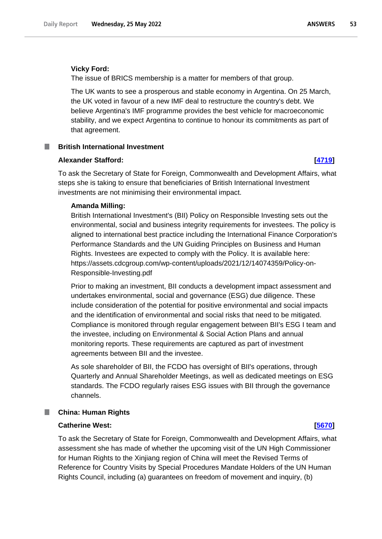### **Vicky Ford:**

The issue of BRICS membership is a matter for members of that group.

The UK wants to see a prosperous and stable economy in Argentina. On 25 March, the UK voted in favour of a new IMF deal to restructure the country's debt. We believe Argentina's IMF programme provides the best vehicle for macroeconomic stability, and we expect Argentina to continue to honour its commitments as part of that agreement.

## **British International Investment**

# **Alexander Stafford: [\[4719\]](http://www.parliament.uk/business/publications/written-questions-answers-statements/written-question/Commons/2022-05-18/4719)**

To ask the Secretary of State for Foreign, Commonwealth and Development Affairs, what steps she is taking to ensure that beneficiaries of British International Investment investments are not minimising their environmental impact.

# **Amanda Milling:**

British International Investment's (BII) Policy on Responsible Investing sets out the environmental, social and business integrity requirements for investees. The policy is aligned to international best practice including the International Finance Corporation's Performance Standards and the UN Guiding Principles on Business and Human Rights. Investees are expected to comply with the Policy. It is available here: https://assets.cdcgroup.com/wp-content/uploads/2021/12/14074359/Policy-on-Responsible-Investing.pdf

Prior to making an investment, BII conducts a development impact assessment and undertakes environmental, social and governance (ESG) due diligence. These include consideration of the potential for positive environmental and social impacts and the identification of environmental and social risks that need to be mitigated. Compliance is monitored through regular engagement between BII's ESG I team and the investee, including on Environmental & Social Action Plans and annual monitoring reports. These requirements are captured as part of investment agreements between BII and the investee.

As sole shareholder of BII, the FCDO has oversight of BII's operations, through Quarterly and Annual Shareholder Meetings, as well as dedicated meetings on ESG standards. The FCDO regularly raises ESG issues with BII through the governance channels.

# **China: Human Rights**

### **Catherine West: [\[5670\]](http://www.parliament.uk/business/publications/written-questions-answers-statements/written-question/Commons/2022-05-20/5670)**

To ask the Secretary of State for Foreign, Commonwealth and Development Affairs, what assessment she has made of whether the upcoming visit of the UN High Commissioner for Human Rights to the Xinjiang region of China will meet the Revised Terms of Reference for Country Visits by Special Procedures Mandate Holders of the UN Human Rights Council, including (a) guarantees on freedom of movement and inquiry, (b)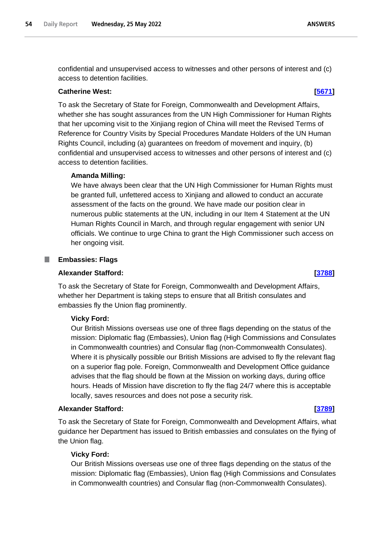**ANSWERS** 

confidential and unsupervised access to witnesses and other persons of interest and (c) access to detention facilities.

# **Catherine West: [\[5671\]](http://www.parliament.uk/business/publications/written-questions-answers-statements/written-question/Commons/2022-05-20/5671)**

To ask the Secretary of State for Foreign, Commonwealth and Development Affairs, whether she has sought assurances from the UN High Commissioner for Human Rights that her upcoming visit to the Xinjiang region of China will meet the Revised Terms of Reference for Country Visits by Special Procedures Mandate Holders of the UN Human Rights Council, including (a) guarantees on freedom of movement and inquiry, (b) confidential and unsupervised access to witnesses and other persons of interest and (c) access to detention facilities.

# **Amanda Milling:**

We have always been clear that the UN High Commissioner for Human Rights must be granted full, unfettered access to Xinjiang and allowed to conduct an accurate assessment of the facts on the ground. We have made our position clear in numerous public statements at the UN, including in our Item 4 Statement at the UN Human Rights Council in March, and through regular engagement with senior UN officials. We continue to urge China to grant the High Commissioner such access on her ongoing visit.

### **Embassies: Flags** ш

# **Alexander Stafford: [\[3788\]](http://www.parliament.uk/business/publications/written-questions-answers-statements/written-question/Commons/2022-05-17/3788)**

To ask the Secretary of State for Foreign, Commonwealth and Development Affairs, whether her Department is taking steps to ensure that all British consulates and embassies fly the Union flag prominently.

# **Vicky Ford:**

Our British Missions overseas use one of three flags depending on the status of the mission: Diplomatic flag (Embassies), Union flag (High Commissions and Consulates in Commonwealth countries) and Consular flag (non-Commonwealth Consulates). Where it is physically possible our British Missions are advised to fly the relevant flag on a superior flag pole. Foreign, Commonwealth and Development Office guidance advises that the flag should be flown at the Mission on working days, during office hours. Heads of Mission have discretion to fly the flag 24/7 where this is acceptable locally, saves resources and does not pose a security risk.

# **Alexander Stafford: [\[3789\]](http://www.parliament.uk/business/publications/written-questions-answers-statements/written-question/Commons/2022-05-17/3789)**

To ask the Secretary of State for Foreign, Commonwealth and Development Affairs, what guidance her Department has issued to British embassies and consulates on the flying of the Union flag.

# **Vicky Ford:**

Our British Missions overseas use one of three flags depending on the status of the mission: Diplomatic flag (Embassies), Union flag (High Commissions and Consulates in Commonwealth countries) and Consular flag (non-Commonwealth Consulates).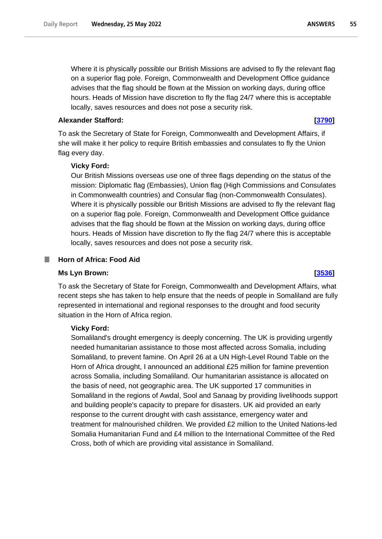Where it is physically possible our British Missions are advised to fly the relevant flag on a superior flag pole. Foreign, Commonwealth and Development Office guidance advises that the flag should be flown at the Mission on working days, during office hours. Heads of Mission have discretion to fly the flag 24/7 where this is acceptable locally, saves resources and does not pose a security risk.

# **Alexander Stafford: [\[3790\]](http://www.parliament.uk/business/publications/written-questions-answers-statements/written-question/Commons/2022-05-17/3790)**

To ask the Secretary of State for Foreign, Commonwealth and Development Affairs, if she will make it her policy to require British embassies and consulates to fly the Union flag every day.

# **Vicky Ford:**

Our British Missions overseas use one of three flags depending on the status of the mission: Diplomatic flag (Embassies), Union flag (High Commissions and Consulates in Commonwealth countries) and Consular flag (non-Commonwealth Consulates). Where it is physically possible our British Missions are advised to fly the relevant flag on a superior flag pole. Foreign, Commonwealth and Development Office guidance advises that the flag should be flown at the Mission on working days, during office hours. Heads of Mission have discretion to fly the flag 24/7 where this is acceptable locally, saves resources and does not pose a security risk.

### **Horn of Africa: Food Aid** a an

### **Ms Lyn Brown: [\[3536\]](http://www.parliament.uk/business/publications/written-questions-answers-statements/written-question/Commons/2022-05-17/3536)**

To ask the Secretary of State for Foreign, Commonwealth and Development Affairs, what recent steps she has taken to help ensure that the needs of people in Somaliland are fully represented in international and regional responses to the drought and food security situation in the Horn of Africa region.

### **Vicky Ford:**

Somaliland's drought emergency is deeply concerning. The UK is providing urgently needed humanitarian assistance to those most affected across Somalia, including Somaliland, to prevent famine. On April 26 at a UN High-Level Round Table on the Horn of Africa drought, I announced an additional £25 million for famine prevention across Somalia, including Somaliland. Our humanitarian assistance is allocated on the basis of need, not geographic area. The UK supported 17 communities in Somaliland in the regions of Awdal, Sool and Sanaag by providing livelihoods support and building people's capacity to prepare for disasters. UK aid provided an early response to the current drought with cash assistance, emergency water and treatment for malnourished children. We provided £2 million to the United Nations-led Somalia Humanitarian Fund and £4 million to the International Committee of the Red Cross, both of which are providing vital assistance in Somaliland.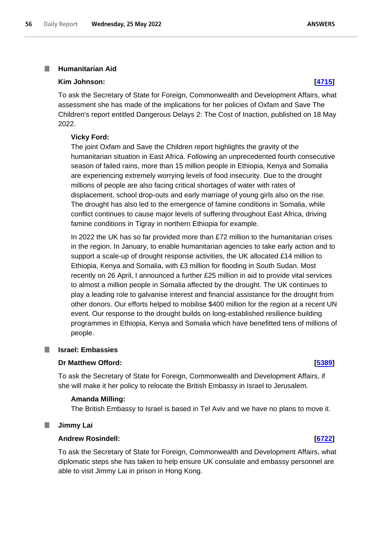### **Humanitarian Aid** I.

### **Kim Johnson: [\[4715\]](http://www.parliament.uk/business/publications/written-questions-answers-statements/written-question/Commons/2022-05-18/4715)**

To ask the Secretary of State for Foreign, Commonwealth and Development Affairs, what assessment she has made of the implications for her policies of Oxfam and Save The Children's report entitled Dangerous Delays 2: The Cost of Inaction, published on 18 May 2022.

# **Vicky Ford:**

The joint Oxfam and Save the Children report highlights the gravity of the humanitarian situation in East Africa. Following an unprecedented fourth consecutive season of failed rains, more than 15 million people in Ethiopia, Kenya and Somalia are experiencing extremely worrying levels of food insecurity. Due to the drought millions of people are also facing critical shortages of water with rates of displacement, school drop-outs and early marriage of young girls also on the rise. The drought has also led to the emergence of famine conditions in Somalia, while conflict continues to cause major levels of suffering throughout East Africa, driving famine conditions in Tigray in northern Ethiopia for example.

In 2022 the UK has so far provided more than £72 million to the humanitarian crises in the region. In January, to enable humanitarian agencies to take early action and to support a scale-up of drought response activities, the UK allocated £14 million to Ethiopia, Kenya and Somalia, with £3 million for flooding in South Sudan. Most recently on 26 April, I announced a further £25 million in aid to provide vital services to almost a million people in Somalia affected by the drought. The UK continues to play a leading role to galvanise interest and financial assistance for the drought from other donors. Our efforts helped to mobilise \$400 million for the region at a recent UN event. Our response to the drought builds on long-established resilience building programmes in Ethiopia, Kenya and Somalia which have benefitted tens of millions of people.

### T. **Israel: Embassies**

## **Dr Matthew Offord: [\[5389\]](http://www.parliament.uk/business/publications/written-questions-answers-statements/written-question/Commons/2022-05-19/5389)**

To ask the Secretary of State for Foreign, Commonwealth and Development Affairs, if she will make it her policy to relocate the British Embassy in Israel to Jerusalem.

### **Amanda Milling:**

The British Embassy to Israel is based in Tel Aviv and we have no plans to move it.

### ш **Jimmy Lai**

# **Andrew Rosindell: [\[6722\]](http://www.parliament.uk/business/publications/written-questions-answers-statements/written-question/Commons/2022-05-23/6722)**

To ask the Secretary of State for Foreign, Commonwealth and Development Affairs, what diplomatic steps she has taken to help ensure UK consulate and embassy personnel are able to visit Jimmy Lai in prison in Hong Kong.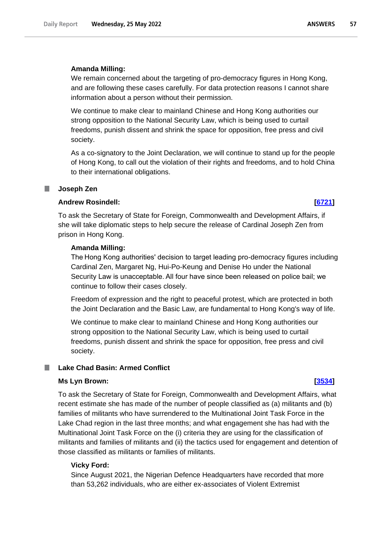## **Amanda Milling:**

We remain concerned about the targeting of pro-democracy figures in Hong Kong, and are following these cases carefully. For data protection reasons I cannot share information about a person without their permission.

We continue to make clear to mainland Chinese and Hong Kong authorities our strong opposition to the National Security Law, which is being used to curtail freedoms, punish dissent and shrink the space for opposition, free press and civil society.

As a co-signatory to the Joint Declaration, we will continue to stand up for the people of Hong Kong, to call out the violation of their rights and freedoms, and to hold China to their international obligations.

### ш **Joseph Zen**

# **Andrew Rosindell: [\[6721\]](http://www.parliament.uk/business/publications/written-questions-answers-statements/written-question/Commons/2022-05-23/6721)**

To ask the Secretary of State for Foreign, Commonwealth and Development Affairs, if she will take diplomatic steps to help secure the release of Cardinal Joseph Zen from prison in Hong Kong.

### **Amanda Milling:**

The Hong Kong authorities' decision to target leading pro-democracy figures including Cardinal Zen, Margaret Ng, Hui-Po-Keung and Denise Ho under the National Security Law is unacceptable. All four have since been released on police bail; we continue to follow their cases closely.

Freedom of expression and the right to peaceful protest, which are protected in both the Joint Declaration and the Basic Law, are fundamental to Hong Kong's way of life.

We continue to make clear to mainland Chinese and Hong Kong authorities our strong opposition to the National Security Law, which is being used to curtail freedoms, punish dissent and shrink the space for opposition, free press and civil society.

### m. **Lake Chad Basin: Armed Conflict**

## **Ms Lyn Brown: [\[3534\]](http://www.parliament.uk/business/publications/written-questions-answers-statements/written-question/Commons/2022-05-17/3534)**

To ask the Secretary of State for Foreign, Commonwealth and Development Affairs, what recent estimate she has made of the number of people classified as (a) militants and (b) families of militants who have surrendered to the Multinational Joint Task Force in the Lake Chad region in the last three months; and what engagement she has had with the Multinational Joint Task Force on the (i) criteria they are using for the classification of militants and families of militants and (ii) the tactics used for engagement and detention of those classified as militants or families of militants.

### **Vicky Ford:**

Since August 2021, the Nigerian Defence Headquarters have recorded that more than 53,262 individuals, who are either ex-associates of Violent Extremist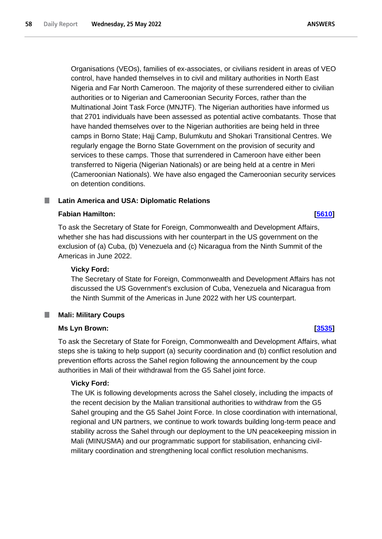Organisations (VEOs), families of ex-associates, or civilians resident in areas of VEO control, have handed themselves in to civil and military authorities in North East Nigeria and Far North Cameroon. The majority of these surrendered either to civilian authorities or to Nigerian and Cameroonian Security Forces, rather than the Multinational Joint Task Force (MNJTF). The Nigerian authorities have informed us that 2701 individuals have been assessed as potential active combatants. Those that have handed themselves over to the Nigerian authorities are being held in three camps in Borno State; Hajj Camp, Bulumkutu and Shokari Transitional Centres. We regularly engage the Borno State Government on the provision of security and services to these camps. Those that surrendered in Cameroon have either been transferred to Nigeria (Nigerian Nationals) or are being held at a centre in Meri (Cameroonian Nationals). We have also engaged the Cameroonian security services on detention conditions.

# **Latin America and USA: Diplomatic Relations**

# **Fabian Hamilton: [\[5610\]](http://www.parliament.uk/business/publications/written-questions-answers-statements/written-question/Commons/2022-05-20/5610)**

To ask the Secretary of State for Foreign, Commonwealth and Development Affairs, whether she has had discussions with her counterpart in the US government on the exclusion of (a) Cuba, (b) Venezuela and (c) Nicaragua from the Ninth Summit of the Americas in June 2022.

# **Vicky Ford:**

The Secretary of State for Foreign, Commonwealth and Development Affairs has not discussed the US Government's exclusion of Cuba, Venezuela and Nicaragua from the Ninth Summit of the Americas in June 2022 with her US counterpart.

# **Mali: Military Coups**

# **Ms Lyn Brown: [\[3535\]](http://www.parliament.uk/business/publications/written-questions-answers-statements/written-question/Commons/2022-05-17/3535)**

To ask the Secretary of State for Foreign, Commonwealth and Development Affairs, what steps she is taking to help support (a) security coordination and (b) conflict resolution and prevention efforts across the Sahel region following the announcement by the coup authorities in Mali of their withdrawal from the G5 Sahel joint force.

# **Vicky Ford:**

The UK is following developments across the Sahel closely, including the impacts of the recent decision by the Malian transitional authorities to withdraw from the G5 Sahel grouping and the G5 Sahel Joint Force. In close coordination with international, regional and UN partners, we continue to work towards building long-term peace and stability across the Sahel through our deployment to the UN peacekeeping mission in Mali (MINUSMA) and our programmatic support for stabilisation, enhancing civilmilitary coordination and strengthening local conflict resolution mechanisms.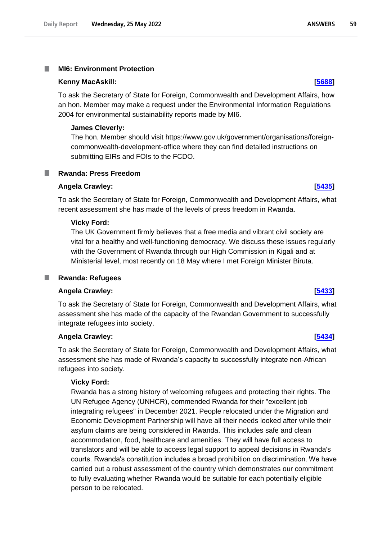### **MI6: Environment Protection** T.

### **Kenny MacAskill: [\[5688\]](http://www.parliament.uk/business/publications/written-questions-answers-statements/written-question/Commons/2022-05-20/5688)**

To ask the Secretary of State for Foreign, Commonwealth and Development Affairs, how an hon. Member may make a request under the Environmental Information Regulations 2004 for environmental sustainability reports made by MI6.

### **James Cleverly:**

The hon. Member should visit https://www.gov.uk/government/organisations/foreigncommonwealth-development-office where they can find detailed instructions on submitting EIRs and FOIs to the FCDO.

**Rwanda: Press Freedom**

## **Angela Crawley: [\[5435\]](http://www.parliament.uk/business/publications/written-questions-answers-statements/written-question/Commons/2022-05-19/5435)**

To ask the Secretary of State for Foreign, Commonwealth and Development Affairs, what recent assessment she has made of the levels of press freedom in Rwanda.

### **Vicky Ford:**

The UK Government firmly believes that a free media and vibrant civil society are vital for a healthy and well-functioning democracy. We discuss these issues regularly with the Government of Rwanda through our High Commission in Kigali and at Ministerial level, most recently on 18 May where I met Foreign Minister Biruta.

### **Rwanda: Refugees** ш

### **Angela Crawley: [\[5433\]](http://www.parliament.uk/business/publications/written-questions-answers-statements/written-question/Commons/2022-05-19/5433)**

To ask the Secretary of State for Foreign, Commonwealth and Development Affairs, what assessment she has made of the capacity of the Rwandan Government to successfully integrate refugees into society.

# **Angela Crawley: [\[5434\]](http://www.parliament.uk/business/publications/written-questions-answers-statements/written-question/Commons/2022-05-19/5434)**

To ask the Secretary of State for Foreign, Commonwealth and Development Affairs, what assessment she has made of Rwanda's capacity to successfully integrate non-African refugees into society.

### **Vicky Ford:**

Rwanda has a strong history of welcoming refugees and protecting their rights. The UN Refugee Agency (UNHCR), commended Rwanda for their "excellent job integrating refugees" in December 2021. People relocated under the Migration and Economic Development Partnership will have all their needs looked after while their asylum claims are being considered in Rwanda. This includes safe and clean accommodation, food, healthcare and amenities. They will have full access to translators and will be able to access legal support to appeal decisions in Rwanda's courts. Rwanda's constitution includes a broad prohibition on discrimination. We have carried out a robust assessment of the country which demonstrates our commitment to fully evaluating whether Rwanda would be suitable for each potentially eligible person to be relocated.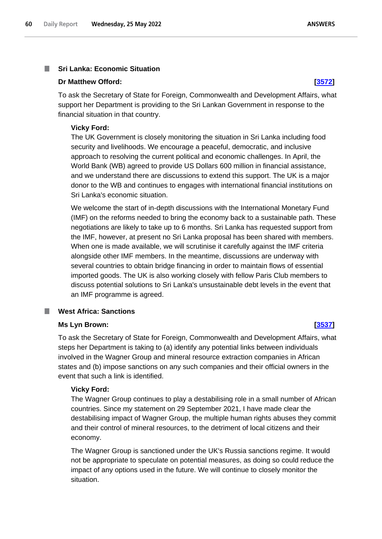### **Sri Lanka: Economic Situation I**

# **Dr Matthew Offord: [\[3572\]](http://www.parliament.uk/business/publications/written-questions-answers-statements/written-question/Commons/2022-05-17/3572)**

To ask the Secretary of State for Foreign, Commonwealth and Development Affairs, what support her Department is providing to the Sri Lankan Government in response to the financial situation in that country.

# **Vicky Ford:**

The UK Government is closely monitoring the situation in Sri Lanka including food security and livelihoods. We encourage a peaceful, democratic, and inclusive approach to resolving the current political and economic challenges. In April, the World Bank (WB) agreed to provide US Dollars 600 million in financial assistance, and we understand there are discussions to extend this support. The UK is a major donor to the WB and continues to engages with international financial institutions on Sri Lanka's economic situation.

We welcome the start of in-depth discussions with the International Monetary Fund (IMF) on the reforms needed to bring the economy back to a sustainable path. These negotiations are likely to take up to 6 months. Sri Lanka has requested support from the IMF, however, at present no Sri Lanka proposal has been shared with members. When one is made available, we will scrutinise it carefully against the IMF criteria alongside other IMF members. In the meantime, discussions are underway with several countries to obtain bridge financing in order to maintain flows of essential imported goods. The UK is also working closely with fellow Paris Club members to discuss potential solutions to Sri Lanka's unsustainable debt levels in the event that an IMF programme is agreed.

### **West Africa: Sanctions** ш

## **Ms Lyn Brown: [\[3537\]](http://www.parliament.uk/business/publications/written-questions-answers-statements/written-question/Commons/2022-05-17/3537)**

To ask the Secretary of State for Foreign, Commonwealth and Development Affairs, what steps her Department is taking to (a) identify any potential links between individuals involved in the Wagner Group and mineral resource extraction companies in African states and (b) impose sanctions on any such companies and their official owners in the event that such a link is identified.

## **Vicky Ford:**

The Wagner Group continues to play a destabilising role in a small number of African countries. Since my statement on 29 September 2021, I have made clear the destabilising impact of Wagner Group, the multiple human rights abuses they commit and their control of mineral resources, to the detriment of local citizens and their economy.

The Wagner Group is sanctioned under the UK's Russia sanctions regime. It would not be appropriate to speculate on potential measures, as doing so could reduce the impact of any options used in the future. We will continue to closely monitor the situation.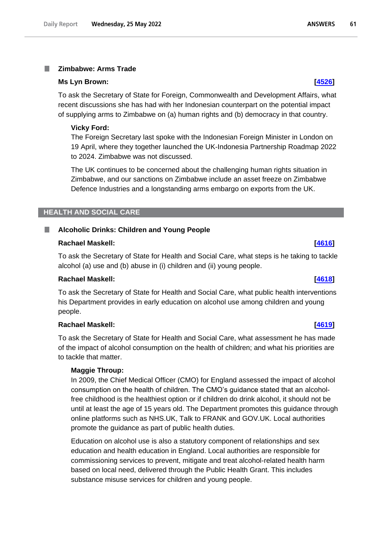### **Zimbabwe: Arms Trade** T.

## **Ms Lyn Brown: [\[4526\]](http://www.parliament.uk/business/publications/written-questions-answers-statements/written-question/Commons/2022-05-18/4526)**

To ask the Secretary of State for Foreign, Commonwealth and Development Affairs, what recent discussions she has had with her Indonesian counterpart on the potential impact of supplying arms to Zimbabwe on (a) human rights and (b) democracy in that country.

# **Vicky Ford:**

The Foreign Secretary last spoke with the Indonesian Foreign Minister in London on 19 April, where they together launched the UK-Indonesia Partnership Roadmap 2022 to 2024. Zimbabwe was not discussed.

The UK continues to be concerned about the challenging human rights situation in Zimbabwe, and our sanctions on Zimbabwe include an asset freeze on Zimbabwe Defence Industries and a longstanding arms embargo on exports from the UK.

# **HEALTH AND SOCIAL CARE**

# **Alcoholic Drinks: Children and Young People**

## **Rachael Maskell: [\[4616\]](http://www.parliament.uk/business/publications/written-questions-answers-statements/written-question/Commons/2022-05-18/4616)**

To ask the Secretary of State for Health and Social Care, what steps is he taking to tackle alcohol (a) use and (b) abuse in (i) children and (ii) young people.

# **Rachael Maskell: [\[4618\]](http://www.parliament.uk/business/publications/written-questions-answers-statements/written-question/Commons/2022-05-18/4618)**

To ask the Secretary of State for Health and Social Care, what public health interventions his Department provides in early education on alcohol use among children and young people.

# **Rachael Maskell: [\[4619\]](http://www.parliament.uk/business/publications/written-questions-answers-statements/written-question/Commons/2022-05-18/4619)**

To ask the Secretary of State for Health and Social Care, what assessment he has made of the impact of alcohol consumption on the health of children; and what his priorities are to tackle that matter.

# **Maggie Throup:**

In 2009, the Chief Medical Officer (CMO) for England assessed the impact of alcohol consumption on the health of children. The CMO's guidance stated that an alcoholfree childhood is the healthiest option or if children do drink alcohol, it should not be until at least the age of 15 years old. The Department promotes this guidance through online platforms such as NHS.UK, Talk to FRANK and GOV.UK. Local authorities promote the guidance as part of public health duties.

Education on alcohol use is also a statutory component of relationships and sex education and health education in England. Local authorities are responsible for commissioning services to prevent, mitigate and treat alcohol-related health harm based on local need, delivered through the Public Health Grant. This includes substance misuse services for children and young people.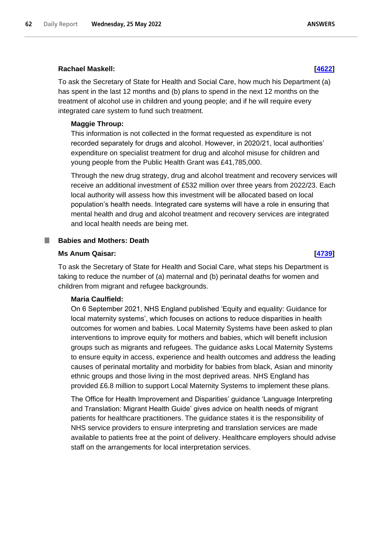## **Rachael Maskell: [\[4622\]](http://www.parliament.uk/business/publications/written-questions-answers-statements/written-question/Commons/2022-05-18/4622)**

To ask the Secretary of State for Health and Social Care, how much his Department (a) has spent in the last 12 months and (b) plans to spend in the next 12 months on the treatment of alcohol use in children and young people; and if he will require every integrated care system to fund such treatment.

### **Maggie Throup:**

This information is not collected in the format requested as expenditure is not recorded separately for drugs and alcohol. However, in 2020/21, local authorities' expenditure on specialist treatment for drug and alcohol misuse for children and young people from the Public Health Grant was £41,785,000.

Through the new drug strategy, drug and alcohol treatment and recovery services will receive an additional investment of £532 million over three years from 2022/23. Each local authority will assess how this investment will be allocated based on local population's health needs. Integrated care systems will have a role in ensuring that mental health and drug and alcohol treatment and recovery services are integrated and local health needs are being met.

### **Babies and Mothers: Death**

### **Ms Anum Qaisar: [\[4739\]](http://www.parliament.uk/business/publications/written-questions-answers-statements/written-question/Commons/2022-05-18/4739)**

To ask the Secretary of State for Health and Social Care, what steps his Department is taking to reduce the number of (a) maternal and (b) perinatal deaths for women and children from migrant and refugee backgrounds.

## **Maria Caulfield:**

On 6 September 2021, NHS England published 'Equity and equality: Guidance for local maternity systems', which focuses on actions to reduce disparities in health outcomes for women and babies. Local Maternity Systems have been asked to plan interventions to improve equity for mothers and babies, which will benefit inclusion groups such as migrants and refugees. The guidance asks Local Maternity Systems to ensure equity in access, experience and health outcomes and address the leading causes of perinatal mortality and morbidity for babies from black, Asian and minority ethnic groups and those living in the most deprived areas. NHS England has provided £6.8 million to support Local Maternity Systems to implement these plans.

The Office for Health Improvement and Disparities' guidance 'Language Interpreting and Translation: Migrant Health Guide' gives advice on health needs of migrant patients for healthcare practitioners. The guidance states it is the responsibility of NHS service providers to ensure interpreting and translation services are made available to patients free at the point of delivery. Healthcare employers should advise staff on the arrangements for local interpretation services.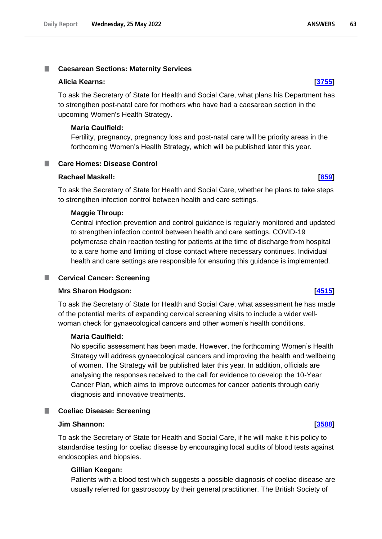# **Caesarean Sections: Maternity Services**

### **Alicia Kearns: [\[3755\]](http://www.parliament.uk/business/publications/written-questions-answers-statements/written-question/Commons/2022-05-17/3755)**

To ask the Secretary of State for Health and Social Care, what plans his Department has to strengthen post-natal care for mothers who have had a caesarean section in the upcoming Women's Health Strategy.

### **Maria Caulfield:**

**Care Homes: Disease Control**

Fertility, pregnancy, pregnancy loss and post-natal care will be priority areas in the forthcoming Women's Health Strategy, which will be published later this year.

# **Rachael Maskell: [\[859\]](http://www.parliament.uk/business/publications/written-questions-answers-statements/written-question/Commons/2022-05-11/859)**

.

To ask the Secretary of State for Health and Social Care, whether he plans to take steps to strengthen infection control between health and care settings.

### **Maggie Throup:**

Central infection prevention and control guidance is regularly monitored and updated to strengthen infection control between health and care settings. COVID-19 polymerase chain reaction testing for patients at the time of discharge from hospital to a care home and limiting of close contact where necessary continues. Individual health and care settings are responsible for ensuring this guidance is implemented.

### **Cervical Cancer: Screening**

# **Mrs Sharon Hodgson: [\[4515\]](http://www.parliament.uk/business/publications/written-questions-answers-statements/written-question/Commons/2022-05-18/4515)**

To ask the Secretary of State for Health and Social Care, what assessment he has made of the potential merits of expanding cervical screening visits to include a wider wellwoman check for gynaecological cancers and other women's health conditions.

## **Maria Caulfield:**

No specific assessment has been made. However, the forthcoming Women's Health Strategy will address gynaecological cancers and improving the health and wellbeing of women. The Strategy will be published later this year. In addition, officials are analysing the responses received to the call for evidence to develop the 10-Year Cancer Plan, which aims to improve outcomes for cancer patients through early diagnosis and innovative treatments.

### **Coeliac Disease: Screening**

## **Jim Shannon: [\[3588\]](http://www.parliament.uk/business/publications/written-questions-answers-statements/written-question/Commons/2022-05-17/3588)**

To ask the Secretary of State for Health and Social Care, if he will make it his policy to standardise testing for coeliac disease by encouraging local audits of blood tests against endoscopies and biopsies.

### **Gillian Keegan:**

Patients with a blood test which suggests a possible diagnosis of coeliac disease are usually referred for gastroscopy by their general practitioner. The British Society of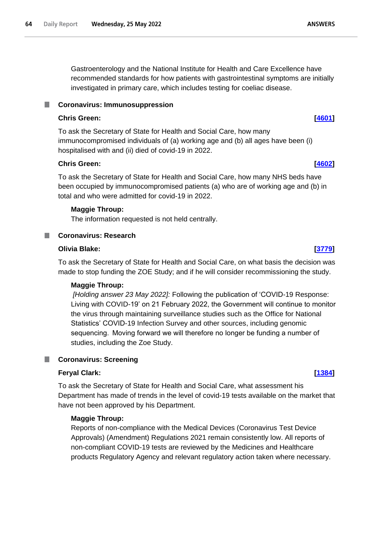Gastroenterology and the National Institute for Health and Care Excellence have recommended standards for how patients with gastrointestinal symptoms are initially investigated in primary care, which includes testing for coeliac disease.

### **Coronavirus: Immunosuppression** ш

# **Chris Green: [\[4601\]](http://www.parliament.uk/business/publications/written-questions-answers-statements/written-question/Commons/2022-05-18/4601)**

To ask the Secretary of State for Health and Social Care, how many immunocompromised individuals of (a) working age and (b) all ages have been (i) hospitalised with and (ii) died of covid-19 in 2022.

# **Chris Green: [\[4602\]](http://www.parliament.uk/business/publications/written-questions-answers-statements/written-question/Commons/2022-05-18/4602)**

To ask the Secretary of State for Health and Social Care, how many NHS beds have been occupied by immunocompromised patients (a) who are of working age and (b) in total and who were admitted for covid-19 in 2022.

# **Maggie Throup:**

The information requested is not held centrally.

# **Coronavirus: Research**

# **Olivia Blake: [\[3779\]](http://www.parliament.uk/business/publications/written-questions-answers-statements/written-question/Commons/2022-05-17/3779)**

To ask the Secretary of State for Health and Social Care, on what basis the decision was made to stop funding the ZOE Study; and if he will consider recommissioning the study.

# **Maggie Throup:**

*[Holding answer 23 May 2022]:* Following the publication of 'COVID-19 Response: Living with COVID-19' on 21 February 2022, the Government will continue to monitor the virus through maintaining surveillance studies such as the Office for National Statistics' COVID-19 Infection Survey and other sources, including genomic sequencing.  Moving forward we will therefore no longer be funding a number of studies, including the Zoe Study.

# **Coronavirus: Screening**

# **Feryal Clark: [\[1384\]](http://www.parliament.uk/business/publications/written-questions-answers-statements/written-question/Commons/2022-05-12/1384)**

To ask the Secretary of State for Health and Social Care, what assessment his Department has made of trends in the level of covid-19 tests available on the market that have not been approved by his Department.

# **Maggie Throup:**

Reports of non-compliance with the Medical Devices (Coronavirus Test Device Approvals) (Amendment) Regulations 2021 remain consistently low. All reports of non-compliant COVID-19 tests are reviewed by the Medicines and Healthcare products Regulatory Agency and relevant regulatory action taken where necessary.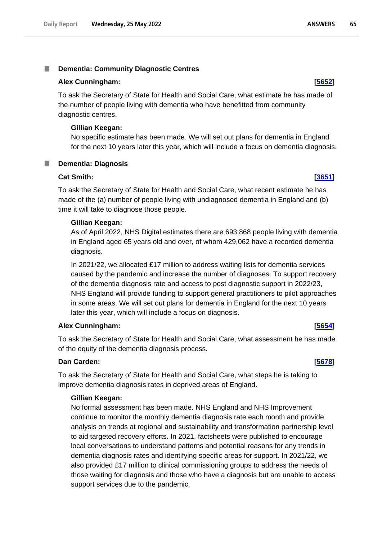### T. **Dementia: Community Diagnostic Centres**

### **Alex Cunningham: [\[5652\]](http://www.parliament.uk/business/publications/written-questions-answers-statements/written-question/Commons/2022-05-20/5652)**

To ask the Secretary of State for Health and Social Care, what estimate he has made of the number of people living with dementia who have benefitted from community diagnostic centres.

### **Gillian Keegan:**

No specific estimate has been made. We will set out plans for dementia in England for the next 10 years later this year, which will include a focus on dementia diagnosis.

# **Dementia: Diagnosis**

## **Cat Smith: [\[3651\]](http://www.parliament.uk/business/publications/written-questions-answers-statements/written-question/Commons/2022-05-17/3651)**

To ask the Secretary of State for Health and Social Care, what recent estimate he has made of the (a) number of people living with undiagnosed dementia in England and (b) time it will take to diagnose those people.

## **Gillian Keegan:**

As of April 2022, NHS Digital estimates there are 693,868 people living with dementia in England aged 65 years old and over, of whom 429,062 have a recorded dementia diagnosis.

In 2021/22, we allocated £17 million to address waiting lists for dementia services caused by the pandemic and increase the number of diagnoses. To support recovery of the dementia diagnosis rate and access to post diagnostic support in 2022/23, NHS England will provide funding to support general practitioners to pilot approaches in some areas. We will set out plans for dementia in England for the next 10 years later this year, which will include a focus on diagnosis.

# **Alex Cunningham: [\[5654\]](http://www.parliament.uk/business/publications/written-questions-answers-statements/written-question/Commons/2022-05-20/5654)**

To ask the Secretary of State for Health and Social Care, what assessment he has made of the equity of the dementia diagnosis process.

# **Dan Carden: [\[5678\]](http://www.parliament.uk/business/publications/written-questions-answers-statements/written-question/Commons/2022-05-20/5678)**

To ask the Secretary of State for Health and Social Care, what steps he is taking to improve dementia diagnosis rates in deprived areas of England.

# **Gillian Keegan:**

No formal assessment has been made. NHS England and NHS Improvement continue to monitor the monthly dementia diagnosis rate each month and provide analysis on trends at regional and sustainability and transformation partnership level to aid targeted recovery efforts. In 2021, factsheets were published to encourage local conversations to understand patterns and potential reasons for any trends in dementia diagnosis rates and identifying specific areas for support. In 2021/22, we also provided £17 million to clinical commissioning groups to address the needs of those waiting for diagnosis and those who have a diagnosis but are unable to access support services due to the pandemic.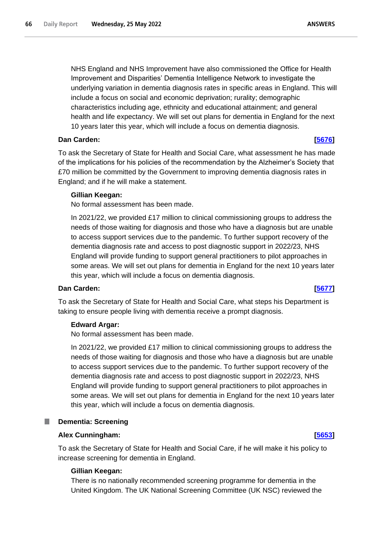NHS England and NHS Improvement have also commissioned the Office for Health Improvement and Disparities' Dementia Intelligence Network to investigate the underlying variation in dementia diagnosis rates in specific areas in England. This will include a focus on social and economic deprivation; rurality; demographic characteristics including age, ethnicity and educational attainment; and general health and life expectancy. We will set out plans for dementia in England for the next 10 years later this year, which will include a focus on dementia diagnosis.

# **Dan Carden: [\[5676\]](http://www.parliament.uk/business/publications/written-questions-answers-statements/written-question/Commons/2022-05-20/5676)**

To ask the Secretary of State for Health and Social Care, what assessment he has made of the implications for his policies of the recommendation by the Alzheimer's Society that £70 million be committed by the Government to improving dementia diagnosis rates in England; and if he will make a statement.

### **Gillian Keegan:**

No formal assessment has been made.

In 2021/22, we provided £17 million to clinical commissioning groups to address the needs of those waiting for diagnosis and those who have a diagnosis but are unable to access support services due to the pandemic. To further support recovery of the dementia diagnosis rate and access to post diagnostic support in 2022/23, NHS England will provide funding to support general practitioners to pilot approaches in some areas. We will set out plans for dementia in England for the next 10 years later this year, which will include a focus on dementia diagnosis.

## **Dan Carden: [\[5677\]](http://www.parliament.uk/business/publications/written-questions-answers-statements/written-question/Commons/2022-05-20/5677)**

To ask the Secretary of State for Health and Social Care, what steps his Department is taking to ensure people living with dementia receive a prompt diagnosis.

### **Edward Argar:**

No formal assessment has been made.

In 2021/22, we provided £17 million to clinical commissioning groups to address the needs of those waiting for diagnosis and those who have a diagnosis but are unable to access support services due to the pandemic. To further support recovery of the dementia diagnosis rate and access to post diagnostic support in 2022/23, NHS England will provide funding to support general practitioners to pilot approaches in some areas. We will set out plans for dementia in England for the next 10 years later this year, which will include a focus on dementia diagnosis.

# **Dementia: Screening Alex Cunningham: [\[5653\]](http://www.parliament.uk/business/publications/written-questions-answers-statements/written-question/Commons/2022-05-20/5653)**

To ask the Secretary of State for Health and Social Care, if he will make it his policy to increase screening for dementia in England.

### **Gillian Keegan:**

There is no nationally recommended screening programme for dementia in the United Kingdom. The UK National Screening Committee (UK NSC) reviewed the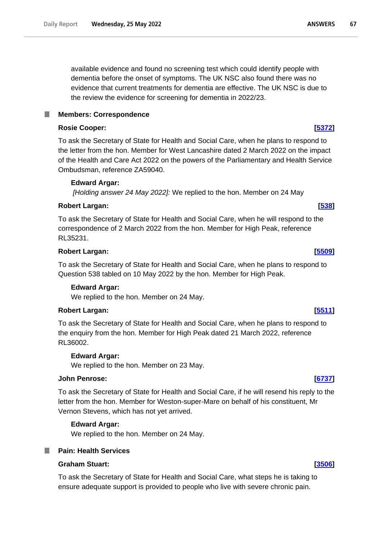available evidence and found no screening test which could identify people with dementia before the onset of symptoms. The UK NSC also found there was no evidence that current treatments for dementia are effective. The UK NSC is due to the review the evidence for screening for dementia in 2022/23.

# **Members: Correspondence**

# **Rosie Cooper: [\[5372\]](http://www.parliament.uk/business/publications/written-questions-answers-statements/written-question/Commons/2022-05-19/5372)**

To ask the Secretary of State for Health and Social Care, when he plans to respond to the letter from the hon. Member for West Lancashire dated 2 March 2022 on the impact of the Health and Care Act 2022 on the powers of the Parliamentary and Health Service Ombudsman, reference ZA59040.

# **Edward Argar:**

*[Holding answer 24 May 2022]:* We replied to the hon. Member on 24 May

# **Robert Largan: [\[538\]](http://www.parliament.uk/business/publications/written-questions-answers-statements/written-question/Commons/2022-05-10/538)**

To ask the Secretary of State for Health and Social Care, when he will respond to the correspondence of 2 March 2022 from the hon. Member for High Peak, reference RL35231.

# **Robert Largan: [\[5509\]](http://www.parliament.uk/business/publications/written-questions-answers-statements/written-question/Commons/2022-05-19/5509)**

To ask the Secretary of State for Health and Social Care, when he plans to respond to Question 538 tabled on 10 May 2022 by the hon. Member for High Peak.

# **Edward Argar:**

We replied to the hon. Member on 24 May.

# **Robert Largan: [\[5511\]](http://www.parliament.uk/business/publications/written-questions-answers-statements/written-question/Commons/2022-05-19/5511)**

To ask the Secretary of State for Health and Social Care, when he plans to respond to the enquiry from the hon. Member for High Peak dated 21 March 2022, reference RL36002.

# **Edward Argar:**

We replied to the hon. Member on 23 May.

# **John Penrose: [\[6737\]](http://www.parliament.uk/business/publications/written-questions-answers-statements/written-question/Commons/2022-05-23/6737)**

To ask the Secretary of State for Health and Social Care, if he will resend his reply to the letter from the hon. Member for Weston-super-Mare on behalf of his constituent, Mr Vernon Stevens, which has not yet arrived.

# **Edward Argar:**

We replied to the hon. Member on 24 May.

# **Graham Stuart: [\[3506\]](http://www.parliament.uk/business/publications/written-questions-answers-statements/written-question/Commons/2022-05-17/3506)**

To ask the Secretary of State for Health and Social Care, what steps he is taking to ensure adequate support is provided to people who live with severe chronic pain.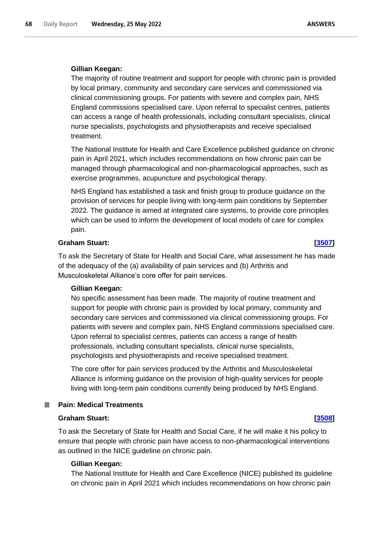## **Gillian Keegan:**

The majority of routine treatment and support for people with chronic pain is provided by local primary, community and secondary care services and commissioned via clinical commissioning groups. For patients with severe and complex pain, NHS England commissions specialised care. Upon referral to specialist centres, patients can access a range of health professionals, including consultant specialists, clinical nurse specialists, psychologists and physiotherapists and receive specialised treatment.

The National Institute for Health and Care Excellence published guidance on chronic pain in April 2021, which includes recommendations on how chronic pain can be managed through pharmacological and non-pharmacological approaches, such as exercise programmes, acupuncture and psychological therapy.

NHS England has established a task and finish group to produce guidance on the provision of services for people living with long-term pain conditions by September 2022. The guidance is aimed at integrated care systems, to provide core principles which can be used to inform the development of local models of care for complex pain.

# **Graham Stuart: [\[3507\]](http://www.parliament.uk/business/publications/written-questions-answers-statements/written-question/Commons/2022-05-17/3507)**

To ask the Secretary of State for Health and Social Care, what assessment he has made of the adequacy of the (a) availability of pain services and (b) Arthritis and Musculoskeletal Alliance's core offer for pain services.

### **Gillian Keegan:**

No specific assessment has been made. The majority of routine treatment and support for people with chronic pain is provided by local primary, community and secondary care services and commissioned via clinical commissioning groups. For patients with severe and complex pain, NHS England commissions specialised care. Upon referral to specialist centres, patients can access a range of health professionals, including consultant specialists, clinical nurse specialists, psychologists and physiotherapists and receive specialised treatment.

The core offer for pain services produced by the Arthritis and Musculoskeletal Alliance is informing guidance on the provision of high-quality services for people living with long-term pain conditions currently being produced by NHS England.

### **Pain: Medical Treatments I**

### **Graham Stuart: [\[3508\]](http://www.parliament.uk/business/publications/written-questions-answers-statements/written-question/Commons/2022-05-17/3508)**

To ask the Secretary of State for Health and Social Care, if he will make it his policy to ensure that people with chronic pain have access to non-pharmacological interventions as outlined in the NICE guideline on chronic pain.

## **Gillian Keegan:**

The National Institute for Health and Care Excellence (NICE) published its guideline on chronic pain in April 2021 which includes recommendations on how chronic pain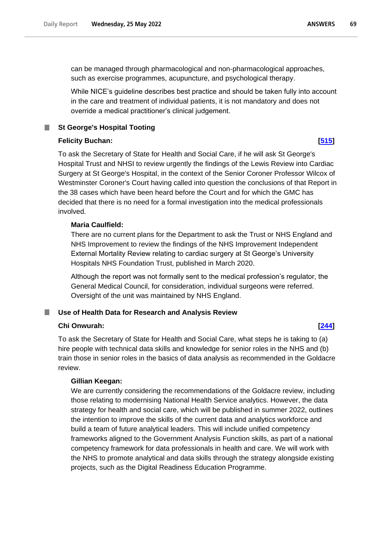can be managed through pharmacological and non-pharmacological approaches, such as exercise programmes, acupuncture, and psychological therapy.

While NICE's guideline describes best practice and should be taken fully into account in the care and treatment of individual patients, it is not mandatory and does not override a medical practitioner's clinical judgement.

### **St George's Hospital Tooting**

### **Felicity Buchan: [\[515\]](http://www.parliament.uk/business/publications/written-questions-answers-statements/written-question/Commons/2022-05-10/515)**

To ask the Secretary of State for Health and Social Care, if he will ask St George's Hospital Trust and NHSI to review urgently the findings of the Lewis Review into Cardiac Surgery at St George's Hospital, in the context of the Senior Coroner Professor Wilcox of Westminster Coroner's Court having called into question the conclusions of that Report in the 38 cases which have been heard before the Court and for which the GMC has decided that there is no need for a formal investigation into the medical professionals involved.

# **Maria Caulfield:**

There are no current plans for the Department to ask the Trust or NHS England and NHS Improvement to review the findings of the NHS Improvement Independent External Mortality Review relating to cardiac surgery at St George's University Hospitals NHS Foundation Trust, published in March 2020.

Although the report was not formally sent to the medical profession's regulator, the General Medical Council, for consideration, individual surgeons were referred. Oversight of the unit was maintained by NHS England.

# **Use of Health Data for Research and Analysis Review**

### **Chi Onwurah: [\[244\]](http://www.parliament.uk/business/publications/written-questions-answers-statements/written-question/Commons/2022-05-10/244)**

To ask the Secretary of State for Health and Social Care, what steps he is taking to (a) hire people with technical data skills and knowledge for senior roles in the NHS and (b) train those in senior roles in the basics of data analysis as recommended in the Goldacre review.

# **Gillian Keegan:**

We are currently considering the recommendations of the Goldacre review, including those relating to modernising National Health Service analytics. However, the data strategy for health and social care, which will be published in summer 2022, outlines the intention to improve the skills of the current data and analytics workforce and build a team of future analytical leaders. This will include unified competency frameworks aligned to the Government Analysis Function skills, as part of a national competency framework for data professionals in health and care. We will work with the NHS to promote analytical and data skills through the strategy alongside existing projects, such as the Digital Readiness Education Programme.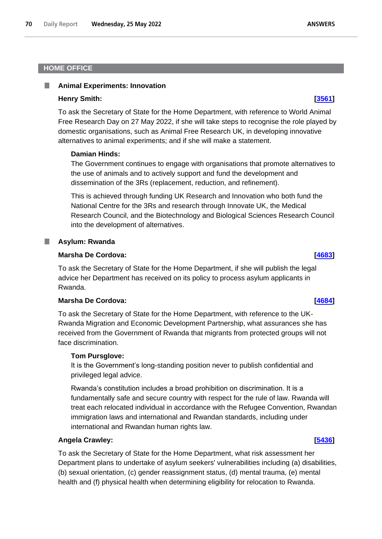# **HOME OFFICE**

# **Animal Experiments: Innovation**

### **Henry Smith: [\[3561\]](http://www.parliament.uk/business/publications/written-questions-answers-statements/written-question/Commons/2022-05-17/3561)**

To ask the Secretary of State for the Home Department, with reference to World Animal Free Research Day on 27 May 2022, if she will take steps to recognise the role played by domestic organisations, such as Animal Free Research UK, in developing innovative alternatives to animal experiments; and if she will make a statement.

### **Damian Hinds:**

The Government continues to engage with organisations that promote alternatives to the use of animals and to actively support and fund the development and dissemination of the 3Rs (replacement, reduction, and refinement).

This is achieved through funding UK Research and Innovation who both fund the National Centre for the 3Rs and research through Innovate UK, the Medical Research Council, and the Biotechnology and Biological Sciences Research Council into the development of alternatives.

### **Asylum: Rwanda** ш

### **Marsha De Cordova: [\[4683\]](http://www.parliament.uk/business/publications/written-questions-answers-statements/written-question/Commons/2022-05-18/4683)**

To ask the Secretary of State for the Home Department, if she will publish the legal advice her Department has received on its policy to process asylum applicants in Rwanda.

# **Marsha De Cordova: [\[4684\]](http://www.parliament.uk/business/publications/written-questions-answers-statements/written-question/Commons/2022-05-18/4684)**

To ask the Secretary of State for the Home Department, with reference to the UK-Rwanda Migration and Economic Development Partnership, what assurances she has received from the Government of Rwanda that migrants from protected groups will not face discrimination.

### **Tom Pursglove:**

It is the Government's long-standing position never to publish confidential and privileged legal advice.

Rwanda's constitution includes a broad prohibition on discrimination. It is a fundamentally safe and secure country with respect for the rule of law. Rwanda will treat each relocated individual in accordance with the Refugee Convention, Rwandan immigration laws and international and Rwandan standards, including under international and Rwandan human rights law.

## **Angela Crawley: [\[5436\]](http://www.parliament.uk/business/publications/written-questions-answers-statements/written-question/Commons/2022-05-19/5436)**

To ask the Secretary of State for the Home Department, what risk assessment her Department plans to undertake of asylum seekers' vulnerabilities including (a) disabilities, (b) sexual orientation, (c) gender reassignment status, (d) mental trauma, (e) mental health and (f) physical health when determining eligibility for relocation to Rwanda.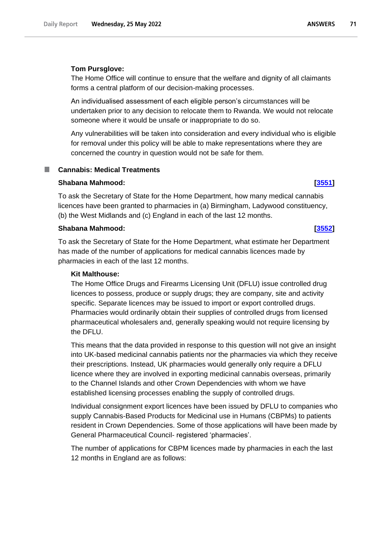### **Tom Pursglove:**

The Home Office will continue to ensure that the welfare and dignity of all claimants forms a central platform of our decision-making processes.

An individualised assessment of each eligible person's circumstances will be undertaken prior to any decision to relocate them to Rwanda. We would not relocate someone where it would be unsafe or inappropriate to do so.

Any vulnerabilities will be taken into consideration and every individual who is eligible for removal under this policy will be able to make representations where they are concerned the country in question would not be safe for them.

### **Cannabis: Medical Treatments** a a s

### **Shabana Mahmood: [\[3551\]](http://www.parliament.uk/business/publications/written-questions-answers-statements/written-question/Commons/2022-05-17/3551)**

To ask the Secretary of State for the Home Department, how many medical cannabis licences have been granted to pharmacies in (a) Birmingham, Ladywood constituency, (b) the West Midlands and (c) England in each of the last 12 months.

# **Shabana Mahmood: [\[3552\]](http://www.parliament.uk/business/publications/written-questions-answers-statements/written-question/Commons/2022-05-17/3552)**

To ask the Secretary of State for the Home Department, what estimate her Department has made of the number of applications for medical cannabis licences made by pharmacies in each of the last 12 months.

## **Kit Malthouse:**

The Home Office Drugs and Firearms Licensing Unit (DFLU) issue controlled drug licences to possess, produce or supply drugs; they are company, site and activity specific. Separate licences may be issued to import or export controlled drugs. Pharmacies would ordinarily obtain their supplies of controlled drugs from licensed pharmaceutical wholesalers and, generally speaking would not require licensing by the DFLU.

This means that the data provided in response to this question will not give an insight into UK-based medicinal cannabis patients nor the pharmacies via which they receive their prescriptions. Instead, UK pharmacies would generally only require a DFLU licence where they are involved in exporting medicinal cannabis overseas, primarily to the Channel Islands and other Crown Dependencies with whom we have established licensing processes enabling the supply of controlled drugs.

Individual consignment export licences have been issued by DFLU to companies who supply Cannabis-Based Products for Medicinal use in Humans (CBPMs) to patients resident in Crown Dependencies. Some of those applications will have been made by General Pharmaceutical Council- registered 'pharmacies'.

The number of applications for CBPM licences made by pharmacies in each the last 12 months in England are as follows: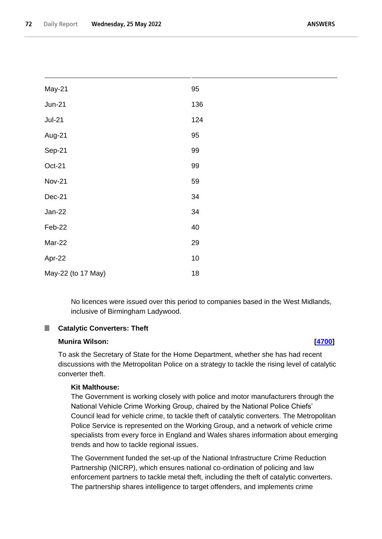| May-21             | 95  |
|--------------------|-----|
| <b>Jun-21</b>      | 136 |
| <b>Jul-21</b>      | 124 |
| Aug-21             | 95  |
| Sep-21             | 99  |
| Oct-21             | 99  |
| <b>Nov-21</b>      | 59  |
| Dec-21             | 34  |
| Jan-22             | 34  |
| Feb-22             | 40  |
| Mar-22             | 29  |
| Apr-22             | 10  |
| May-22 (to 17 May) | 18  |

No licences were issued over this period to companies based in the West Midlands, inclusive of Birmingham Ladywood.

# **Catalytic Converters: Theft**

# **Munira Wilson: [\[4700\]](http://www.parliament.uk/business/publications/written-questions-answers-statements/written-question/Commons/2022-05-18/4700)**

To ask the Secretary of State for the Home Department, whether she has had recent discussions with the Metropolitan Police on a strategy to tackle the rising level of catalytic converter theft.

# **Kit Malthouse:**

The Government is working closely with police and motor manufacturers through the National Vehicle Crime Working Group, chaired by the National Police Chiefs' Council lead for vehicle crime, to tackle theft of catalytic converters. The Metropolitan Police Service is represented on the Working Group, and a network of vehicle crime specialists from every force in England and Wales shares information about emerging trends and how to tackle regional issues.

The Government funded the set-up of the National Infrastructure Crime Reduction Partnership (NICRP), which ensures national co-ordination of policing and law enforcement partners to tackle metal theft, including the theft of catalytic converters. The partnership shares intelligence to target offenders, and implements crime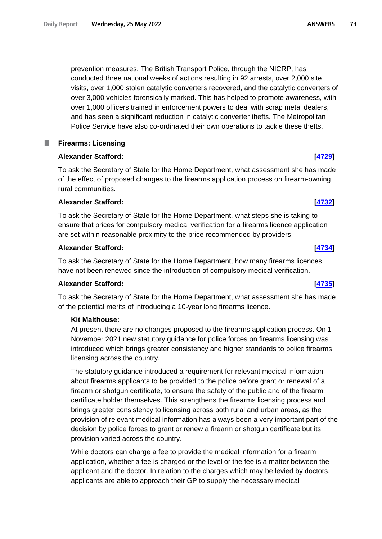prevention measures. The British Transport Police, through the NICRP, has conducted three national weeks of actions resulting in 92 arrests, over 2,000 site visits, over 1,000 stolen catalytic converters recovered, and the catalytic converters of over 3,000 vehicles forensically marked. This has helped to promote awareness, with over 1,000 officers trained in enforcement powers to deal with scrap metal dealers, and has seen a significant reduction in catalytic converter thefts. The Metropolitan Police Service have also co-ordinated their own operations to tackle these thefts.

# **Firearms: Licensing**

# **Alexander Stafford: [\[4729\]](http://www.parliament.uk/business/publications/written-questions-answers-statements/written-question/Commons/2022-05-18/4729)**

To ask the Secretary of State for the Home Department, what assessment she has made of the effect of proposed changes to the firearms application process on firearm-owning rural communities.

# **Alexander Stafford: [\[4732\]](http://www.parliament.uk/business/publications/written-questions-answers-statements/written-question/Commons/2022-05-18/4732)**

To ask the Secretary of State for the Home Department, what steps she is taking to ensure that prices for compulsory medical verification for a firearms licence application are set within reasonable proximity to the price recommended by providers.

# **Alexander Stafford: [\[4734\]](http://www.parliament.uk/business/publications/written-questions-answers-statements/written-question/Commons/2022-05-18/4734)**

To ask the Secretary of State for the Home Department, how many firearms licences have not been renewed since the introduction of compulsory medical verification.

# **Alexander Stafford: [\[4735\]](http://www.parliament.uk/business/publications/written-questions-answers-statements/written-question/Commons/2022-05-18/4735)**

To ask the Secretary of State for the Home Department, what assessment she has made of the potential merits of introducing a 10-year long firearms licence.

# **Kit Malthouse:**

At present there are no changes proposed to the firearms application process. On 1 November 2021 new statutory guidance for police forces on firearms licensing was introduced which brings greater consistency and higher standards to police firearms licensing across the country.

The statutory guidance introduced a requirement for relevant medical information about firearms applicants to be provided to the police before grant or renewal of a firearm or shotgun certificate, to ensure the safety of the public and of the firearm certificate holder themselves. This strengthens the firearms licensing process and brings greater consistency to licensing across both rural and urban areas, as the provision of relevant medical information has always been a very important part of the decision by police forces to grant or renew a firearm or shotgun certificate but its provision varied across the country.

While doctors can charge a fee to provide the medical information for a firearm application, whether a fee is charged or the level or the fee is a matter between the applicant and the doctor. In relation to the charges which may be levied by doctors, applicants are able to approach their GP to supply the necessary medical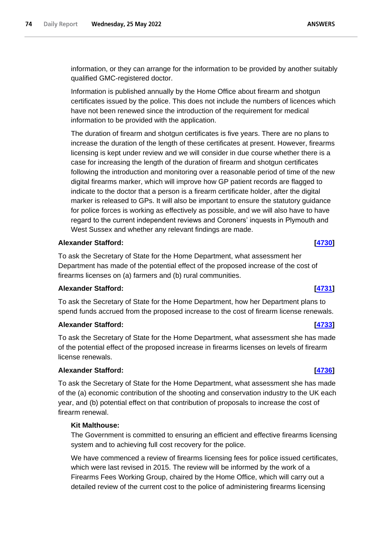information, or they can arrange for the information to be provided by another suitably qualified GMC-registered doctor.

Information is published annually by the Home Office about firearm and shotgun certificates issued by the police. This does not include the numbers of licences which have not been renewed since the introduction of the requirement for medical information to be provided with the application.

The duration of firearm and shotgun certificates is five years. There are no plans to increase the duration of the length of these certificates at present. However, firearms licensing is kept under review and we will consider in due course whether there is a case for increasing the length of the duration of firearm and shotgun certificates following the introduction and monitoring over a reasonable period of time of the new digital firearms marker, which will improve how GP patient records are flagged to indicate to the doctor that a person is a firearm certificate holder, after the digital marker is released to GPs. It will also be important to ensure the statutory guidance for police forces is working as effectively as possible, and we will also have to have regard to the current independent reviews and Coroners' inquests in Plymouth and West Sussex and whether any relevant findings are made.

# **Alexander Stafford: [\[4730\]](http://www.parliament.uk/business/publications/written-questions-answers-statements/written-question/Commons/2022-05-18/4730)**

To ask the Secretary of State for the Home Department, what assessment her Department has made of the potential effect of the proposed increase of the cost of firearms licenses on (a) farmers and (b) rural communities.

# **Alexander Stafford: [\[4731\]](http://www.parliament.uk/business/publications/written-questions-answers-statements/written-question/Commons/2022-05-18/4731)**

To ask the Secretary of State for the Home Department, how her Department plans to spend funds accrued from the proposed increase to the cost of firearm license renewals.

# **Alexander Stafford: [\[4733\]](http://www.parliament.uk/business/publications/written-questions-answers-statements/written-question/Commons/2022-05-18/4733)**

To ask the Secretary of State for the Home Department, what assessment she has made of the potential effect of the proposed increase in firearms licenses on levels of firearm license renewals.

# **Alexander Stafford: [\[4736\]](http://www.parliament.uk/business/publications/written-questions-answers-statements/written-question/Commons/2022-05-18/4736)**

To ask the Secretary of State for the Home Department, what assessment she has made of the (a) economic contribution of the shooting and conservation industry to the UK each year, and (b) potential effect on that contribution of proposals to increase the cost of firearm renewal.

# **Kit Malthouse:**

The Government is committed to ensuring an efficient and effective firearms licensing system and to achieving full cost recovery for the police.

We have commenced a review of firearms licensing fees for police issued certificates, which were last revised in 2015. The review will be informed by the work of a Firearms Fees Working Group, chaired by the Home Office, which will carry out a detailed review of the current cost to the police of administering firearms licensing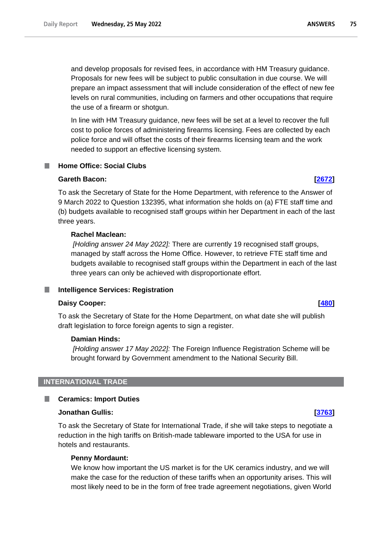and develop proposals for revised fees, in accordance with HM Treasury guidance. Proposals for new fees will be subject to public consultation in due course. We will prepare an impact assessment that will include consideration of the effect of new fee levels on rural communities, including on farmers and other occupations that require the use of a firearm or shotgun.

In line with HM Treasury guidance, new fees will be set at a level to recover the full cost to police forces of administering firearms licensing. Fees are collected by each police force and will offset the costs of their firearms licensing team and the work needed to support an effective licensing system.

# **Home Office: Social Clubs**

# **Gareth Bacon: [\[2672\]](http://www.parliament.uk/business/publications/written-questions-answers-statements/written-question/Commons/2022-05-16/2672)**

To ask the Secretary of State for the Home Department, with reference to the Answer of 9 March 2022 to Question 132395, what information she holds on (a) FTE staff time and (b) budgets available to recognised staff groups within her Department in each of the last three years.

# **Rachel Maclean:**

*[Holding answer 24 May 2022]:* There are currently 19 recognised staff groups, managed by staff across the Home Office. However, to retrieve FTE staff time and budgets available to recognised staff groups within the Department in each of the last three years can only be achieved with disproportionate effort.

### **Intelligence Services: Registration** .

### **Daisy Cooper: [\[480\]](http://www.parliament.uk/business/publications/written-questions-answers-statements/written-question/Commons/2022-05-10/480)**

To ask the Secretary of State for the Home Department, on what date she will publish draft legislation to force foreign agents to sign a register.

# **Damian Hinds:**

*[Holding answer 17 May 2022]:* The Foreign Influence Registration Scheme will be brought forward by Government amendment to the National Security Bill.

# **INTERNATIONAL TRADE**

# **Ceramics: Import Duties**

### **Jonathan Gullis: [\[3763\]](http://www.parliament.uk/business/publications/written-questions-answers-statements/written-question/Commons/2022-05-17/3763)**

To ask the Secretary of State for International Trade, if she will take steps to negotiate a reduction in the high tariffs on British-made tableware imported to the USA for use in hotels and restaurants.

### **Penny Mordaunt:**

We know how important the US market is for the UK ceramics industry, and we will make the case for the reduction of these tariffs when an opportunity arises. This will most likely need to be in the form of free trade agreement negotiations, given World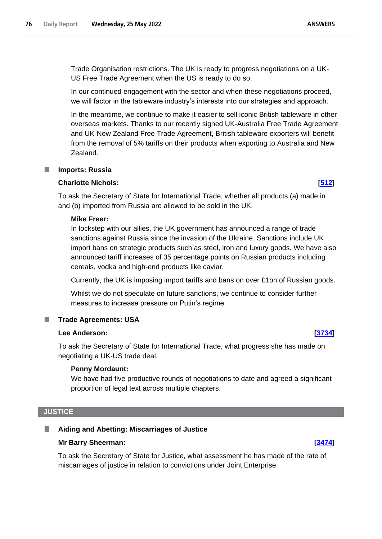Trade Organisation restrictions. The UK is ready to progress negotiations on a UK-US Free Trade Agreement when the US is ready to do so.

In our continued engagement with the sector and when these negotiations proceed, we will factor in the tableware industry's interests into our strategies and approach.

In the meantime, we continue to make it easier to sell iconic British tableware in other overseas markets. Thanks to our recently signed UK-Australia Free Trade Agreement and UK-New Zealand Free Trade Agreement, British tableware exporters will benefit from the removal of 5% tariffs on their products when exporting to Australia and New Zealand.

# **Imports: Russia**

### **Charlotte Nichols: [\[512\]](http://www.parliament.uk/business/publications/written-questions-answers-statements/written-question/Commons/2022-05-10/512)**

To ask the Secretary of State for International Trade, whether all products (a) made in and (b) imported from Russia are allowed to be sold in the UK.

### **Mike Freer:**

In lockstep with our allies, the UK government has announced a range of trade sanctions against Russia since the invasion of the Ukraine. Sanctions include UK import bans on strategic products such as steel, iron and luxury goods. We have also announced tariff increases of 35 percentage points on Russian products including cereals, vodka and high-end products like caviar.

Currently, the UK is imposing import tariffs and bans on over £1bn of Russian goods.

Whilst we do not speculate on future sanctions, we continue to consider further measures to increase pressure on Putin's regime.

### **Trade Agreements: USA**

# **Lee Anderson: [\[3734\]](http://www.parliament.uk/business/publications/written-questions-answers-statements/written-question/Commons/2022-05-17/3734)**

To ask the Secretary of State for International Trade, what progress she has made on negotiating a UK-US trade deal.

### **Penny Mordaunt:**

We have had five productive rounds of negotiations to date and agreed a significant proportion of legal text across multiple chapters.

## **JUSTICE**

# **Aiding and Abetting: Miscarriages of Justice**

# **Mr Barry Sheerman: [\[3474\]](http://www.parliament.uk/business/publications/written-questions-answers-statements/written-question/Commons/2022-05-17/3474)**

To ask the Secretary of State for Justice, what assessment he has made of the rate of miscarriages of justice in relation to convictions under Joint Enterprise.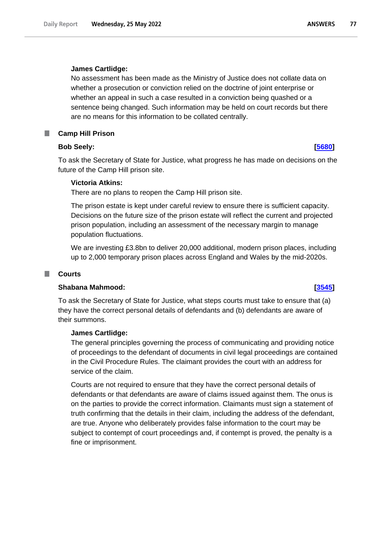## **James Cartlidge:**

No assessment has been made as the Ministry of Justice does not collate data on whether a prosecution or conviction relied on the doctrine of joint enterprise or whether an appeal in such a case resulted in a conviction being quashed or a sentence being changed. Such information may be held on court records but there are no means for this information to be collated centrally.

### **Camp Hill Prison** ш

# **Bob Seely: [\[5680\]](http://www.parliament.uk/business/publications/written-questions-answers-statements/written-question/Commons/2022-05-20/5680)**

To ask the Secretary of State for Justice, what progress he has made on decisions on the future of the Camp Hill prison site.

## **Victoria Atkins:**

There are no plans to reopen the Camp Hill prison site.

The prison estate is kept under careful review to ensure there is sufficient capacity. Decisions on the future size of the prison estate will reflect the current and projected prison population, including an assessment of the necessary margin to manage population fluctuations.

We are investing £3.8bn to deliver 20,000 additional, modern prison places, including up to 2,000 temporary prison places across England and Wales by the mid-2020s.

### **Courts** T.

### **Shabana Mahmood: [\[3545\]](http://www.parliament.uk/business/publications/written-questions-answers-statements/written-question/Commons/2022-05-17/3545)**

To ask the Secretary of State for Justice, what steps courts must take to ensure that (a) they have the correct personal details of defendants and (b) defendants are aware of their summons.

# **James Cartlidge:**

The general principles governing the process of communicating and providing notice of proceedings to the defendant of documents in civil legal proceedings are contained in the Civil Procedure Rules. The claimant provides the court with an address for service of the claim.

Courts are not required to ensure that they have the correct personal details of defendants or that defendants are aware of claims issued against them. The onus is on the parties to provide the correct information. Claimants must sign a statement of truth confirming that the details in their claim, including the address of the defendant, are true. Anyone who deliberately provides false information to the court may be subject to contempt of court proceedings and, if contempt is proved, the penalty is a fine or imprisonment.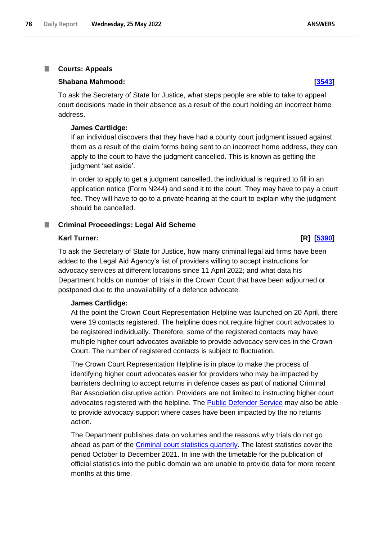### **Courts: Appeals**

### **Shabana Mahmood: [\[3543\]](http://www.parliament.uk/business/publications/written-questions-answers-statements/written-question/Commons/2022-05-17/3543)**

To ask the Secretary of State for Justice, what steps people are able to take to appeal court decisions made in their absence as a result of the court holding an incorrect home address.

## **James Cartlidge:**

If an individual discovers that they have had a county court judgment issued against them as a result of the claim forms being sent to an incorrect home address, they can apply to the court to have the judgment cancelled. This is known as getting the judgment 'set aside'.

In order to apply to get a judgment cancelled, the individual is required to fill in an application notice (Form N244) and send it to the court. They may have to pay a court fee. They will have to go to a private hearing at the court to explain why the judgment should be cancelled.

### **Criminal Proceedings: Legal Aid Scheme**

## **Karl Turner: [R] [\[5390\]](http://www.parliament.uk/business/publications/written-questions-answers-statements/written-question/Commons/2022-05-19/5390)**

To ask the Secretary of State for Justice, how many criminal legal aid firms have been added to the Legal Aid Agency's list of providers willing to accept instructions for advocacy services at different locations since 11 April 2022; and what data his Department holds on number of trials in the Crown Court that have been adjourned or postponed due to the unavailability of a defence advocate.

### **James Cartlidge:**

At the point the Crown Court Representation Helpline was launched on 20 April, there were 19 contacts registered. The helpline does not require higher court advocates to be registered individually. Therefore, some of the registered contacts may have multiple higher court advocates available to provide advocacy services in the Crown Court. The number of registered contacts is subject to fluctuation.

The Crown Court Representation Helpline is in place to make the process of identifying higher court advocates easier for providers who may be impacted by barristers declining to accept returns in defence cases as part of national Criminal Bar Association disruptive action. Providers are not limited to instructing higher court advocates registered with the helpline. The [Public Defender Service](https://publicdefenderservice.org.uk/) may also be able to provide advocacy support where cases have been impacted by the no returns action.

The Department publishes data on volumes and the reasons why trials do not go ahead as part of the [Criminal court statistics quarterly.](https://www.gov.uk/government/statistics/criminal-court-statistics-quarterly-october-to-december-2021) The latest statistics cover the period October to December 2021. In line with the timetable for the publication of official statistics into the public domain we are unable to provide data for more recent months at this time.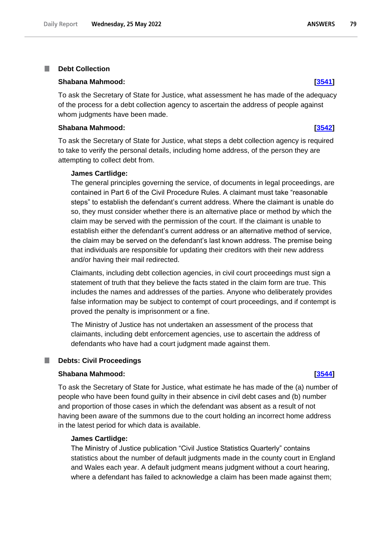### **Debt Collection** T.

### **Shabana Mahmood: [\[3541\]](http://www.parliament.uk/business/publications/written-questions-answers-statements/written-question/Commons/2022-05-17/3541)**

To ask the Secretary of State for Justice, what assessment he has made of the adequacy of the process for a debt collection agency to ascertain the address of people against whom judgments have been made.

### **Shabana Mahmood: [\[3542\]](http://www.parliament.uk/business/publications/written-questions-answers-statements/written-question/Commons/2022-05-17/3542)**

To ask the Secretary of State for Justice, what steps a debt collection agency is required to take to verify the personal details, including home address, of the person they are attempting to collect debt from.

### **James Cartlidge:**

The general principles governing the service, of documents in legal proceedings, are contained in Part 6 of the Civil Procedure Rules. A claimant must take "reasonable steps" to establish the defendant's current address. Where the claimant is unable do so, they must consider whether there is an alternative place or method by which the claim may be served with the permission of the court. If the claimant is unable to establish either the defendant's current address or an alternative method of service, the claim may be served on the defendant's last known address. The premise being that individuals are responsible for updating their creditors with their new address and/or having their mail redirected.

Claimants, including debt collection agencies, in civil court proceedings must sign a statement of truth that they believe the facts stated in the claim form are true. This includes the names and addresses of the parties. Anyone who deliberately provides false information may be subject to contempt of court proceedings, and if contempt is proved the penalty is imprisonment or a fine.

The Ministry of Justice has not undertaken an assessment of the process that claimants, including debt enforcement agencies, use to ascertain the address of defendants who have had a court judgment made against them.

### **Debts: Civil Proceedings** П

## **Shabana Mahmood: [\[3544\]](http://www.parliament.uk/business/publications/written-questions-answers-statements/written-question/Commons/2022-05-17/3544)**

To ask the Secretary of State for Justice, what estimate he has made of the (a) number of people who have been found guilty in their absence in civil debt cases and (b) number and proportion of those cases in which the defendant was absent as a result of not having been aware of the summons due to the court holding an incorrect home address in the latest period for which data is available.

## **James Cartlidge:**

The Ministry of Justice publication "Civil Justice Statistics Quarterly" contains statistics about the number of default judgments made in the county court in England and Wales each year. A default judgment means judgment without a court hearing, where a defendant has failed to acknowledge a claim has been made against them;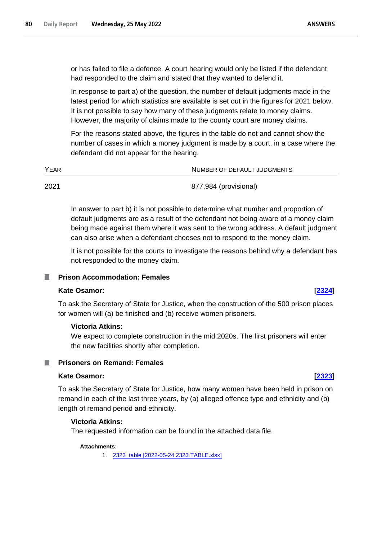or has failed to file a defence. A court hearing would only be listed if the defendant had responded to the claim and stated that they wanted to defend it.

In response to part a) of the question, the number of default judgments made in the latest period for which statistics are available is set out in the figures for 2021 below. It is not possible to say how many of these judgments relate to money claims. However, the majority of claims made to the county court are money claims.

For the reasons stated above, the figures in the table do not and cannot show the number of cases in which a money judgment is made by a court, in a case where the defendant did not appear for the hearing.

| YEAR | NUMBER OF DEFAULT JUDGMENTS |
|------|-----------------------------|
| 2021 | 877,984 (provisional)       |

In answer to part b) it is not possible to determine what number and proportion of default judgments are as a result of the defendant not being aware of a money claim being made against them where it was sent to the wrong address. A default judgment can also arise when a defendant chooses not to respond to the money claim.

It is not possible for the courts to investigate the reasons behind why a defendant has not responded to the money claim.

# **Prison Accommodation: Females**

### **Kate Osamor: [\[2324\]](http://www.parliament.uk/business/publications/written-questions-answers-statements/written-question/Commons/2022-05-16/2324)**

To ask the Secretary of State for Justice, when the construction of the 500 prison places for women will (a) be finished and (b) receive women prisoners.

### **Victoria Atkins:**

We expect to complete construction in the mid 2020s. The first prisoners will enter the new facilities shortly after completion.

## **Prisoners on Remand: Females**

# **Kate Osamor: [\[2323\]](http://www.parliament.uk/business/publications/written-questions-answers-statements/written-question/Commons/2022-05-16/2323)**

To ask the Secretary of State for Justice, how many women have been held in prison on remand in each of the last three years, by (a) alleged offence type and ethnicity and (b) length of remand period and ethnicity.

## **Victoria Atkins:**

The requested information can be found in the attached data file.

# **Attachments:**

1. [2323\\_table \[2022-05-24 2323 TABLE.xlsx\]](https://qna.files.parliament.uk/qna-attachments/1462964/original/2022-05-24%202323%20TABLE.xlsx)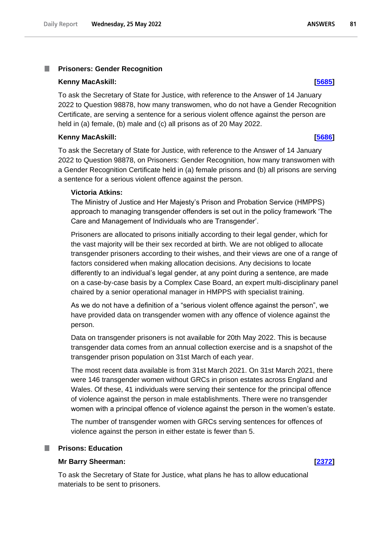### T. **Prisoners: Gender Recognition**

### **Kenny MacAskill: [\[5685\]](http://www.parliament.uk/business/publications/written-questions-answers-statements/written-question/Commons/2022-05-20/5685)**

To ask the Secretary of State for Justice, with reference to the Answer of 14 January 2022 to Question 98878, how many transwomen, who do not have a Gender Recognition Certificate, are serving a sentence for a serious violent offence against the person are held in (a) female, (b) male and (c) all prisons as of 20 May 2022.

## **Kenny MacAskill: [\[5686\]](http://www.parliament.uk/business/publications/written-questions-answers-statements/written-question/Commons/2022-05-20/5686)**

To ask the Secretary of State for Justice, with reference to the Answer of 14 January 2022 to Question 98878, on Prisoners: Gender Recognition, how many transwomen with a Gender Recognition Certificate held in (a) female prisons and (b) all prisons are serving a sentence for a serious violent offence against the person.

## **Victoria Atkins:**

The Ministry of Justice and Her Majesty's Prison and Probation Service (HMPPS) approach to managing transgender offenders is set out in the policy framework 'The Care and Management of Individuals who are Transgender'.

Prisoners are allocated to prisons initially according to their legal gender, which for the vast majority will be their sex recorded at birth. We are not obliged to allocate transgender prisoners according to their wishes, and their views are one of a range of factors considered when making allocation decisions. Any decisions to locate differently to an individual's legal gender, at any point during a sentence, are made on a case-by-case basis by a Complex Case Board, an expert multi-disciplinary panel chaired by a senior operational manager in HMPPS with specialist training.

As we do not have a definition of a "serious violent offence against the person", we have provided data on transgender women with any offence of violence against the person.

Data on transgender prisoners is not available for 20th May 2022. This is because transgender data comes from an annual collection exercise and is a snapshot of the transgender prison population on 31st March of each year.

The most recent data available is from 31st March 2021. On 31st March 2021, there were 146 transgender women without GRCs in prison estates across England and Wales. Of these, 41 individuals were serving their sentence for the principal offence of violence against the person in male establishments. There were no transgender women with a principal offence of violence against the person in the women's estate.

The number of transgender women with GRCs serving sentences for offences of violence against the person in either estate is fewer than 5.

## **Prisons: Education**

# **Mr Barry Sheerman: [\[2372\]](http://www.parliament.uk/business/publications/written-questions-answers-statements/written-question/Commons/2022-05-16/2372)**

To ask the Secretary of State for Justice, what plans he has to allow educational materials to be sent to prisoners.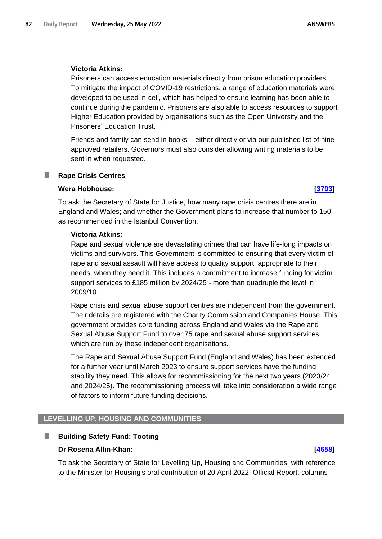## **Victoria Atkins:**

Prisoners can access education materials directly from prison education providers. To mitigate the impact of COVID-19 restrictions, a range of education materials were developed to be used in-cell, which has helped to ensure learning has been able to continue during the pandemic. Prisoners are also able to access resources to support Higher Education provided by organisations such as the Open University and the Prisoners' Education Trust.

Friends and family can send in books – either directly or via our published list of nine approved retailers. Governors must also consider allowing writing materials to be sent in when requested.

### **Rape Crisis Centres**

### **Wera Hobhouse: [\[3703\]](http://www.parliament.uk/business/publications/written-questions-answers-statements/written-question/Commons/2022-05-17/3703)**

To ask the Secretary of State for Justice, how many rape crisis centres there are in England and Wales; and whether the Government plans to increase that number to 150, as recommended in the Istanbul Convention.

# **Victoria Atkins:**

Rape and sexual violence are devastating crimes that can have life-long impacts on victims and survivors. This Government is committed to ensuring that every victim of rape and sexual assault will have access to quality support, appropriate to their needs, when they need it. This includes a commitment to increase funding for victim support services to £185 million by 2024/25 - more than quadruple the level in 2009/10.

Rape crisis and sexual abuse support centres are independent from the government. Their details are registered with the Charity Commission and Companies House. This government provides core funding across England and Wales via the Rape and Sexual Abuse Support Fund to over 75 rape and sexual abuse support services which are run by these independent organisations.

The Rape and Sexual Abuse Support Fund (England and Wales) has been extended for a further year until March 2023 to ensure support services have the funding stability they need. This allows for recommissioning for the next two years (2023/24 and 2024/25). The recommissioning process will take into consideration a wide range of factors to inform future funding decisions.

# **LEVELLING UP, HOUSING AND COMMUNITIES**

### **Building Safety Fund: Tooting** П

# **Dr Rosena Allin-Khan: [\[4658\]](http://www.parliament.uk/business/publications/written-questions-answers-statements/written-question/Commons/2022-05-18/4658)**

To ask the Secretary of State for Levelling Up, Housing and Communities, with reference to the Minister for Housing's oral contribution of 20 April 2022, Official Report, columns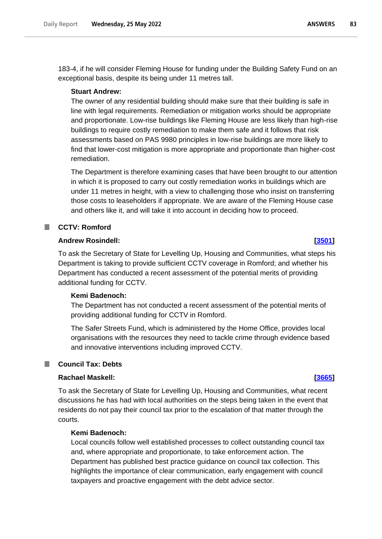183-4, if he will consider Fleming House for funding under the Building Safety Fund on an exceptional basis, despite its being under 11 metres tall.

### **Stuart Andrew:**

The owner of any residential building should make sure that their building is safe in line with legal requirements. Remediation or mitigation works should be appropriate and proportionate. Low-rise buildings like Fleming House are less likely than high-rise buildings to require costly remediation to make them safe and it follows that risk assessments based on PAS 9980 principles in low-rise buildings are more likely to find that lower-cost mitigation is more appropriate and proportionate than higher-cost remediation.

The Department is therefore examining cases that have been brought to our attention in which it is proposed to carry out costly remediation works in buildings which are under 11 metres in height, with a view to challenging those who insist on transferring those costs to leaseholders if appropriate. We are aware of the Fleming House case and others like it, and will take it into account in deciding how to proceed.

# **CCTV: Romford**

## **Andrew Rosindell: [\[3501\]](http://www.parliament.uk/business/publications/written-questions-answers-statements/written-question/Commons/2022-05-17/3501)**

To ask the Secretary of State for Levelling Up, Housing and Communities, what steps his Department is taking to provide sufficient CCTV coverage in Romford; and whether his Department has conducted a recent assessment of the potential merits of providing additional funding for CCTV.

# **Kemi Badenoch:**

The Department has not conducted a recent assessment of the potential merits of providing additional funding for CCTV in Romford.

The Safer Streets Fund, which is administered by the Home Office, provides local organisations with the resources they need to tackle crime through evidence based and innovative interventions including improved CCTV.

# **Council Tax: Debts**

# **Rachael Maskell: [\[3665\]](http://www.parliament.uk/business/publications/written-questions-answers-statements/written-question/Commons/2022-05-17/3665)**

To ask the Secretary of State for Levelling Up, Housing and Communities, what recent discussions he has had with local authorities on the steps being taken in the event that residents do not pay their council tax prior to the escalation of that matter through the courts.

## **Kemi Badenoch:**

Local councils follow well established processes to collect outstanding council tax and, where appropriate and proportionate, to take enforcement action. The Department has published best practice guidance on council tax collection. This highlights the importance of clear communication, early engagement with council taxpayers and proactive engagement with the debt advice sector.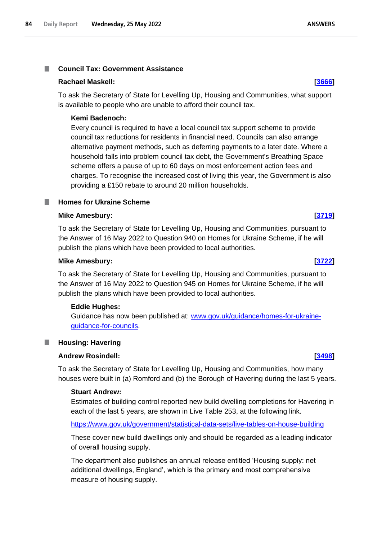### **Council Tax: Government Assistance** I.

## **Rachael Maskell: [\[3666\]](http://www.parliament.uk/business/publications/written-questions-answers-statements/written-question/Commons/2022-05-17/3666)**

To ask the Secretary of State for Levelling Up, Housing and Communities, what support is available to people who are unable to afford their council tax.

# **Kemi Badenoch:**

Every council is required to have a local council tax support scheme to provide council tax reductions for residents in financial need. Councils can also arrange alternative payment methods, such as deferring payments to a later date. Where a household falls into problem council tax debt, the Government's Breathing Space scheme offers a pause of up to 60 days on most enforcement action fees and charges. To recognise the increased cost of living this year, the Government is also providing a £150 rebate to around 20 million households.

# **Homes for Ukraine Scheme**

## **Mike Amesbury: [\[3719\]](http://www.parliament.uk/business/publications/written-questions-answers-statements/written-question/Commons/2022-05-17/3719)**

To ask the Secretary of State for Levelling Up, Housing and Communities, pursuant to the Answer of 16 May 2022 to Question 940 on Homes for Ukraine Scheme, if he will publish the plans which have been provided to local authorities.

## **Mike Amesbury: [\[3722\]](http://www.parliament.uk/business/publications/written-questions-answers-statements/written-question/Commons/2022-05-17/3722)**

To ask the Secretary of State for Levelling Up, Housing and Communities, pursuant to the Answer of 16 May 2022 to Question 945 on Homes for Ukraine Scheme, if he will publish the plans which have been provided to local authorities.

### **Eddie Hughes:**

Guidance has now been published at: www.gov.uk/guidance/homes-for-ukraineguidance-for-councils.

### **Housing: Havering** .

# **Andrew Rosindell: [\[3498\]](http://www.parliament.uk/business/publications/written-questions-answers-statements/written-question/Commons/2022-05-17/3498)**

To ask the Secretary of State for Levelling Up, Housing and Communities, how many houses were built in (a) Romford and (b) the Borough of Havering during the last 5 years.

# **Stuart Andrew:**

Estimates of building control reported new build dwelling completions for Havering in each of the last 5 years, are shown in Live Table 253, at the following link.

# <https://www.gov.uk/government/statistical-data-sets/live-tables-on-house-building>

These cover new build dwellings only and should be regarded as a leading indicator of overall housing supply.

The department also publishes an annual release entitled 'Housing supply: net additional dwellings, England', which is the primary and most comprehensive measure of housing supply.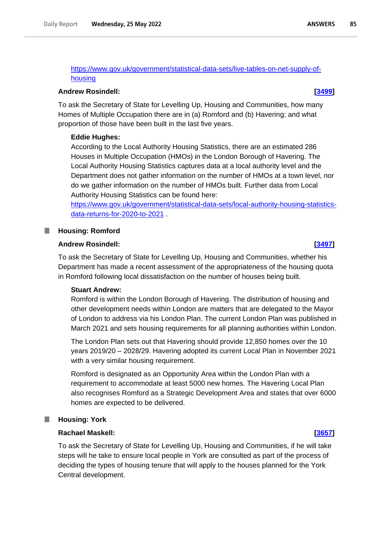[https://www.gov.uk/government/statistical-data-sets/live-tables-on-net-supply-of](https://www.gov.uk/government/statistical-data-sets/live-tables-on-net-supply-of-housing)[housing](https://www.gov.uk/government/statistical-data-sets/live-tables-on-net-supply-of-housing)

## **Andrew Rosindell: [\[3499\]](http://www.parliament.uk/business/publications/written-questions-answers-statements/written-question/Commons/2022-05-17/3499)**

To ask the Secretary of State for Levelling Up, Housing and Communities, how many Homes of Multiple Occupation there are in (a) Romford and (b) Havering; and what proportion of those have been built in the last five years.

# **Eddie Hughes:**

According to the Local Authority Housing Statistics, there are an estimated 286 Houses in Multiple Occupation (HMOs) in the London Borough of Havering. The Local Authority Housing Statistics captures data at a local authority level and the Department does not gather information on the number of HMOs at a town level, nor do we gather information on the number of HMOs built. Further data from Local Authority Housing Statistics can be found here:

https://www.gov.uk/government/statistical-data-sets/local-authority-housing-statisticsdata-returns-for-2020-to-2021 .

### **Housing: Romford** ш

# **Andrew Rosindell: [\[3497\]](http://www.parliament.uk/business/publications/written-questions-answers-statements/written-question/Commons/2022-05-17/3497)**

To ask the Secretary of State for Levelling Up, Housing and Communities, whether his Department has made a recent assessment of the appropriateness of the housing quota in Romford following local dissatisfaction on the number of houses being built.

# **Stuart Andrew:**

Romford is within the London Borough of Havering. The distribution of housing and other development needs within London are matters that are delegated to the Mayor of London to address via his London Plan. The current London Plan was published in March 2021 and sets housing requirements for all planning authorities within London.

The London Plan sets out that Havering should provide 12,850 homes over the 10 years 2019/20 – 2028/29. Havering adopted its current Local Plan in November 2021 with a very similar housing requirement.

Romford is designated as an Opportunity Area within the London Plan with a requirement to accommodate at least 5000 new homes. The Havering Local Plan also recognises Romford as a Strategic Development Area and states that over 6000 homes are expected to be delivered.

### **Housing: York** ш

### **Rachael Maskell: [\[3657\]](http://www.parliament.uk/business/publications/written-questions-answers-statements/written-question/Commons/2022-05-17/3657)**

To ask the Secretary of State for Levelling Up, Housing and Communities, if he will take steps will he take to ensure local people in York are consulted as part of the process of deciding the types of housing tenure that will apply to the houses planned for the York Central development.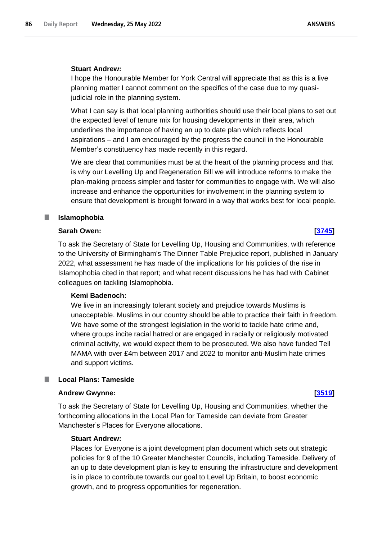# **Stuart Andrew:**

I hope the Honourable Member for York Central will appreciate that as this is a live planning matter I cannot comment on the specifics of the case due to my quasijudicial role in the planning system.

What I can say is that local planning authorities should use their local plans to set out the expected level of tenure mix for housing developments in their area, which underlines the importance of having an up to date plan which reflects local aspirations – and I am encouraged by the progress the council in the Honourable Member's constituency has made recently in this regard.

We are clear that communities must be at the heart of the planning process and that is why our Levelling Up and Regeneration Bill we will introduce reforms to make the plan-making process simpler and faster for communities to engage with. We will also increase and enhance the opportunities for involvement in the planning system to ensure that development is brought forward in a way that works best for local people.

### П **Islamophobia**

# **Sarah Owen: [\[3745\]](http://www.parliament.uk/business/publications/written-questions-answers-statements/written-question/Commons/2022-05-17/3745)**

To ask the Secretary of State for Levelling Up, Housing and Communities, with reference to the University of Birmingham's The Dinner Table Prejudice report, published in January 2022, what assessment he has made of the implications for his policies of the rise in Islamophobia cited in that report; and what recent discussions he has had with Cabinet colleagues on tackling Islamophobia.

# **Kemi Badenoch:**

We live in an increasingly tolerant society and prejudice towards Muslims is unacceptable. Muslims in our country should be able to practice their faith in freedom. We have some of the strongest legislation in the world to tackle hate crime and, where groups incite racial hatred or are engaged in racially or religiously motivated criminal activity, we would expect them to be prosecuted. We also have funded Tell MAMA with over £4m between 2017 and 2022 to monitor anti-Muslim hate crimes and support victims.

## **Local Plans: Tameside**

### **Andrew Gwynne: [\[3519\]](http://www.parliament.uk/business/publications/written-questions-answers-statements/written-question/Commons/2022-05-17/3519)**

To ask the Secretary of State for Levelling Up, Housing and Communities, whether the forthcoming allocations in the Local Plan for Tameside can deviate from Greater Manchester's Places for Everyone allocations.

## **Stuart Andrew:**

Places for Everyone is a joint development plan document which sets out strategic policies for 9 of the 10 Greater Manchester Councils, including Tameside. Delivery of an up to date development plan is key to ensuring the infrastructure and development is in place to contribute towards our goal to Level Up Britain, to boost economic growth, and to progress opportunities for regeneration.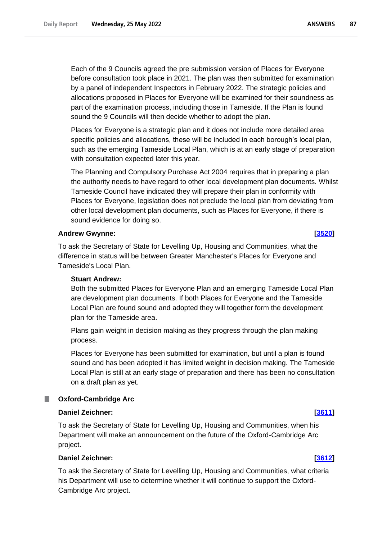Each of the 9 Councils agreed the pre submission version of Places for Everyone before consultation took place in 2021. The plan was then submitted for examination by a panel of independent Inspectors in February 2022. The strategic policies and allocations proposed in Places for Everyone will be examined for their soundness as part of the examination process, including those in Tameside. If the Plan is found

Places for Everyone is a strategic plan and it does not include more detailed area specific policies and allocations, these will be included in each borough's local plan, such as the emerging Tameside Local Plan, which is at an early stage of preparation with consultation expected later this year.

sound the 9 Councils will then decide whether to adopt the plan.

The Planning and Compulsory Purchase Act 2004 requires that in preparing a plan the authority needs to have regard to other local development plan documents. Whilst Tameside Council have indicated they will prepare their plan in conformity with Places for Everyone, legislation does not preclude the local plan from deviating from other local development plan documents, such as Places for Everyone, if there is sound evidence for doing so.

# **Andrew Gwynne: [\[3520\]](http://www.parliament.uk/business/publications/written-questions-answers-statements/written-question/Commons/2022-05-17/3520)**

To ask the Secretary of State for Levelling Up, Housing and Communities, what the difference in status will be between Greater Manchester's Places for Everyone and Tameside's Local Plan.

# **Stuart Andrew:**

Both the submitted Places for Everyone Plan and an emerging Tameside Local Plan are development plan documents. If both Places for Everyone and the Tameside Local Plan are found sound and adopted they will together form the development plan for the Tameside area.

Plans gain weight in decision making as they progress through the plan making process.

Places for Everyone has been submitted for examination, but until a plan is found sound and has been adopted it has limited weight in decision making. The Tameside Local Plan is still at an early stage of preparation and there has been no consultation on a draft plan as yet.

# **Oxford-Cambridge Arc**

# **Daniel Zeichner: [\[3611\]](http://www.parliament.uk/business/publications/written-questions-answers-statements/written-question/Commons/2022-05-17/3611)**

To ask the Secretary of State for Levelling Up, Housing and Communities, when his Department will make an announcement on the future of the Oxford-Cambridge Arc project.

# **Daniel Zeichner: [\[3612\]](http://www.parliament.uk/business/publications/written-questions-answers-statements/written-question/Commons/2022-05-17/3612)**

To ask the Secretary of State for Levelling Up, Housing and Communities, what criteria his Department will use to determine whether it will continue to support the Oxford-Cambridge Arc project.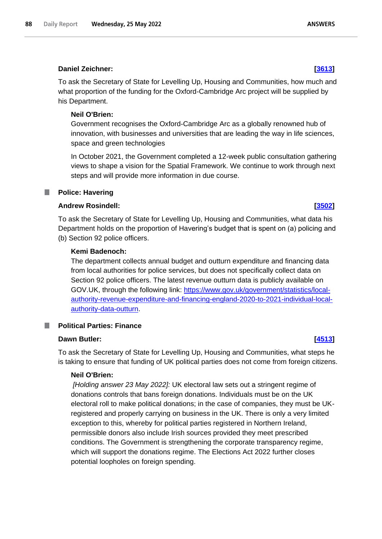# **Daniel Zeichner: [\[3613\]](http://www.parliament.uk/business/publications/written-questions-answers-statements/written-question/Commons/2022-05-17/3613)**

To ask the Secretary of State for Levelling Up, Housing and Communities, how much and what proportion of the funding for the Oxford-Cambridge Arc project will be supplied by his Department.

# **Neil O'Brien:**

Government recognises the Oxford-Cambridge Arc as a globally renowned hub of innovation, with businesses and universities that are leading the way in life sciences, space and green technologies

In October 2021, the Government completed a 12-week public consultation gathering views to shape a vision for the Spatial Framework. We continue to work through next steps and will provide more information in due course.

### **Police: Havering** T.

# **Andrew Rosindell: [\[3502\]](http://www.parliament.uk/business/publications/written-questions-answers-statements/written-question/Commons/2022-05-17/3502)**

To ask the Secretary of State for Levelling Up, Housing and Communities, what data his Department holds on the proportion of Havering's budget that is spent on (a) policing and (b) Section 92 police officers.

# **Kemi Badenoch:**

The department collects annual budget and outturn expenditure and financing data from local authorities for police services, but does not specifically collect data on Section 92 police officers. The latest revenue outturn data is publicly available on GOV.UK, through the following link: https://www.gov.uk/government/statistics/localauthority-revenue-expenditure-and-financing-england-2020-to-2021-individual-localauthority-data-outturn.

# **Political Parties: Finance**

# **Dawn Butler: [\[4513\]](http://www.parliament.uk/business/publications/written-questions-answers-statements/written-question/Commons/2022-05-18/4513)**

To ask the Secretary of State for Levelling Up, Housing and Communities, what steps he is taking to ensure that funding of UK political parties does not come from foreign citizens.

# **Neil O'Brien:**

*[Holding answer 23 May 2022]:* UK electoral law sets out a stringent regime of donations controls that bans foreign donations. Individuals must be on the UK electoral roll to make political donations; in the case of companies, they must be UKregistered and properly carrying on business in the UK. There is only a very limited exception to this, whereby for political parties registered in Northern Ireland, permissible donors also include Irish sources provided they meet prescribed conditions. The Government is strengthening the corporate transparency regime, which will support the donations regime. The Elections Act 2022 further closes potential loopholes on foreign spending.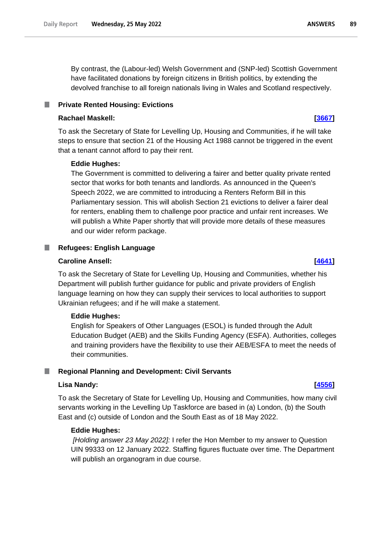By contrast, the (Labour-led) Welsh Government and (SNP-led) Scottish Government have facilitated donations by foreign citizens in British politics, by extending the devolved franchise to all foreign nationals living in Wales and Scotland respectively.

### **Private Rented Housing: Evictions** .

# **Rachael Maskell: [\[3667\]](http://www.parliament.uk/business/publications/written-questions-answers-statements/written-question/Commons/2022-05-17/3667)**

To ask the Secretary of State for Levelling Up, Housing and Communities, if he will take steps to ensure that section 21 of the Housing Act 1988 cannot be triggered in the event that a tenant cannot afford to pay their rent.

# **Eddie Hughes:**

The Government is committed to delivering a fairer and better quality private rented sector that works for both tenants and landlords. As announced in the Queen's Speech 2022, we are committed to introducing a Renters Reform Bill in this Parliamentary session. This will abolish Section 21 evictions to deliver a fairer deal for renters, enabling them to challenge poor practice and unfair rent increases. We will publish a White Paper shortly that will provide more details of these measures and our wider reform package.

# **Refugees: English Language**

## **Caroline Ansell: [\[4641\]](http://www.parliament.uk/business/publications/written-questions-answers-statements/written-question/Commons/2022-05-18/4641)**

To ask the Secretary of State for Levelling Up, Housing and Communities, whether his Department will publish further guidance for public and private providers of English language learning on how they can supply their services to local authorities to support Ukrainian refugees; and if he will make a statement.

# **Eddie Hughes:**

English for Speakers of Other Languages (ESOL) is funded through the Adult Education Budget (AEB) and the Skills Funding Agency (ESFA). Authorities, colleges and training providers have the flexibility to use their AEB/ESFA to meet the needs of their communities.

# **Regional Planning and Development: Civil Servants**

# **Lisa Nandy: [\[4556\]](http://www.parliament.uk/business/publications/written-questions-answers-statements/written-question/Commons/2022-05-18/4556)**

To ask the Secretary of State for Levelling Up, Housing and Communities, how many civil servants working in the Levelling Up Taskforce are based in (a) London, (b) the South East and (c) outside of London and the South East as of 18 May 2022.

## **Eddie Hughes:**

*[Holding answer 23 May 2022]:* I refer the Hon Member to my answer to Question UIN 99333 on 12 January 2022. Staffing figures fluctuate over time. The Department will publish an organogram in due course.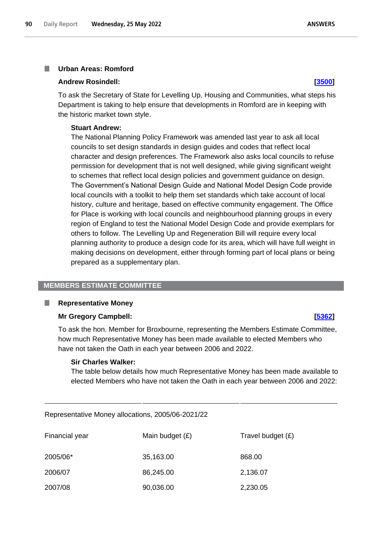### **Urban Areas: Romford** T.

### **Andrew Rosindell: [\[3500\]](http://www.parliament.uk/business/publications/written-questions-answers-statements/written-question/Commons/2022-05-17/3500)**

To ask the Secretary of State for Levelling Up, Housing and Communities, what steps his Department is taking to help ensure that developments in Romford are in keeping with the historic market town style.

### **Stuart Andrew:**

The National Planning Policy Framework was amended last year to ask all local councils to set design standards in design guides and codes that reflect local character and design preferences. The Framework also asks local councils to refuse permission for development that is not well designed, while giving significant weight to schemes that reflect local design policies and government guidance on design. The Government's National Design Guide and National Model Design Code provide local councils with a toolkit to help them set standards which take account of local history, culture and heritage, based on effective community engagement. The Office for Place is working with local councils and neighbourhood planning groups in every region of England to test the National Model Design Code and provide exemplars for others to follow. The Levelling Up and Regeneration Bill will require every local planning authority to produce a design code for its area, which will have full weight in making decisions on development, either through forming part of local plans or being prepared as a supplementary plan.

# **MEMBERS ESTIMATE COMMITTEE**

### ٠ **Representative Money**

## **Mr Gregory Campbell: [\[5362\]](http://www.parliament.uk/business/publications/written-questions-answers-statements/written-question/Commons/2022-05-19/5362)**

To ask the hon. Member for Broxbourne, representing the Members Estimate Committee, how much Representative Money has been made available to elected Members who have not taken the Oath in each year between 2006 and 2022.

### **Sir Charles Walker:**

The table below details how much Representative Money has been made available to elected Members who have not taken the Oath in each year between 2006 and 2022:

Representative Money allocations, 2005/06-2021/22

| Financial year | Main budget $(E)$ | Travel budget $(E)$ |
|----------------|-------------------|---------------------|
| 2005/06*       | 35,163.00         | 868.00              |
| 2006/07        | 86,245.00         | 2,136.07            |
| 2007/08        | 90,036.00         | 2,230.05            |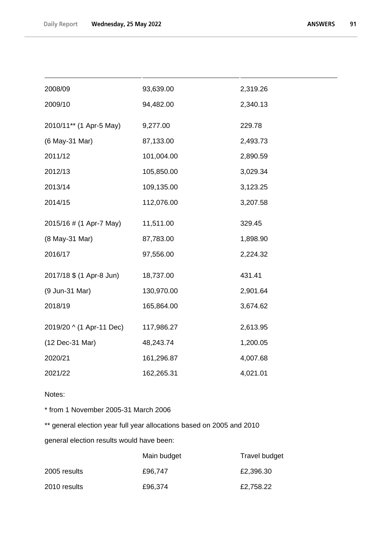| 2008/09                  | 93,639.00  | 2,319.26 |
|--------------------------|------------|----------|
| 2009/10                  | 94,482.00  | 2,340.13 |
| 2010/11** (1 Apr-5 May)  | 9,277.00   | 229.78   |
| (6 May-31 Mar)           | 87,133.00  | 2,493.73 |
| 2011/12                  | 101,004.00 | 2,890.59 |
| 2012/13                  | 105,850.00 | 3,029.34 |
| 2013/14                  | 109,135.00 | 3,123.25 |
| 2014/15                  | 112,076.00 | 3,207.58 |
| 2015/16 # (1 Apr-7 May)  | 11,511.00  | 329.45   |
| (8 May-31 Mar)           | 87,783.00  | 1,898.90 |
| 2016/17                  | 97,556.00  | 2,224.32 |
| 2017/18 \$ (1 Apr-8 Jun) | 18,737.00  | 431.41   |
| (9 Jun-31 Mar)           | 130,970.00 | 2,901.64 |
| 2018/19                  | 165,864.00 | 3,674.62 |
| 2019/20 ^ (1 Apr-11 Dec) | 117,986.27 | 2,613.95 |
| (12 Dec-31 Mar)          | 48,243.74  | 1,200.05 |
| 2020/21                  | 161,296.87 | 4,007.68 |
| 2021/22                  | 162,265.31 | 4,021.01 |

Notes:

\* from 1 November 2005-31 March 2006

\*\* general election year full year allocations based on 2005 and 2010

general election results would have been:

|              | Main budget | Travel budget |
|--------------|-------------|---------------|
| 2005 results | £96,747     | £2,396.30     |
| 2010 results | £96,374     | £2,758.22     |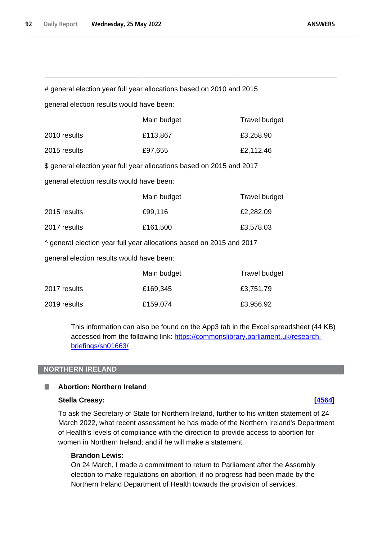# general election year full year allocations based on 2010 and 2015

general election results would have been:

|                                                                       | Main budget | <b>Travel budget</b> |  |
|-----------------------------------------------------------------------|-------------|----------------------|--|
| 2010 results                                                          | £113,867    | £3,258.90            |  |
| 2015 results                                                          | £97,655     | £2,112.46            |  |
| \$ general election year full year allocations based on 2015 and 2017 |             |                      |  |
| general election results would have been:                             |             |                      |  |

|              | Main budget | <b>Travel budget</b> |
|--------------|-------------|----------------------|
| 2015 results | £99,116     | £2,282.09            |
| 2017 results | £161,500    | £3,578.03            |

^ general election year full year allocations based on 2015 and 2017

general election results would have been:

|              | Main budget | Travel budget |
|--------------|-------------|---------------|
| 2017 results | £169,345    | £3,751.79     |
| 2019 results | £159,074    | £3,956.92     |

This information can also be found on the App3 tab in the Excel spreadsheet (44 KB) accessed from the following link: [https://commonslibrary.parliament.uk/research](https://commonslibrary.parliament.uk/research-briefings/sn01663/)[briefings/sn01663/](https://commonslibrary.parliament.uk/research-briefings/sn01663/)

# **NORTHERN IRELAND**

### **Abortion: Northern Ireland** H

# **Stella Creasy: [\[4564\]](http://www.parliament.uk/business/publications/written-questions-answers-statements/written-question/Commons/2022-05-18/4564)**

To ask the Secretary of State for Northern Ireland, further to his written statement of 24 March 2022, what recent assessment he has made of the Northern Ireland's Department of Health's levels of compliance with the direction to provide access to abortion for women in Northern Ireland; and if he will make a statement.

# **Brandon Lewis:**

On 24 March, I made a commitment to return to Parliament after the Assembly election to make regulations on abortion, if no progress had been made by the Northern Ireland Department of Health towards the provision of services.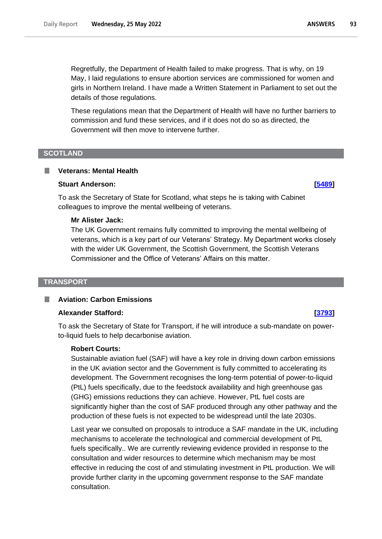Regretfully, the Department of Health failed to make progress. That is why, on 19 May, I laid regulations to ensure abortion services are commissioned for women and girls in Northern Ireland. I have made a Written Statement in Parliament to set out the details of those regulations.

These regulations mean that the Department of Health will have no further barriers to commission and fund these services, and if it does not do so as directed, the Government will then move to intervene further.

## **SCOTLAND**

## **Veterans: Mental Health**

### **Stuart Anderson: [\[5489\]](http://www.parliament.uk/business/publications/written-questions-answers-statements/written-question/Commons/2022-05-19/5489)**

To ask the Secretary of State for Scotland, what steps he is taking with Cabinet colleagues to improve the mental wellbeing of veterans.

## **Mr Alister Jack:**

The UK Government remains fully committed to improving the mental wellbeing of veterans, which is a key part of our Veterans' Strategy. My Department works closely with the wider UK Government, the Scottish Government, the Scottish Veterans Commissioner and the Office of Veterans' Affairs on this matter.

### **TRANSPORT**

# **Aviation: Carbon Emissions**

### **Alexander Stafford: [\[3793\]](http://www.parliament.uk/business/publications/written-questions-answers-statements/written-question/Commons/2022-05-17/3793)**

To ask the Secretary of State for Transport, if he will introduce a sub-mandate on powerto-liquid fuels to help decarbonise aviation.

## **Robert Courts:**

Sustainable aviation fuel (SAF) will have a key role in driving down carbon emissions in the UK aviation sector and the Government is fully committed to accelerating its development. The Government recognises the long-term potential of power-to-liquid (PtL) fuels specifically, due to the feedstock availability and high greenhouse gas (GHG) emissions reductions they can achieve. However, PtL fuel costs are significantly higher than the cost of SAF produced through any other pathway and the production of these fuels is not expected to be widespread until the late 2030s.

Last year we consulted on proposals to introduce a SAF mandate in the UK, including mechanisms to accelerate the technological and commercial development of PtL fuels specifically.. We are currently reviewing evidence provided in response to the consultation and wider resources to determine which mechanism may be most effective in reducing the cost of and stimulating investment in PtL production. We will provide further clarity in the upcoming government response to the SAF mandate consultation.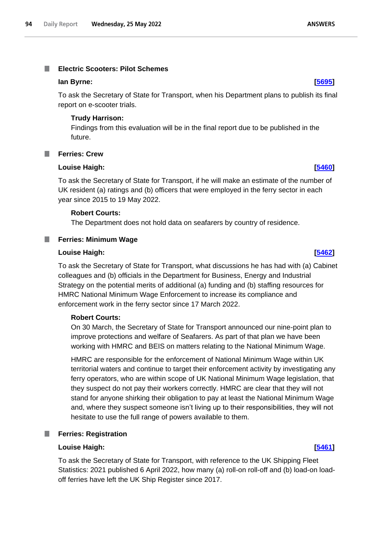### **Electric Scooters: Pilot Schemes** I.

### **Ian Byrne: [\[5695\]](http://www.parliament.uk/business/publications/written-questions-answers-statements/written-question/Commons/2022-05-20/5695)**

To ask the Secretary of State for Transport, when his Department plans to publish its final report on e-scooter trials.

# **Trudy Harrison:**

Findings from this evaluation will be in the final report due to be published in the future.

# **Ferries: Crew**

### **Louise Haigh: [\[5460\]](http://www.parliament.uk/business/publications/written-questions-answers-statements/written-question/Commons/2022-05-19/5460)**

To ask the Secretary of State for Transport, if he will make an estimate of the number of UK resident (a) ratings and (b) officers that were employed in the ferry sector in each year since 2015 to 19 May 2022.

# **Robert Courts:**

The Department does not hold data on seafarers by country of residence.

# **Ferries: Minimum Wage**

# **Louise Haigh: [\[5462\]](http://www.parliament.uk/business/publications/written-questions-answers-statements/written-question/Commons/2022-05-19/5462)**

To ask the Secretary of State for Transport, what discussions he has had with (a) Cabinet colleagues and (b) officials in the Department for Business, Energy and Industrial Strategy on the potential merits of additional (a) funding and (b) staffing resources for HMRC National Minimum Wage Enforcement to increase its compliance and enforcement work in the ferry sector since 17 March 2022.

# **Robert Courts:**

On 30 March, the Secretary of State for Transport announced our nine-point plan to improve protections and welfare of Seafarers. As part of that plan we have been working with HMRC and BEIS on matters relating to the National Minimum Wage.

HMRC are responsible for the enforcement of National Minimum Wage within UK territorial waters and continue to target their enforcement activity by investigating any ferry operators, who are within scope of UK National Minimum Wage legislation, that they suspect do not pay their workers correctly. HMRC are clear that they will not stand for anyone shirking their obligation to pay at least the National Minimum Wage and, where they suspect someone isn't living up to their responsibilities, they will not hesitate to use the full range of powers available to them.

### a a s **Ferries: Registration**

### **Louise Haigh: [\[5461\]](http://www.parliament.uk/business/publications/written-questions-answers-statements/written-question/Commons/2022-05-19/5461)**

To ask the Secretary of State for Transport, with reference to the UK Shipping Fleet Statistics: 2021 published 6 April 2022, how many (a) roll-on roll-off and (b) load-on loadoff ferries have left the UK Ship Register since 2017.

**ANSWERS**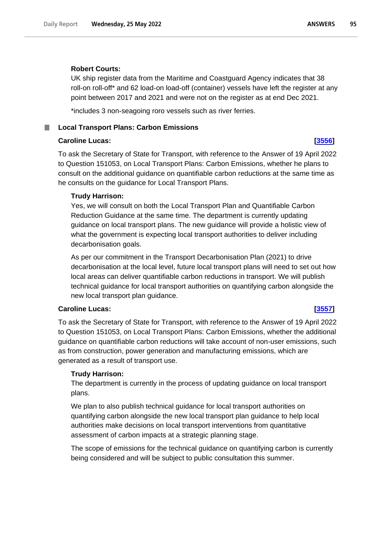## **Robert Courts:**

UK ship register data from the Maritime and Coastguard Agency indicates that 38 roll-on roll-off\* and 62 load-on load-off (container) vessels have left the register at any point between 2017 and 2021 and were not on the register as at end Dec 2021.

\*includes 3 non-seagoing roro vessels such as river ferries.

## **Local Transport Plans: Carbon Emissions**

## **Caroline Lucas: [\[3556\]](http://www.parliament.uk/business/publications/written-questions-answers-statements/written-question/Commons/2022-05-17/3556)**

To ask the Secretary of State for Transport, with reference to the Answer of 19 April 2022 to Question 151053, on Local Transport Plans: Carbon Emissions, whether he plans to consult on the additional guidance on quantifiable carbon reductions at the same time as he consults on the guidance for Local Transport Plans.

## **Trudy Harrison:**

Yes, we will consult on both the Local Transport Plan and Quantifiable Carbon Reduction Guidance at the same time. The department is currently updating guidance on local transport plans. The new guidance will provide a holistic view of what the government is expecting local transport authorities to deliver including decarbonisation goals.

As per our commitment in the Transport Decarbonisation Plan (2021) to drive decarbonisation at the local level, future local transport plans will need to set out how local areas can deliver quantifiable carbon reductions in transport. We will publish technical guidance for local transport authorities on quantifying carbon alongside the new local transport plan guidance.

## **Caroline Lucas: [\[3557\]](http://www.parliament.uk/business/publications/written-questions-answers-statements/written-question/Commons/2022-05-17/3557)**

To ask the Secretary of State for Transport, with reference to the Answer of 19 April 2022 to Question 151053, on Local Transport Plans: Carbon Emissions, whether the additional guidance on quantifiable carbon reductions will take account of non-user emissions, such as from construction, power generation and manufacturing emissions, which are generated as a result of transport use.

### **Trudy Harrison:**

The department is currently in the process of updating guidance on local transport plans.

We plan to also publish technical guidance for local transport authorities on quantifying carbon alongside the new local transport plan guidance to help local authorities make decisions on local transport interventions from quantitative assessment of carbon impacts at a strategic planning stage.

The scope of emissions for the technical guidance on quantifying carbon is currently being considered and will be subject to public consultation this summer.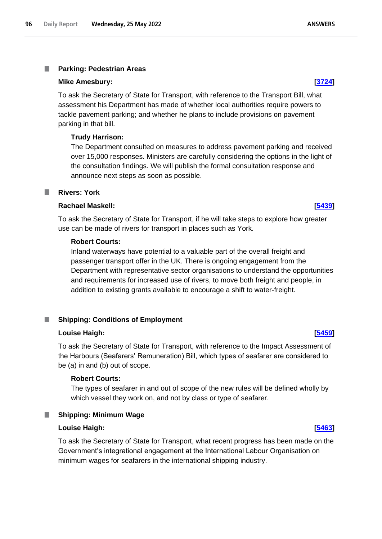### T. **Parking: Pedestrian Areas**

### **Mike Amesbury: [\[3724\]](http://www.parliament.uk/business/publications/written-questions-answers-statements/written-question/Commons/2022-05-17/3724)**

To ask the Secretary of State for Transport, with reference to the Transport Bill, what assessment his Department has made of whether local authorities require powers to tackle pavement parking; and whether he plans to include provisions on pavement parking in that bill.

# **Trudy Harrison:**

The Department consulted on measures to address pavement parking and received over 15,000 responses. Ministers are carefully considering the options in the light of the consultation findings. We will publish the formal consultation response and announce next steps as soon as possible.

# **Rivers: York**

# **Rachael Maskell: [\[5439\]](http://www.parliament.uk/business/publications/written-questions-answers-statements/written-question/Commons/2022-05-19/5439)**

To ask the Secretary of State for Transport, if he will take steps to explore how greater use can be made of rivers for transport in places such as York.

# **Robert Courts:**

Inland waterways have potential to a valuable part of the overall freight and passenger transport offer in the UK. There is ongoing engagement from the Department with representative sector organisations to understand the opportunities and requirements for increased use of rivers, to move both freight and people, in addition to existing grants available to encourage a shift to water-freight.

# **Shipping: Conditions of Employment**

# **Louise Haigh: [\[5459\]](http://www.parliament.uk/business/publications/written-questions-answers-statements/written-question/Commons/2022-05-19/5459)**

To ask the Secretary of State for Transport, with reference to the Impact Assessment of the Harbours (Seafarers' Remuneration) Bill, which types of seafarer are considered to be (a) in and (b) out of scope.

# **Robert Courts:**

The types of seafarer in and out of scope of the new rules will be defined wholly by which vessel they work on, and not by class or type of seafarer.

# **Shipping: Minimum Wage**

# **Louise Haigh: [\[5463\]](http://www.parliament.uk/business/publications/written-questions-answers-statements/written-question/Commons/2022-05-19/5463)**

To ask the Secretary of State for Transport, what recent progress has been made on the Government's integrational engagement at the International Labour Organisation on minimum wages for seafarers in the international shipping industry.

**ANSWERS**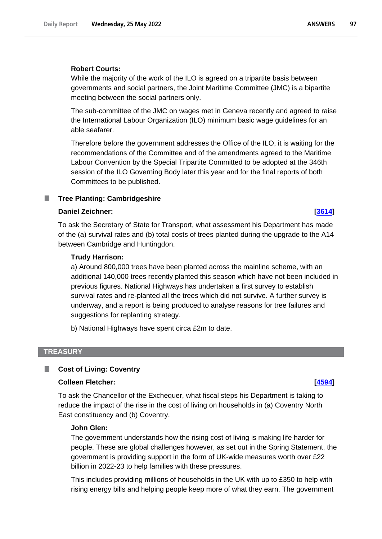### **Robert Courts:**

While the majority of the work of the ILO is agreed on a tripartite basis between governments and social partners, the Joint Maritime Committee (JMC) is a bipartite meeting between the social partners only.

The sub-committee of the JMC on wages met in Geneva recently and agreed to raise the International Labour Organization (ILO) minimum basic wage guidelines for an able seafarer.

Therefore before the government addresses the Office of the ILO, it is waiting for the recommendations of the Committee and of the amendments agreed to the Maritime Labour Convention by the Special Tripartite Committed to be adopted at the 346th session of the ILO Governing Body later this year and for the final reports of both Committees to be published.

### **Tree Planting: Cambridgeshire** .

### **Daniel Zeichner: [\[3614\]](http://www.parliament.uk/business/publications/written-questions-answers-statements/written-question/Commons/2022-05-17/3614)**

To ask the Secretary of State for Transport, what assessment his Department has made of the (a) survival rates and (b) total costs of trees planted during the upgrade to the A14 between Cambridge and Huntingdon.

### **Trudy Harrison:**

a) Around 800,000 trees have been planted across the mainline scheme, with an additional 140,000 trees recently planted this season which have not been included in previous figures. National Highways has undertaken a first survey to establish survival rates and re-planted all the trees which did not survive. A further survey is underway, and a report is being produced to analyse reasons for tree failures and suggestions for replanting strategy.

b) National Highways have spent circa £2m to date.

### **TREASURY**

# **Cost of Living: Coventry**

## **Colleen Fletcher: [\[4594\]](http://www.parliament.uk/business/publications/written-questions-answers-statements/written-question/Commons/2022-05-18/4594)**

To ask the Chancellor of the Exchequer, what fiscal steps his Department is taking to reduce the impact of the rise in the cost of living on households in (a) Coventry North East constituency and (b) Coventry.

### **John Glen:**

The government understands how the rising cost of living is making life harder for people. These are global challenges however, as set out in the Spring Statement, the government is providing support in the form of UK-wide measures worth over £22 billion in 2022-23 to help families with these pressures.

This includes providing millions of households in the UK with up to £350 to help with rising energy bills and helping people keep more of what they earn. The government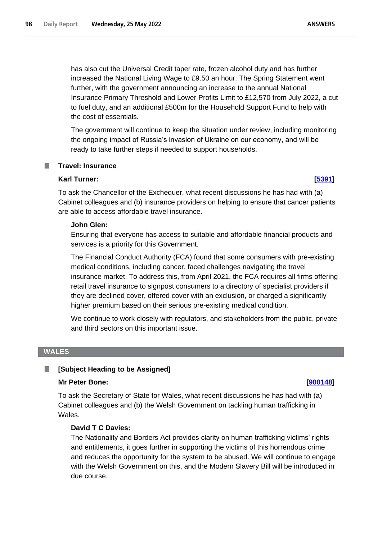has also cut the Universal Credit taper rate, frozen alcohol duty and has further increased the National Living Wage to £9.50 an hour. The Spring Statement went further, with the government announcing an increase to the annual National Insurance Primary Threshold and Lower Profits Limit to £12,570 from July 2022, a cut to fuel duty, and an additional £500m for the Household Support Fund to help with the cost of essentials.

The government will continue to keep the situation under review, including monitoring the ongoing impact of Russia's invasion of Ukraine on our economy, and will be ready to take further steps if needed to support households.

# **Travel: Insurance**

# **Karl Turner: [\[5391\]](http://www.parliament.uk/business/publications/written-questions-answers-statements/written-question/Commons/2022-05-19/5391)**

To ask the Chancellor of the Exchequer, what recent discussions he has had with (a) Cabinet colleagues and (b) insurance providers on helping to ensure that cancer patients are able to access affordable travel insurance.

# **John Glen:**

Ensuring that everyone has access to suitable and affordable financial products and services is a priority for this Government.

The Financial Conduct Authority (FCA) found that some consumers with pre-existing medical conditions, including cancer, faced challenges navigating the travel insurance market. To address this, from April 2021, the FCA requires all firms offering retail travel insurance to signpost consumers to a directory of specialist providers if they are declined cover, offered cover with an exclusion, or charged a significantly higher premium based on their serious pre-existing medical condition.

We continue to work closely with regulators, and stakeholders from the public, private and third sectors on this important issue.

# **WALES**

### **[Subject Heading to be Assigned]** ш

### **Mr Peter Bone: [\[900148\]](http://www.parliament.uk/business/publications/written-questions-answers-statements/written-question/Commons/2022-05-17/900148)**

To ask the Secretary of State for Wales, what recent discussions he has had with (a) Cabinet colleagues and (b) the Welsh Government on tackling human trafficking in Wales.

# **David T C Davies:**

The Nationality and Borders Act provides clarity on human trafficking victims' rights and entitlements, it goes further in supporting the victims of this horrendous crime and reduces the opportunity for the system to be abused. We will continue to engage with the Welsh Government on this, and the Modern Slavery Bill will be introduced in due course.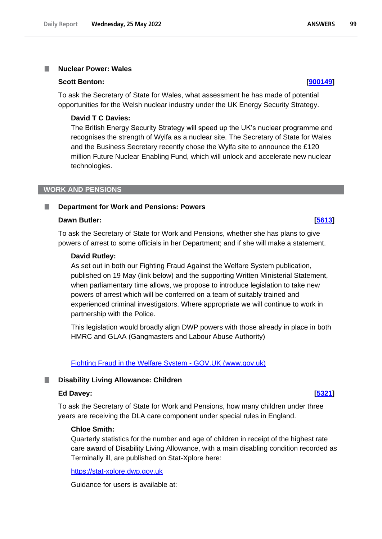### **Nuclear Power: Wales**

### **Scott Benton: [\[900149\]](http://www.parliament.uk/business/publications/written-questions-answers-statements/written-question/Commons/2022-05-17/900149)**

To ask the Secretary of State for Wales, what assessment he has made of potential opportunities for the Welsh nuclear industry under the UK Energy Security Strategy.

# **David T C Davies:**

The British Energy Security Strategy will speed up the UK's nuclear programme and recognises the strength of Wylfa as a nuclear site. The Secretary of State for Wales and the Business Secretary recently chose the Wylfa site to announce the £120 million Future Nuclear Enabling Fund, which will unlock and accelerate new nuclear technologies.

## **WORK AND PENSIONS**

### **Department for Work and Pensions: Powers** T.

### **Dawn Butler: [\[5613\]](http://www.parliament.uk/business/publications/written-questions-answers-statements/written-question/Commons/2022-05-20/5613)**

To ask the Secretary of State for Work and Pensions, whether she has plans to give powers of arrest to some officials in her Department; and if she will make a statement.

### **David Rutley:**

As set out in both our Fighting Fraud Against the Welfare System publication, published on 19 May (link below) and the supporting Written Ministerial Statement, when parliamentary time allows, we propose to introduce legislation to take new powers of arrest which will be conferred on a team of suitably trained and experienced criminal investigators. Where appropriate we will continue to work in partnership with the Police.

This legislation would broadly align DWP powers with those already in place in both HMRC and GLAA (Gangmasters and Labour Abuse Authority)

# [Fighting Fraud in the Welfare System -](https://www.gov.uk/government/publications/fighting-fraud-in-the-welfare-system) GOV.UK (www.gov.uk)

### **Disability Living Allowance: Children**

## **Ed Davey: [\[5321\]](http://www.parliament.uk/business/publications/written-questions-answers-statements/written-question/Commons/2022-05-19/5321)**

To ask the Secretary of State for Work and Pensions, how many children under three years are receiving the DLA care component under special rules in England.

### **Chloe Smith:**

Quarterly statistics for the number and age of children in receipt of the highest rate care award of Disability Living Allowance, with a main disabling condition recorded as Terminally ill, are published on Stat-Xplore here:

[https://stat-xplore.dwp.gov.uk](https://stat-xplore.dwp.gov.uk/)

Guidance for users is available at: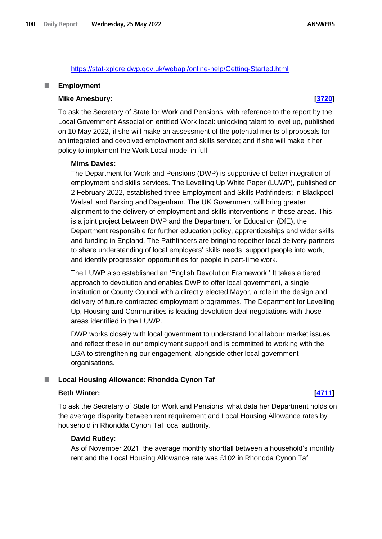## <https://stat-xplore.dwp.gov.uk/webapi/online-help/Getting-Started.html>

### **Employment** .

### **Mike Amesbury: [\[3720\]](http://www.parliament.uk/business/publications/written-questions-answers-statements/written-question/Commons/2022-05-17/3720)**

To ask the Secretary of State for Work and Pensions, with reference to the report by the Local Government Association entitled Work local: unlocking talent to level up, published on 10 May 2022, if she will make an assessment of the potential merits of proposals for an integrated and devolved employment and skills service; and if she will make it her policy to implement the Work Local model in full.

### **Mims Davies:**

The Department for Work and Pensions (DWP) is supportive of better integration of employment and skills services. The Levelling Up White Paper (LUWP), published on 2 February 2022, established three Employment and Skills Pathfinders: in Blackpool, Walsall and Barking and Dagenham. The UK Government will bring greater alignment to the delivery of employment and skills interventions in these areas. This is a joint project between DWP and the Department for Education (DfE), the Department responsible for further education policy, apprenticeships and wider skills and funding in England. The Pathfinders are bringing together local delivery partners to share understanding of local employers' skills needs, support people into work, and identify progression opportunities for people in part-time work.

The LUWP also established an 'English Devolution Framework.' It takes a tiered approach to devolution and enables DWP to offer local government, a single institution or County Council with a directly elected Mayor, a role in the design and delivery of future contracted employment programmes. The Department for Levelling Up, Housing and Communities is leading devolution deal negotiations with those areas identified in the LUWP.

DWP works closely with local government to understand local labour market issues and reflect these in our employment support and is committed to working with the LGA to strengthening our engagement, alongside other local government organisations.

### **Local Housing Allowance: Rhondda Cynon Taf** ш

## **Beth Winter: [\[4711\]](http://www.parliament.uk/business/publications/written-questions-answers-statements/written-question/Commons/2022-05-18/4711)**

To ask the Secretary of State for Work and Pensions, what data her Department holds on the average disparity between rent requirement and Local Housing Allowance rates by household in Rhondda Cynon Taf local authority.

### **David Rutley:**

As of November 2021, the average monthly shortfall between a household's monthly rent and the Local Housing Allowance rate was £102 in Rhondda Cynon Taf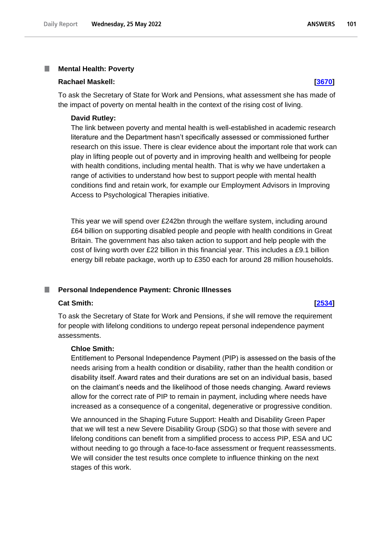### I. **Mental Health: Poverty**

### **Rachael Maskell: [\[3670\]](http://www.parliament.uk/business/publications/written-questions-answers-statements/written-question/Commons/2022-05-17/3670)**

To ask the Secretary of State for Work and Pensions, what assessment she has made of the impact of poverty on mental health in the context of the rising cost of living.

### **David Rutley:**

The link between poverty and mental health is well-established in academic research literature and the Department hasn't specifically assessed or commissioned further research on this issue. There is clear evidence about the important role that work can play in lifting people out of poverty and in improving health and wellbeing for people with health conditions, including mental health. That is why we have undertaken a range of activities to understand how best to support people with mental health conditions find and retain work, for example our Employment Advisors in Improving Access to Psychological Therapies initiative.

This year we will spend over £242bn through the welfare system, including around £64 billion on supporting disabled people and people with health conditions in Great Britain. The government has also taken action to support and help people with the cost of living worth over £22 billion in this financial year. This includes a £9.1 billion energy bill rebate package, worth up to £350 each for around 28 million households.

### **Personal Independence Payment: Chronic Illnesses** T.

### **Cat Smith: [\[2534\]](http://www.parliament.uk/business/publications/written-questions-answers-statements/written-question/Commons/2022-05-16/2534)**

To ask the Secretary of State for Work and Pensions, if she will remove the requirement for people with lifelong conditions to undergo repeat personal independence payment assessments.

# **Chloe Smith:**

Entitlement to Personal Independence Payment (PIP) is assessed on the basis of the needs arising from a health condition or disability, rather than the health condition or disability itself. Award rates and their durations are set on an individual basis, based on the claimant's needs and the likelihood of those needs changing. Award reviews allow for the correct rate of PIP to remain in payment, including where needs have increased as a consequence of a congenital, degenerative or progressive condition.

We announced in the Shaping Future Support: Health and Disability Green Paper that we will test a new Severe Disability Group (SDG) so that those with severe and lifelong conditions can benefit from a simplified process to access PIP, ESA and UC without needing to go through a face-to-face assessment or frequent reassessments. We will consider the test results once complete to influence thinking on the next stages of this work.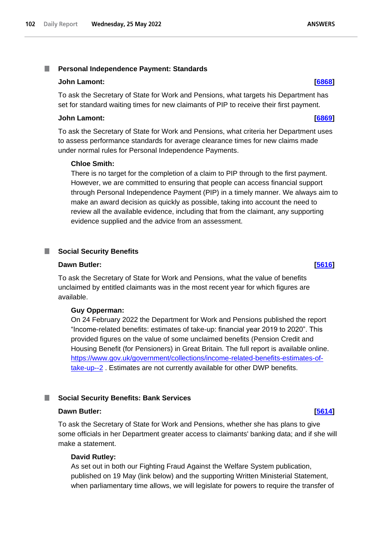### **John Lamont: [\[6868\]](http://www.parliament.uk/business/publications/written-questions-answers-statements/written-question/Commons/2022-05-23/6868)**

To ask the Secretary of State for Work and Pensions, what targets his Department has set for standard waiting times for new claimants of PIP to receive their first payment.

### **John Lamont: [\[6869\]](http://www.parliament.uk/business/publications/written-questions-answers-statements/written-question/Commons/2022-05-23/6869)**

To ask the Secretary of State for Work and Pensions, what criteria her Department uses to assess performance standards for average clearance times for new claims made under normal rules for Personal Independence Payments.

## **Chloe Smith:**

There is no target for the completion of a claim to PIP through to the first payment. However, we are committed to ensuring that people can access financial support through Personal Independence Payment (PIP) in a timely manner. We always aim to make an award decision as quickly as possible, taking into account the need to review all the available evidence, including that from the claimant, any supporting evidence supplied and the advice from an assessment.

## **Net Social Security Benefits**

## **Dawn Butler: [\[5616\]](http://www.parliament.uk/business/publications/written-questions-answers-statements/written-question/Commons/2022-05-20/5616)**

To ask the Secretary of State for Work and Pensions, what the value of benefits unclaimed by entitled claimants was in the most recent year for which figures are available.

## **Guy Opperman:**

On 24 February 2022 the Department for Work and Pensions published the report "Income-related benefits: estimates of take-up: financial year 2019 to 2020". This provided figures on the value of some unclaimed benefits (Pension Credit and Housing Benefit (for Pensioners) in Great Britain. The full report is available online. https://www.gov.uk/government/collections/income-related-benefits-estimates-oftake-up--2. Estimates are not currently available for other DWP benefits.

# **Social Security Benefits: Bank Services**

### **Dawn Butler: [\[5614\]](http://www.parliament.uk/business/publications/written-questions-answers-statements/written-question/Commons/2022-05-20/5614)**

To ask the Secretary of State for Work and Pensions, whether she has plans to give some officials in her Department greater access to claimants' banking data; and if she will make a statement.

### **David Rutley:**

As set out in both our Fighting Fraud Against the Welfare System publication, published on 19 May (link below) and the supporting Written Ministerial Statement, when parliamentary time allows, we will legislate for powers to require the transfer of

**ANSWERS**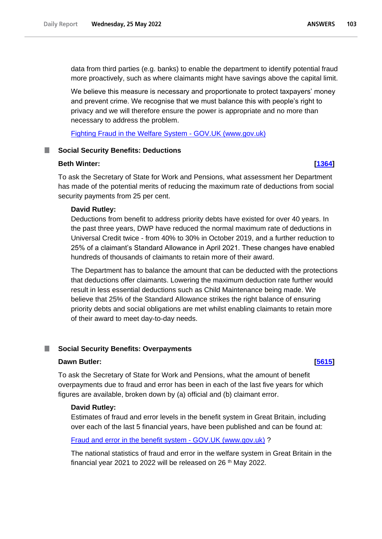data from third parties (e.g. banks) to enable the department to identify potential fraud more proactively, such as where claimants might have savings above the capital limit.

We believe this measure is necessary and proportionate to protect taxpayers' money and prevent crime. We recognise that we must balance this with people's right to privacy and we will therefore ensure the power is appropriate and no more than necessary to address the problem.

[Fighting Fraud in the Welfare System -](https://www.gov.uk/government/publications/fighting-fraud-in-the-welfare-system) GOV.UK (www.gov.uk)

## **Social Security Benefits: Deductions**

### **Beth Winter: [\[1364\]](http://www.parliament.uk/business/publications/written-questions-answers-statements/written-question/Commons/2022-05-12/1364)**

To ask the Secretary of State for Work and Pensions, what assessment her Department has made of the potential merits of reducing the maximum rate of deductions from social security payments from 25 per cent.

## **David Rutley:**

Deductions from benefit to address priority debts have existed for over 40 years. In the past three years, DWP have reduced the normal maximum rate of deductions in Universal Credit twice - from 40% to 30% in October 2019, and a further reduction to 25% of a claimant's Standard Allowance in April 2021. These changes have enabled hundreds of thousands of claimants to retain more of their award.

The Department has to balance the amount that can be deducted with the protections that deductions offer claimants. Lowering the maximum deduction rate further would result in less essential deductions such as Child Maintenance being made. We believe that 25% of the Standard Allowance strikes the right balance of ensuring priority debts and social obligations are met whilst enabling claimants to retain more of their award to meet day-to-day needs.

### **Social Security Benefits: Overpayments**

# **Dawn Butler: [\[5615\]](http://www.parliament.uk/business/publications/written-questions-answers-statements/written-question/Commons/2022-05-20/5615)**

To ask the Secretary of State for Work and Pensions, what the amount of benefit overpayments due to fraud and error has been in each of the last five years for which figures are available, broken down by (a) official and (b) claimant error.

### **David Rutley:**

Estimates of fraud and error levels in the benefit system in Great Britain, including over each of the last 5 financial years, have been published and can be found at:

### [Fraud and error in the benefit system -](https://www.gov.uk/government/collections/fraud-and-error-in-the-benefit-system) GOV.UK (www.gov.uk) ?

The national statistics of fraud and error in the welfare system in Great Britain in the financial year 2021 to 2022 will be released on 26<sup>th</sup> May 2022.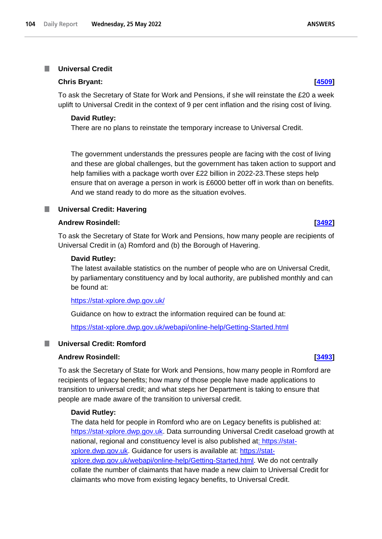## **Chris Bryant: [\[4509\]](http://www.parliament.uk/business/publications/written-questions-answers-statements/written-question/Commons/2022-05-18/4509)**

To ask the Secretary of State for Work and Pensions, if she will reinstate the £20 a week uplift to Universal Credit in the context of 9 per cent inflation and the rising cost of living.

## **David Rutley:**

There are no plans to reinstate the temporary increase to Universal Credit.

The government understands the pressures people are facing with the cost of living and these are global challenges, but the government has taken action to support and help families with a package worth over £22 billion in 2022-23.These steps help ensure that on average a person in work is £6000 better off in work than on benefits. And we stand ready to do more as the situation evolves.

## **Universal Credit: Havering**

### **Andrew Rosindell: [\[3492\]](http://www.parliament.uk/business/publications/written-questions-answers-statements/written-question/Commons/2022-05-17/3492)**

To ask the Secretary of State for Work and Pensions, how many people are recipients of Universal Credit in (a) Romford and (b) the Borough of Havering.

### **David Rutley:**

The latest available statistics on the number of people who are on Universal Credit, by parliamentary constituency and by local authority, are published monthly and can be found at:

<https://stat-xplore.dwp.gov.uk/>

Guidance on how to extract the information required can be found at:

<https://stat-xplore.dwp.gov.uk/webapi/online-help/Getting-Started.html>

# **Universal Credit: Romford**

### **Andrew Rosindell: [\[3493\]](http://www.parliament.uk/business/publications/written-questions-answers-statements/written-question/Commons/2022-05-17/3493)**

To ask the Secretary of State for Work and Pensions, how many people in Romford are recipients of legacy benefits; how many of those people have made applications to transition to universal credit; and what steps her Department is taking to ensure that people are made aware of the transition to universal credit.

### **David Rutley:**

The data held for people in Romford who are on Legacy benefits is published at: [https://stat-xplore.dwp.gov.uk.](https://stat-xplore.dwp.gov.uk/) Data surrounding Universal Credit caseload growth at national, regional and constituency level is also published a[t: https://stat](https://stat-xplore.dwp.gov.uk/)[xplore.dwp.gov.uk.](https://stat-xplore.dwp.gov.uk/) Guidance for users is available at: [https://stat](https://stat-xplore.dwp.gov.uk/webapi/online-help/Getting-Started.html)[xplore.dwp.gov.uk/webapi/online-help/Getting-Started.html.](https://stat-xplore.dwp.gov.uk/webapi/online-help/Getting-Started.html) We do not centrally collate the number of claimants that have made a new claim to Universal Credit for claimants who move from existing legacy benefits, to Universal Credit.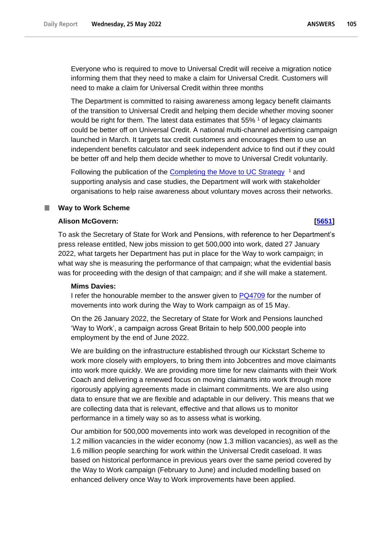Everyone who is required to move to Universal Credit will receive a migration notice informing them that they need to make a claim for Universal Credit. Customers will need to make a claim for Universal Credit within three months

The Department is committed to raising awareness among legacy benefit claimants of the transition to Universal Credit and helping them decide whether moving sooner would be right for them. The latest data estimates that 55% <sup>1</sup> of legacy claimants could be better off on Universal Credit. A national multi-channel advertising campaign launched in March. It targets tax credit customers and encourages them to use an independent benefits calculator and seek independent advice to find out if they could be better off and help them decide whether to move to Universal Credit voluntarily.

Following the publication of the **Completing the Move to UC Strategy** <sup>1</sup> and supporting analysis and case studies, the Department will work with stakeholder organisations to help raise awareness about voluntary moves across their networks.

## **Way to Work Scheme**

## **Alison McGovern: [\[5651\]](http://www.parliament.uk/business/publications/written-questions-answers-statements/written-question/Commons/2022-05-20/5651)**

To ask the Secretary of State for Work and Pensions, with reference to her Department's press release entitled, New jobs mission to get 500,000 into work, dated 27 January 2022, what targets her Department has put in place for the Way to work campaign; in what way she is measuring the performance of that campaign; what the evidential basis was for proceeding with the design of that campaign; and if she will make a statement.

# **Mims Davies:**

I refer the honourable member to the answer given to **PQ4709** for the number of movements into work during the Way to Work campaign as of 15 May.

On the 26 January 2022, the Secretary of State for Work and Pensions launched 'Way to Work', a campaign across Great Britain to help 500,000 people into employment by the end of June 2022.

We are building on the infrastructure established through our Kickstart Scheme to work more closely with employers, to bring them into Jobcentres and move claimants into work more quickly. We are providing more time for new claimants with their Work Coach and delivering a renewed focus on moving claimants into work through more rigorously applying agreements made in claimant commitments. We are also using data to ensure that we are flexible and adaptable in our delivery. This means that we are collecting data that is relevant, effective and that allows us to monitor performance in a timely way so as to assess what is working.

Our ambition for 500,000 movements into work was developed in recognition of the 1.2 million vacancies in the wider economy (now 1.3 million vacancies), as well as the 1.6 million people searching for work within the Universal Credit caseload. It was based on historical performance in previous years over the same period covered by the Way to Work campaign (February to June) and included modelling based on enhanced delivery once Way to Work improvements have been applied.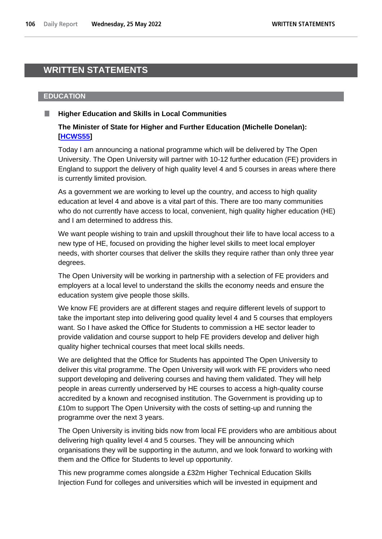# **WRITTEN STATEMENTS**

### **EDUCATION**

# **Higher Education and Skills in Local Communities**

# **The Minister of State for Higher and Further Education (Michelle Donelan): [\[HCWS55\]](http://www.parliament.uk/business/publications/written-questions-answers-statements/written-statement/Commons/2022-05-25/HCWS55/)**

Today I am announcing a national programme which will be delivered by The Open University. The Open University will partner with 10-12 further education (FE) providers in England to support the delivery of high quality level 4 and 5 courses in areas where there is currently limited provision.

As a government we are working to level up the country, and access to high quality education at level 4 and above is a vital part of this. There are too many communities who do not currently have access to local, convenient, high quality higher education (HE) and I am determined to address this.

We want people wishing to train and upskill throughout their life to have local access to a new type of HE, focused on providing the higher level skills to meet local employer needs, with shorter courses that deliver the skills they require rather than only three year degrees.

The Open University will be working in partnership with a selection of FE providers and employers at a local level to understand the skills the economy needs and ensure the education system give people those skills.

We know FE providers are at different stages and require different levels of support to take the important step into delivering good quality level 4 and 5 courses that employers want. So I have asked the Office for Students to commission a HE sector leader to provide validation and course support to help FE providers develop and deliver high quality higher technical courses that meet local skills needs.

We are delighted that the Office for Students has appointed The Open University to deliver this vital programme. The Open University will work with FE providers who need support developing and delivering courses and having them validated. They will help people in areas currently underserved by HE courses to access a high-quality course accredited by a known and recognised institution. The Government is providing up to £10m to support The Open University with the costs of setting-up and running the programme over the next 3 years.

The Open University is inviting bids now from local FE providers who are ambitious about delivering high quality level 4 and 5 courses. They will be announcing which organisations they will be supporting in the autumn, and we look forward to working with them and the Office for Students to level up opportunity.

This new programme comes alongside a £32m Higher Technical Education Skills Injection Fund for colleges and universities which will be invested in equipment and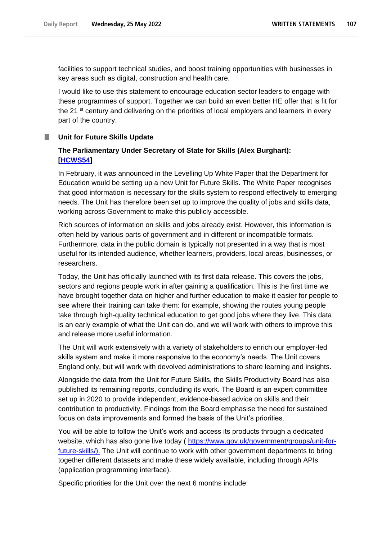facilities to support technical studies, and boost training opportunities with businesses in key areas such as digital, construction and health care.

I would like to use this statement to encourage education sector leaders to engage with these programmes of support. Together we can build an even better HE offer that is fit for the 21 st century and delivering on the priorities of local employers and learners in every part of the country.

## **Unit for Future Skills Update**

# **The Parliamentary Under Secretary of State for Skills (Alex Burghart): [\[HCWS54\]](http://www.parliament.uk/business/publications/written-questions-answers-statements/written-statement/Commons/2022-05-25/HCWS54/)**

In February, it was announced in the Levelling Up White Paper that the Department for Education would be setting up a new Unit for Future Skills. The White Paper recognises that good information is necessary for the skills system to respond effectively to emerging needs. The Unit has therefore been set up to improve the quality of jobs and skills data, working across Government to make this publicly accessible.

Rich sources of information on skills and jobs already exist. However, this information is often held by various parts of government and in different or incompatible formats. Furthermore, data in the public domain is typically not presented in a way that is most useful for its intended audience, whether learners, providers, local areas, businesses, or researchers.

Today, the Unit has officially launched with its first data release. This covers the jobs, sectors and regions people work in after gaining a qualification. This is the first time we have brought together data on higher and further education to make it easier for people to see where their training can take them: for example, showing the routes young people take through high-quality technical education to get good jobs where they live. This data is an early example of what the Unit can do, and we will work with others to improve this and release more useful information.

The Unit will work extensively with a variety of stakeholders to enrich our employer-led skills system and make it more responsive to the economy's needs. The Unit covers England only, but will work with devolved administrations to share learning and insights.

Alongside the data from the Unit for Future Skills, the Skills Productivity Board has also published its remaining reports, concluding its work. The Board is an expert committee set up in 2020 to provide independent, evidence-based advice on skills and their contribution to productivity. Findings from the Board emphasise the need for sustained focus on data improvements and formed the basis of the Unit's priorities.

You will be able to follow the Unit's work and access its products through a dedicated website, which has also gone live today ( [https://www.gov.uk/government/groups/unit-for](https://www.gov.uk/government/groups/unit-for-future-skills/).Over)[future-skills/\).](https://www.gov.uk/government/groups/unit-for-future-skills/).Over) The Unit will continue to work with other government departments to bring together different datasets and make these widely available, including through APIs (application programming interface).

Specific priorities for the Unit over the next 6 months include: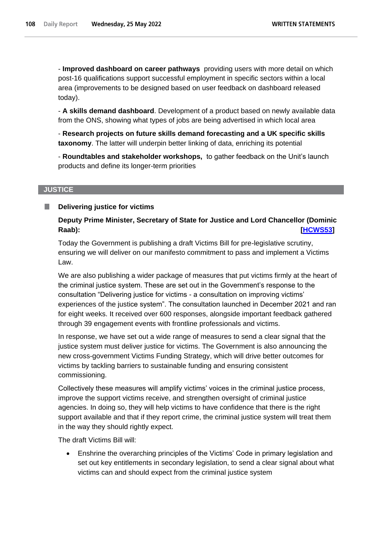- **Improved dashboard on career pathways** providing users with more detail on which post-16 qualifications support successful employment in specific sectors within a local area (improvements to be designed based on user feedback on dashboard released today).

- **A skills demand dashboard**. Development of a product based on newly available data from the ONS, showing what types of jobs are being advertised in which local area

- **Research projects on future skills demand forecasting and a UK specific skills taxonomy**. The latter will underpin better linking of data, enriching its potential

- **Roundtables and stakeholder workshops,** to gather feedback on the Unit's launch products and define its longer-term priorities

# **JUSTICE**

### **Delivering justice for victims** П

**Deputy Prime Minister, Secretary of State for Justice and Lord Chancellor (Dominic Raab): [\[HCWS53\]](http://www.parliament.uk/business/publications/written-questions-answers-statements/written-statement/Commons/2022-05-25/HCWS53/)** 

Today the Government is publishing a draft Victims Bill for pre-legislative scrutiny, ensuring we will deliver on our manifesto commitment to pass and implement a Victims Law.

We are also publishing a wider package of measures that put victims firmly at the heart of the criminal justice system. These are set out in the Government's response to the consultation "Delivering justice for victims - a consultation on improving victims' experiences of the justice system". The consultation launched in December 2021 and ran for eight weeks. It received over 600 responses, alongside important feedback gathered through 39 engagement events with frontline professionals and victims.

In response, we have set out a wide range of measures to send a clear signal that the justice system must deliver justice for victims. The Government is also announcing the new cross-government Victims Funding Strategy, which will drive better outcomes for victims by tackling barriers to sustainable funding and ensuring consistent commissioning.

Collectively these measures will amplify victims' voices in the criminal justice process, improve the support victims receive, and strengthen oversight of criminal justice agencies. In doing so, they will help victims to have confidence that there is the right support available and that if they report crime, the criminal justice system will treat them in the way they should rightly expect.

The draft Victims Bill will:

• Enshrine the overarching principles of the Victims' Code in primary legislation and set out key entitlements in secondary legislation, to send a clear signal about what victims can and should expect from the criminal justice system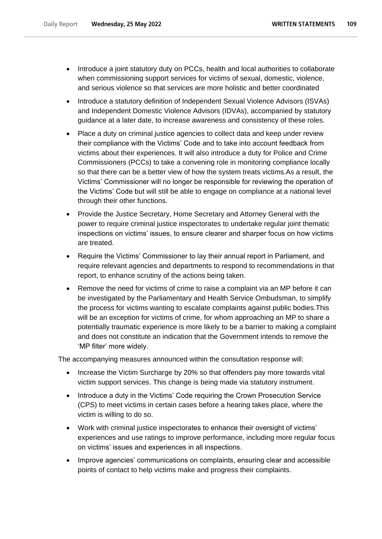- Introduce a joint statutory duty on PCCs, health and local authorities to collaborate when commissioning support services for victims of sexual, domestic, violence, and serious violence so that services are more holistic and better coordinated
- Introduce a statutory definition of Independent Sexual Violence Advisors (ISVAs) and Independent Domestic Violence Advisors (IDVAs), accompanied by statutory guidance at a later date, to increase awareness and consistency of these roles.
- Place a duty on criminal justice agencies to collect data and keep under review their compliance with the Victims' Code and to take into account feedback from victims about their experiences. It will also introduce a duty for Police and Crime Commissioners (PCCs) to take a convening role in monitoring compliance locally so that there can be a better view of how the system treats victims.As a result, the Victims' Commissioner will no longer be responsible for reviewing the operation of the Victims' Code but will still be able to engage on compliance at a national level through their other functions.
- Provide the Justice Secretary, Home Secretary and Attorney General with the power to require criminal justice inspectorates to undertake regular joint thematic inspections on victims' issues, to ensure clearer and sharper focus on how victims are treated.
- Require the Victims' Commissioner to lay their annual report in Parliament, and require relevant agencies and departments to respond to recommendations in that report, to enhance scrutiny of the actions being taken.
- Remove the need for victims of crime to raise a complaint via an MP before it can be investigated by the Parliamentary and Health Service Ombudsman, to simplify the process for victims wanting to escalate complaints against public bodies.This will be an exception for victims of crime, for whom approaching an MP to share a potentially traumatic experience is more likely to be a barrier to making a complaint and does not constitute an indication that the Government intends to remove the 'MP filter' more widely.

The accompanying measures announced within the consultation response will:

- Increase the Victim Surcharge by 20% so that offenders pay more towards vital victim support services. This change is being made via statutory instrument.
- Introduce a duty in the Victims' Code requiring the Crown Prosecution Service (CPS) to meet victims in certain cases before a hearing takes place, where the victim is willing to do so.
- Work with criminal justice inspectorates to enhance their oversight of victims' experiences and use ratings to improve performance, including more regular focus on victims' issues and experiences in all inspections.
- Improve agencies' communications on complaints, ensuring clear and accessible points of contact to help victims make and progress their complaints.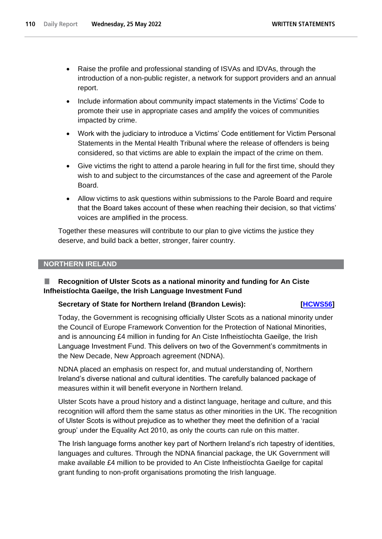- Raise the profile and professional standing of ISVAs and IDVAs, through the introduction of a non-public register, a network for support providers and an annual report.
- Include information about community impact statements in the Victims' Code to promote their use in appropriate cases and amplify the voices of communities impacted by crime.
- Work with the judiciary to introduce a Victims' Code entitlement for Victim Personal Statements in the Mental Health Tribunal where the release of offenders is being considered, so that victims are able to explain the impact of the crime on them.
- Give victims the right to attend a parole hearing in full for the first time, should they wish to and subject to the circumstances of the case and agreement of the Parole Board.
- Allow victims to ask questions within submissions to the Parole Board and require that the Board takes account of these when reaching their decision, so that victims' voices are amplified in the process.

Together these measures will contribute to our plan to give victims the justice they deserve, and build back a better, stronger, fairer country.

## **NORTHERN IRELAND**

## ш **Recognition of Ulster Scots as a national minority and funding for An Ciste Infheistíochta Gaeilge, the Irish Language Investment Fund**

## **Secretary of State for Northern Ireland (Brandon Lewis):** [HCWS56]

Today, the Government is recognising officially Ulster Scots as a national minority under the Council of Europe Framework Convention for the Protection of National Minorities, and is announcing £4 million in funding for An Ciste Infheistíochta Gaeilge, the Irish Language Investment Fund. This delivers on two of the Government's commitments in the New Decade, New Approach agreement (NDNA).

NDNA placed an emphasis on respect for, and mutual understanding of, Northern Ireland's diverse national and cultural identities. The carefully balanced package of measures within it will benefit everyone in Northern Ireland.

Ulster Scots have a proud history and a distinct language, heritage and culture, and this recognition will afford them the same status as other minorities in the UK. The recognition of Ulster Scots is without prejudice as to whether they meet the definition of a 'racial group' under the Equality Act 2010, as only the courts can rule on this matter.

The Irish language forms another key part of Northern Ireland's rich tapestry of identities, languages and cultures. Through the NDNA financial package, the UK Government will make available £4 million to be provided to An Ciste Infheistíochta Gaeilge for capital grant funding to non-profit organisations promoting the Irish language.